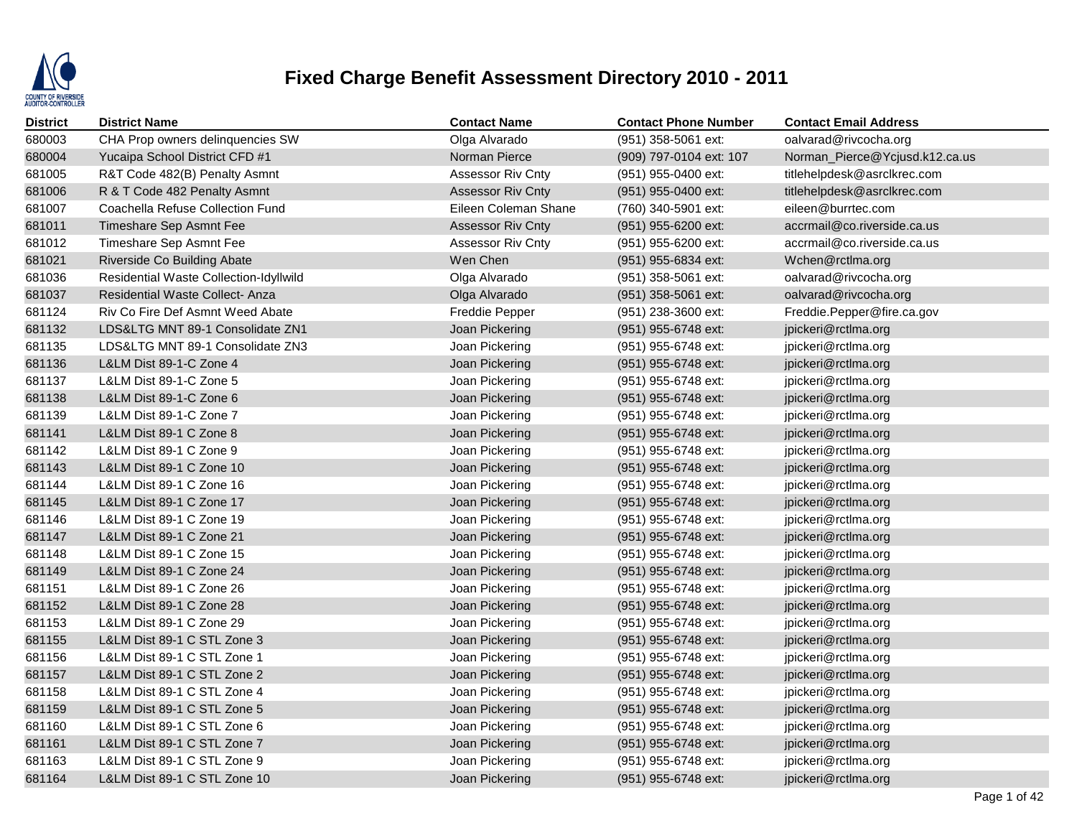

| <b>District</b> | <b>District Name</b>                   | <b>Contact Name</b>      | <b>Contact Phone Number</b> | <b>Contact Email Address</b>   |
|-----------------|----------------------------------------|--------------------------|-----------------------------|--------------------------------|
| 680003          | CHA Prop owners delinquencies SW       | Olga Alvarado            | (951) 358-5061 ext:         | oalvarad@rivcocha.org          |
| 680004          | Yucaipa School District CFD #1         | Norman Pierce            | (909) 797-0104 ext: 107     | Norman_Pierce@Ycjusd.k12.ca.us |
| 681005          | R&T Code 482(B) Penalty Asmnt          | Assessor Riv Cnty        | (951) 955-0400 ext:         | titlehelpdesk@asrclkrec.com    |
| 681006          | R & T Code 482 Penalty Asmnt           | <b>Assessor Riv Cnty</b> | (951) 955-0400 ext:         | titlehelpdesk@asrclkrec.com    |
| 681007          | Coachella Refuse Collection Fund       | Eileen Coleman Shane     | (760) 340-5901 ext:         | eileen@burrtec.com             |
| 681011          | Timeshare Sep Asmnt Fee                | <b>Assessor Riv Cnty</b> | (951) 955-6200 ext:         | accrmail@co.riverside.ca.us    |
| 681012          | Timeshare Sep Asmnt Fee                | <b>Assessor Riv Cnty</b> | (951) 955-6200 ext:         | accrmail@co.riverside.ca.us    |
| 681021          | Riverside Co Building Abate            | Wen Chen                 | (951) 955-6834 ext:         | Wchen@rctlma.org               |
| 681036          | Residential Waste Collection-Idyllwild | Olga Alvarado            | (951) 358-5061 ext:         | oalvarad@rivcocha.org          |
| 681037          | <b>Residential Waste Collect-Anza</b>  | Olga Alvarado            | (951) 358-5061 ext:         | oalvarad@rivcocha.org          |
| 681124          | Riv Co Fire Def Asmnt Weed Abate       | <b>Freddie Pepper</b>    | (951) 238-3600 ext:         | Freddie.Pepper@fire.ca.gov     |
| 681132          | LDS&LTG MNT 89-1 Consolidate ZN1       | Joan Pickering           | (951) 955-6748 ext:         | jpickeri@rctlma.org            |
| 681135          | LDS&LTG MNT 89-1 Consolidate ZN3       | Joan Pickering           | (951) 955-6748 ext:         | jpickeri@rctlma.org            |
| 681136          | L&LM Dist 89-1-C Zone 4                | Joan Pickering           | (951) 955-6748 ext:         | jpickeri@rctlma.org            |
| 681137          | L&LM Dist 89-1-C Zone 5                | Joan Pickering           | (951) 955-6748 ext:         | jpickeri@rctlma.org            |
| 681138          | L&LM Dist 89-1-C Zone 6                | Joan Pickering           | (951) 955-6748 ext:         | jpickeri@rctlma.org            |
| 681139          | L&LM Dist 89-1-C Zone 7                | Joan Pickering           | (951) 955-6748 ext:         | jpickeri@rctlma.org            |
| 681141          | L&LM Dist 89-1 C Zone 8                | Joan Pickering           | (951) 955-6748 ext:         | jpickeri@rctlma.org            |
| 681142          | L&LM Dist 89-1 C Zone 9                | Joan Pickering           | (951) 955-6748 ext:         | jpickeri@rctlma.org            |
| 681143          | L&LM Dist 89-1 C Zone 10               | Joan Pickering           | (951) 955-6748 ext:         | jpickeri@rctlma.org            |
| 681144          | L&LM Dist 89-1 C Zone 16               | Joan Pickering           | (951) 955-6748 ext:         | jpickeri@rctlma.org            |
| 681145          | L&LM Dist 89-1 C Zone 17               | Joan Pickering           | (951) 955-6748 ext:         | jpickeri@rctlma.org            |
| 681146          | L&LM Dist 89-1 C Zone 19               | Joan Pickering           | (951) 955-6748 ext:         | jpickeri@rctlma.org            |
| 681147          | L&LM Dist 89-1 C Zone 21               | Joan Pickering           | (951) 955-6748 ext:         | jpickeri@rctlma.org            |
| 681148          | L&LM Dist 89-1 C Zone 15               | Joan Pickering           | (951) 955-6748 ext:         | jpickeri@rctlma.org            |
| 681149          | L&LM Dist 89-1 C Zone 24               | Joan Pickering           | (951) 955-6748 ext:         | jpickeri@rctlma.org            |
| 681151          | L&LM Dist 89-1 C Zone 26               | Joan Pickering           | (951) 955-6748 ext:         | jpickeri@rctlma.org            |
| 681152          | L&LM Dist 89-1 C Zone 28               | Joan Pickering           | (951) 955-6748 ext:         | jpickeri@rctlma.org            |
| 681153          | L&LM Dist 89-1 C Zone 29               | Joan Pickering           | (951) 955-6748 ext:         | jpickeri@rctlma.org            |
| 681155          | L&LM Dist 89-1 C STL Zone 3            | Joan Pickering           | (951) 955-6748 ext:         | jpickeri@rctlma.org            |
| 681156          | L&LM Dist 89-1 C STL Zone 1            | Joan Pickering           | (951) 955-6748 ext:         | jpickeri@rctlma.org            |
| 681157          | L&LM Dist 89-1 C STL Zone 2            | Joan Pickering           | (951) 955-6748 ext:         | jpickeri@rctlma.org            |
| 681158          | L&LM Dist 89-1 C STL Zone 4            | Joan Pickering           | (951) 955-6748 ext:         | jpickeri@rctlma.org            |
| 681159          | L&LM Dist 89-1 C STL Zone 5            | Joan Pickering           | (951) 955-6748 ext:         | jpickeri@rctlma.org            |
| 681160          | L&LM Dist 89-1 C STL Zone 6            | Joan Pickering           | (951) 955-6748 ext:         | jpickeri@rctlma.org            |
| 681161          | L&LM Dist 89-1 C STL Zone 7            | Joan Pickering           | (951) 955-6748 ext:         | jpickeri@rctlma.org            |
| 681163          | L&LM Dist 89-1 C STL Zone 9            | Joan Pickering           | (951) 955-6748 ext:         | jpickeri@rctlma.org            |
| 681164          | L&LM Dist 89-1 C STL Zone 10           | Joan Pickering           | (951) 955-6748 ext:         | jpickeri@rctlma.org            |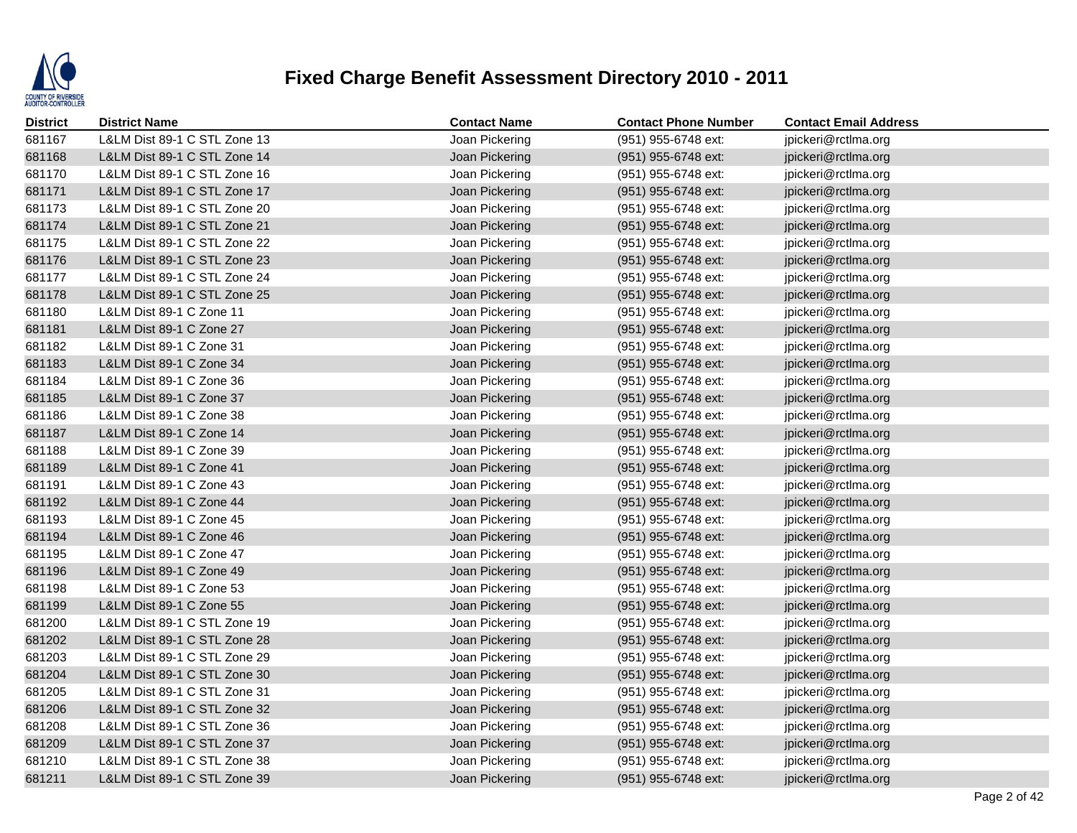

| <b>District</b> | <b>District Name</b>         | <b>Contact Name</b> | <b>Contact Phone Number</b> | <b>Contact Email Address</b> |
|-----------------|------------------------------|---------------------|-----------------------------|------------------------------|
| 681167          | L&LM Dist 89-1 C STL Zone 13 | Joan Pickering      | (951) 955-6748 ext:         | jpickeri@rctlma.org          |
| 681168          | L&LM Dist 89-1 C STL Zone 14 | Joan Pickering      | (951) 955-6748 ext:         | jpickeri@rctlma.org          |
| 681170          | L&LM Dist 89-1 C STL Zone 16 | Joan Pickering      | (951) 955-6748 ext:         | jpickeri@rctlma.org          |
| 681171          | L&LM Dist 89-1 C STL Zone 17 | Joan Pickering      | (951) 955-6748 ext:         | jpickeri@rctlma.org          |
| 681173          | L&LM Dist 89-1 C STL Zone 20 | Joan Pickering      | (951) 955-6748 ext:         | jpickeri@rctlma.org          |
| 681174          | L&LM Dist 89-1 C STL Zone 21 | Joan Pickering      | (951) 955-6748 ext:         | jpickeri@rctlma.org          |
| 681175          | L&LM Dist 89-1 C STL Zone 22 | Joan Pickering      | (951) 955-6748 ext:         | jpickeri@rctlma.org          |
| 681176          | L&LM Dist 89-1 C STL Zone 23 | Joan Pickering      | (951) 955-6748 ext:         | jpickeri@rctlma.org          |
| 681177          | L&LM Dist 89-1 C STL Zone 24 | Joan Pickering      | (951) 955-6748 ext:         | jpickeri@rctlma.org          |
| 681178          | L&LM Dist 89-1 C STL Zone 25 | Joan Pickering      | (951) 955-6748 ext:         | jpickeri@rctlma.org          |
| 681180          | L&LM Dist 89-1 C Zone 11     | Joan Pickering      | (951) 955-6748 ext:         | jpickeri@rctlma.org          |
| 681181          | L&LM Dist 89-1 C Zone 27     | Joan Pickering      | (951) 955-6748 ext:         | jpickeri@rctlma.org          |
| 681182          | L&LM Dist 89-1 C Zone 31     | Joan Pickering      | (951) 955-6748 ext:         | jpickeri@rctlma.org          |
| 681183          | L&LM Dist 89-1 C Zone 34     | Joan Pickering      | (951) 955-6748 ext:         | jpickeri@rctlma.org          |
| 681184          | L&LM Dist 89-1 C Zone 36     | Joan Pickering      | (951) 955-6748 ext:         | jpickeri@rctlma.org          |
| 681185          | L&LM Dist 89-1 C Zone 37     | Joan Pickering      | (951) 955-6748 ext:         | jpickeri@rctlma.org          |
| 681186          | L&LM Dist 89-1 C Zone 38     | Joan Pickering      | (951) 955-6748 ext:         | jpickeri@rctlma.org          |
| 681187          | L&LM Dist 89-1 C Zone 14     | Joan Pickering      | (951) 955-6748 ext:         | jpickeri@rctlma.org          |
| 681188          | L&LM Dist 89-1 C Zone 39     | Joan Pickering      | (951) 955-6748 ext:         | jpickeri@rctlma.org          |
| 681189          | L&LM Dist 89-1 C Zone 41     | Joan Pickering      | (951) 955-6748 ext:         | jpickeri@rctlma.org          |
| 681191          | L&LM Dist 89-1 C Zone 43     | Joan Pickering      | (951) 955-6748 ext:         | jpickeri@rctlma.org          |
| 681192          | L&LM Dist 89-1 C Zone 44     | Joan Pickering      | (951) 955-6748 ext:         | jpickeri@rctlma.org          |
| 681193          | L&LM Dist 89-1 C Zone 45     | Joan Pickering      | (951) 955-6748 ext:         | jpickeri@rctlma.org          |
| 681194          | L&LM Dist 89-1 C Zone 46     | Joan Pickering      | (951) 955-6748 ext:         | jpickeri@rctlma.org          |
| 681195          | L&LM Dist 89-1 C Zone 47     | Joan Pickering      | (951) 955-6748 ext:         | jpickeri@rctlma.org          |
| 681196          | L&LM Dist 89-1 C Zone 49     | Joan Pickering      | (951) 955-6748 ext:         | jpickeri@rctlma.org          |
| 681198          | L&LM Dist 89-1 C Zone 53     | Joan Pickering      | (951) 955-6748 ext:         | jpickeri@rctlma.org          |
| 681199          | L&LM Dist 89-1 C Zone 55     | Joan Pickering      | (951) 955-6748 ext:         | jpickeri@rctlma.org          |
| 681200          | L&LM Dist 89-1 C STL Zone 19 | Joan Pickering      | (951) 955-6748 ext:         | jpickeri@rctlma.org          |
| 681202          | L&LM Dist 89-1 C STL Zone 28 | Joan Pickering      | (951) 955-6748 ext:         | jpickeri@rctlma.org          |
| 681203          | L&LM Dist 89-1 C STL Zone 29 | Joan Pickering      | (951) 955-6748 ext:         | jpickeri@rctlma.org          |
| 681204          | L&LM Dist 89-1 C STL Zone 30 | Joan Pickering      | $(951)$ 955-6748 ext:       | jpickeri@rctlma.org          |
| 681205          | L&LM Dist 89-1 C STL Zone 31 | Joan Pickering      | (951) 955-6748 ext:         | jpickeri@rctlma.org          |
| 681206          | L&LM Dist 89-1 C STL Zone 32 | Joan Pickering      | (951) 955-6748 ext:         | jpickeri@rctlma.org          |
| 681208          | L&LM Dist 89-1 C STL Zone 36 | Joan Pickering      | (951) 955-6748 ext:         | jpickeri@rctlma.org          |
| 681209          | L&LM Dist 89-1 C STL Zone 37 | Joan Pickering      | (951) 955-6748 ext:         | jpickeri@rctlma.org          |
| 681210          | L&LM Dist 89-1 C STL Zone 38 | Joan Pickering      | (951) 955-6748 ext:         | jpickeri@rctlma.org          |
| 681211          | L&LM Dist 89-1 C STL Zone 39 | Joan Pickering      | (951) 955-6748 ext:         | jpickeri@rctlma.org          |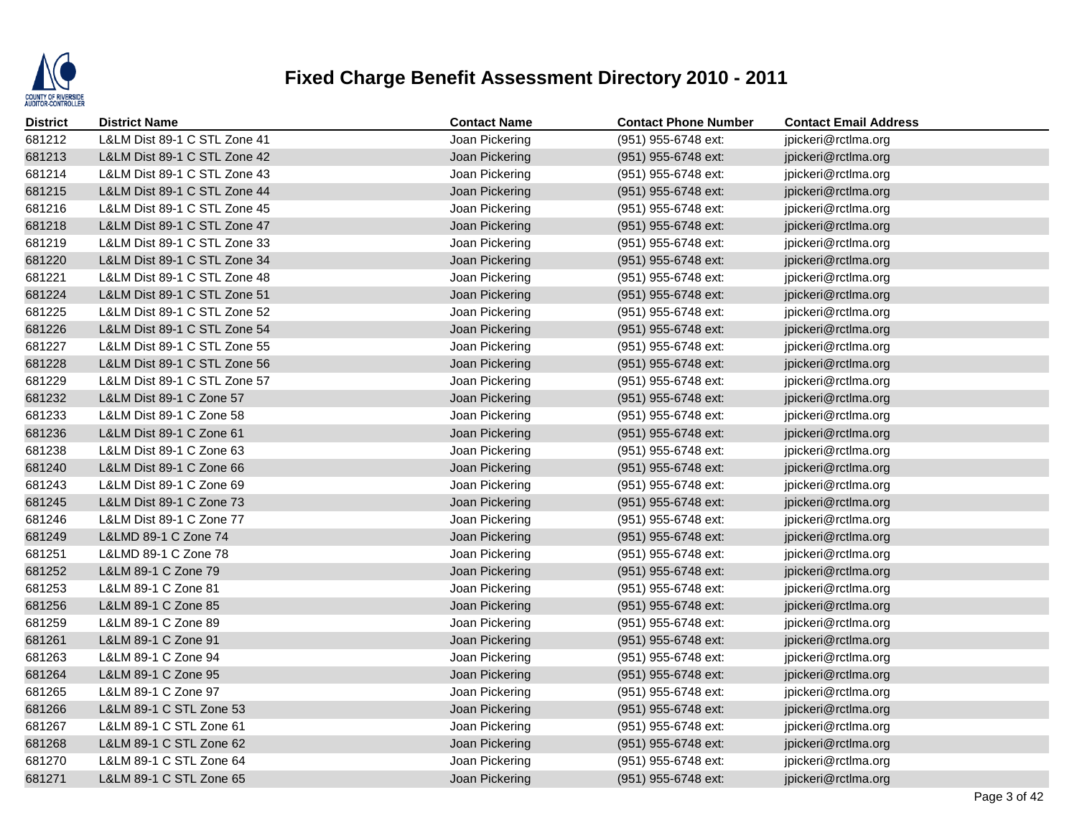

| <b>District</b> | <b>District Name</b>         | <b>Contact Name</b> | <b>Contact Phone Number</b> | <b>Contact Email Address</b> |
|-----------------|------------------------------|---------------------|-----------------------------|------------------------------|
| 681212          | L&LM Dist 89-1 C STL Zone 41 | Joan Pickering      | (951) 955-6748 ext:         | jpickeri@rctlma.org          |
| 681213          | L&LM Dist 89-1 C STL Zone 42 | Joan Pickering      | (951) 955-6748 ext:         | jpickeri@rctlma.org          |
| 681214          | L&LM Dist 89-1 C STL Zone 43 | Joan Pickering      | (951) 955-6748 ext:         | jpickeri@rctlma.org          |
| 681215          | L&LM Dist 89-1 C STL Zone 44 | Joan Pickering      | (951) 955-6748 ext:         | jpickeri@rctlma.org          |
| 681216          | L&LM Dist 89-1 C STL Zone 45 | Joan Pickering      | (951) 955-6748 ext:         | jpickeri@rctlma.org          |
| 681218          | L&LM Dist 89-1 C STL Zone 47 | Joan Pickering      | (951) 955-6748 ext:         | jpickeri@rctlma.org          |
| 681219          | L&LM Dist 89-1 C STL Zone 33 | Joan Pickering      | (951) 955-6748 ext:         | jpickeri@rctlma.org          |
| 681220          | L&LM Dist 89-1 C STL Zone 34 | Joan Pickering      | (951) 955-6748 ext:         | jpickeri@rctlma.org          |
| 681221          | L&LM Dist 89-1 C STL Zone 48 | Joan Pickering      | (951) 955-6748 ext:         | jpickeri@rctlma.org          |
| 681224          | L&LM Dist 89-1 C STL Zone 51 | Joan Pickering      | (951) 955-6748 ext:         | jpickeri@rctlma.org          |
| 681225          | L&LM Dist 89-1 C STL Zone 52 | Joan Pickering      | (951) 955-6748 ext:         | jpickeri@rctlma.org          |
| 681226          | L&LM Dist 89-1 C STL Zone 54 | Joan Pickering      | (951) 955-6748 ext:         | jpickeri@rctlma.org          |
| 681227          | L&LM Dist 89-1 C STL Zone 55 | Joan Pickering      | (951) 955-6748 ext:         | jpickeri@rctlma.org          |
| 681228          | L&LM Dist 89-1 C STL Zone 56 | Joan Pickering      | (951) 955-6748 ext:         | jpickeri@rctlma.org          |
| 681229          | L&LM Dist 89-1 C STL Zone 57 | Joan Pickering      | (951) 955-6748 ext:         | jpickeri@rctlma.org          |
| 681232          | L&LM Dist 89-1 C Zone 57     | Joan Pickering      | (951) 955-6748 ext:         | jpickeri@rctlma.org          |
| 681233          | L&LM Dist 89-1 C Zone 58     | Joan Pickering      | (951) 955-6748 ext:         | jpickeri@rctlma.org          |
| 681236          | L&LM Dist 89-1 C Zone 61     | Joan Pickering      | (951) 955-6748 ext:         | jpickeri@rctlma.org          |
| 681238          | L&LM Dist 89-1 C Zone 63     | Joan Pickering      | (951) 955-6748 ext:         | jpickeri@rctlma.org          |
| 681240          | L&LM Dist 89-1 C Zone 66     | Joan Pickering      | (951) 955-6748 ext:         | jpickeri@rctlma.org          |
| 681243          | L&LM Dist 89-1 C Zone 69     | Joan Pickering      | (951) 955-6748 ext:         | jpickeri@rctlma.org          |
| 681245          | L&LM Dist 89-1 C Zone 73     | Joan Pickering      | (951) 955-6748 ext:         | jpickeri@rctlma.org          |
| 681246          | L&LM Dist 89-1 C Zone 77     | Joan Pickering      | (951) 955-6748 ext:         | jpickeri@rctlma.org          |
| 681249          | L&LMD 89-1 C Zone 74         | Joan Pickering      | (951) 955-6748 ext:         | jpickeri@rctlma.org          |
| 681251          | L&LMD 89-1 C Zone 78         | Joan Pickering      | (951) 955-6748 ext:         | jpickeri@rctlma.org          |
| 681252          | L&LM 89-1 C Zone 79          | Joan Pickering      | (951) 955-6748 ext:         | jpickeri@rctlma.org          |
| 681253          | L&LM 89-1 C Zone 81          | Joan Pickering      | (951) 955-6748 ext:         | jpickeri@rctlma.org          |
| 681256          | L&LM 89-1 C Zone 85          | Joan Pickering      | (951) 955-6748 ext:         | jpickeri@rctlma.org          |
| 681259          | L&LM 89-1 C Zone 89          | Joan Pickering      | (951) 955-6748 ext:         | jpickeri@rctlma.org          |
| 681261          | L&LM 89-1 C Zone 91          | Joan Pickering      | (951) 955-6748 ext:         | jpickeri@rctlma.org          |
| 681263          | L&LM 89-1 C Zone 94          | Joan Pickering      | $(951)$ 955-6748 ext:       | jpickeri@rctlma.org          |
| 681264          | L&LM 89-1 C Zone 95          | Joan Pickering      | (951) 955-6748 ext:         | jpickeri@rctlma.org          |
| 681265          | L&LM 89-1 C Zone 97          | Joan Pickering      | (951) 955-6748 ext:         | jpickeri@rctlma.org          |
| 681266          | L&LM 89-1 C STL Zone 53      | Joan Pickering      | (951) 955-6748 ext:         | jpickeri@rctlma.org          |
| 681267          | L&LM 89-1 C STL Zone 61      | Joan Pickering      | (951) 955-6748 ext:         | jpickeri@rctlma.org          |
| 681268          | L&LM 89-1 C STL Zone 62      | Joan Pickering      | (951) 955-6748 ext:         | jpickeri@rctlma.org          |
| 681270          | L&LM 89-1 C STL Zone 64      | Joan Pickering      | (951) 955-6748 ext:         | jpickeri@rctlma.org          |
| 681271          | L&LM 89-1 C STL Zone 65      | Joan Pickering      | (951) 955-6748 ext:         | jpickeri@rctlma.org          |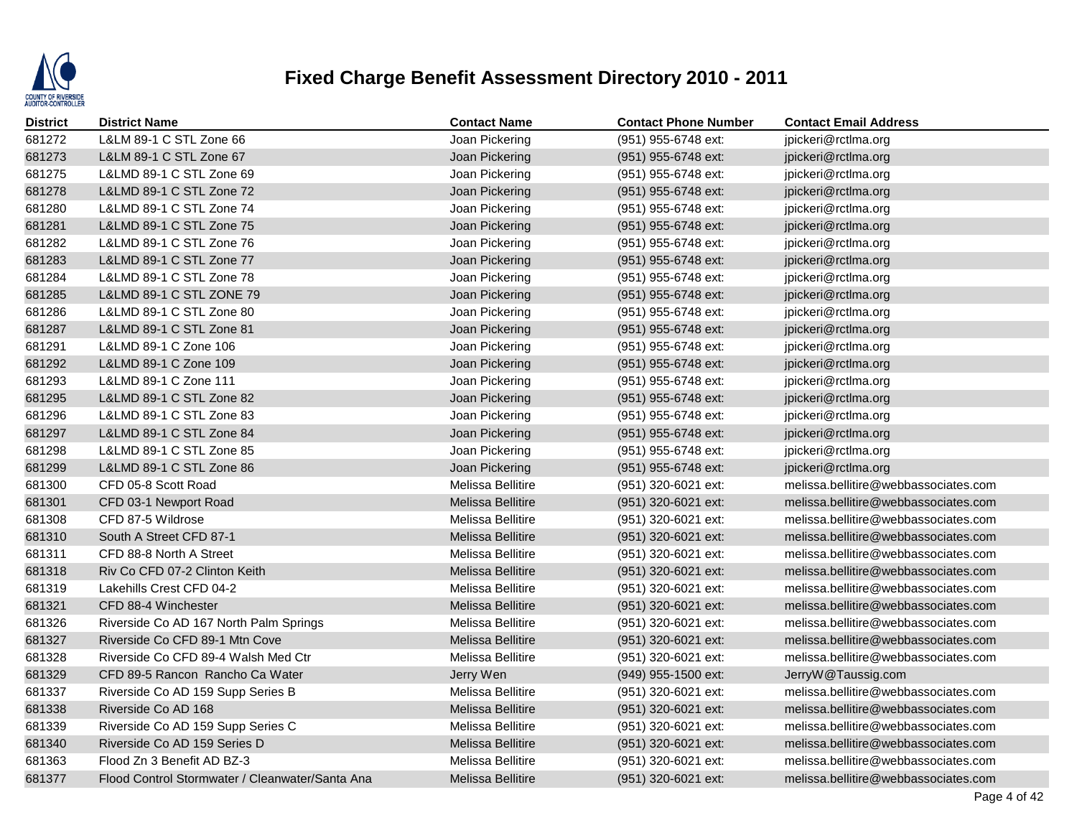

| <b>District</b> | <b>District Name</b>                            | <b>Contact Name</b>      | <b>Contact Phone Number</b> | <b>Contact Email Address</b>         |
|-----------------|-------------------------------------------------|--------------------------|-----------------------------|--------------------------------------|
| 681272          | L&LM 89-1 C STL Zone 66                         | Joan Pickering           | (951) 955-6748 ext:         | jpickeri@rctlma.org                  |
| 681273          | L&LM 89-1 C STL Zone 67                         | Joan Pickering           | (951) 955-6748 ext:         | jpickeri@rctlma.org                  |
| 681275          | L&LMD 89-1 C STL Zone 69                        | Joan Pickering           | (951) 955-6748 ext:         | jpickeri@rctlma.org                  |
| 681278          | L&LMD 89-1 C STL Zone 72                        | Joan Pickering           | (951) 955-6748 ext:         | jpickeri@rctlma.org                  |
| 681280          | L&LMD 89-1 C STL Zone 74                        | Joan Pickering           | (951) 955-6748 ext:         | jpickeri@rctlma.org                  |
| 681281          | L&LMD 89-1 C STL Zone 75                        | Joan Pickering           | (951) 955-6748 ext:         | jpickeri@rctlma.org                  |
| 681282          | L&LMD 89-1 C STL Zone 76                        | Joan Pickering           | (951) 955-6748 ext:         | jpickeri@rctlma.org                  |
| 681283          | L&LMD 89-1 C STL Zone 77                        | Joan Pickering           | (951) 955-6748 ext:         | jpickeri@rctlma.org                  |
| 681284          | L&LMD 89-1 C STL Zone 78                        | Joan Pickering           | (951) 955-6748 ext:         | jpickeri@rctlma.org                  |
| 681285          | L&LMD 89-1 C STL ZONE 79                        | Joan Pickering           | (951) 955-6748 ext:         | jpickeri@rctlma.org                  |
| 681286          | L&LMD 89-1 C STL Zone 80                        | Joan Pickering           | (951) 955-6748 ext:         | jpickeri@rctlma.org                  |
| 681287          | L&LMD 89-1 C STL Zone 81                        | Joan Pickering           | (951) 955-6748 ext:         | jpickeri@rctlma.org                  |
| 681291          | L&LMD 89-1 C Zone 106                           | Joan Pickering           | (951) 955-6748 ext:         | jpickeri@rctlma.org                  |
| 681292          | L&LMD 89-1 C Zone 109                           | Joan Pickering           | (951) 955-6748 ext:         | jpickeri@rctlma.org                  |
| 681293          | L&LMD 89-1 C Zone 111                           | Joan Pickering           | (951) 955-6748 ext:         | jpickeri@rctlma.org                  |
| 681295          | L&LMD 89-1 C STL Zone 82                        | Joan Pickering           | (951) 955-6748 ext:         | jpickeri@rctlma.org                  |
| 681296          | L&LMD 89-1 C STL Zone 83                        | Joan Pickering           | (951) 955-6748 ext:         | jpickeri@rctlma.org                  |
| 681297          | L&LMD 89-1 C STL Zone 84                        | Joan Pickering           | (951) 955-6748 ext:         | jpickeri@rctlma.org                  |
| 681298          | L&LMD 89-1 C STL Zone 85                        | Joan Pickering           | (951) 955-6748 ext:         | jpickeri@rctlma.org                  |
| 681299          | L&LMD 89-1 C STL Zone 86                        | Joan Pickering           | (951) 955-6748 ext:         | jpickeri@rctlma.org                  |
| 681300          | CFD 05-8 Scott Road                             | Melissa Bellitire        | (951) 320-6021 ext:         | melissa.bellitire@webbassociates.com |
| 681301          | CFD 03-1 Newport Road                           | Melissa Bellitire        | (951) 320-6021 ext:         | melissa.bellitire@webbassociates.com |
| 681308          | CFD 87-5 Wildrose                               | Melissa Bellitire        | (951) 320-6021 ext:         | melissa.bellitire@webbassociates.com |
| 681310          | South A Street CFD 87-1                         | <b>Melissa Bellitire</b> | (951) 320-6021 ext:         | melissa.bellitire@webbassociates.com |
| 681311          | CFD 88-8 North A Street                         | Melissa Bellitire        | (951) 320-6021 ext:         | melissa.bellitire@webbassociates.com |
| 681318          | Riv Co CFD 07-2 Clinton Keith                   | <b>Melissa Bellitire</b> | (951) 320-6021 ext:         | melissa.bellitire@webbassociates.com |
| 681319          | Lakehills Crest CFD 04-2                        | Melissa Bellitire        | (951) 320-6021 ext:         | melissa.bellitire@webbassociates.com |
| 681321          | CFD 88-4 Winchester                             | <b>Melissa Bellitire</b> | (951) 320-6021 ext:         | melissa.bellitire@webbassociates.com |
| 681326          | Riverside Co AD 167 North Palm Springs          | Melissa Bellitire        | (951) 320-6021 ext:         | melissa.bellitire@webbassociates.com |
| 681327          | Riverside Co CFD 89-1 Mtn Cove                  | <b>Melissa Bellitire</b> | (951) 320-6021 ext:         | melissa.bellitire@webbassociates.com |
| 681328          | Riverside Co CFD 89-4 Walsh Med Ctr             | Melissa Bellitire        | $(951)$ 320-6021 ext:       | melissa.bellitire@webbassociates.com |
| 681329          | CFD 89-5 Rancon Rancho Ca Water                 | Jerry Wen                | (949) 955-1500 ext:         | JerryW@Taussig.com                   |
| 681337          | Riverside Co AD 159 Supp Series B               | Melissa Bellitire        | (951) 320-6021 ext:         | melissa.bellitire@webbassociates.com |
| 681338          | Riverside Co AD 168                             | Melissa Bellitire        | (951) 320-6021 ext:         | melissa.bellitire@webbassociates.com |
| 681339          | Riverside Co AD 159 Supp Series C               | Melissa Bellitire        | (951) 320-6021 ext:         | melissa.bellitire@webbassociates.com |
| 681340          | Riverside Co AD 159 Series D                    | <b>Melissa Bellitire</b> | (951) 320-6021 ext:         | melissa.bellitire@webbassociates.com |
| 681363          | Flood Zn 3 Benefit AD BZ-3                      | Melissa Bellitire        | (951) 320-6021 ext:         | melissa.bellitire@webbassociates.com |
| 681377          | Flood Control Stormwater / Cleanwater/Santa Ana | Melissa Bellitire        | (951) 320-6021 ext:         | melissa.bellitire@webbassociates.com |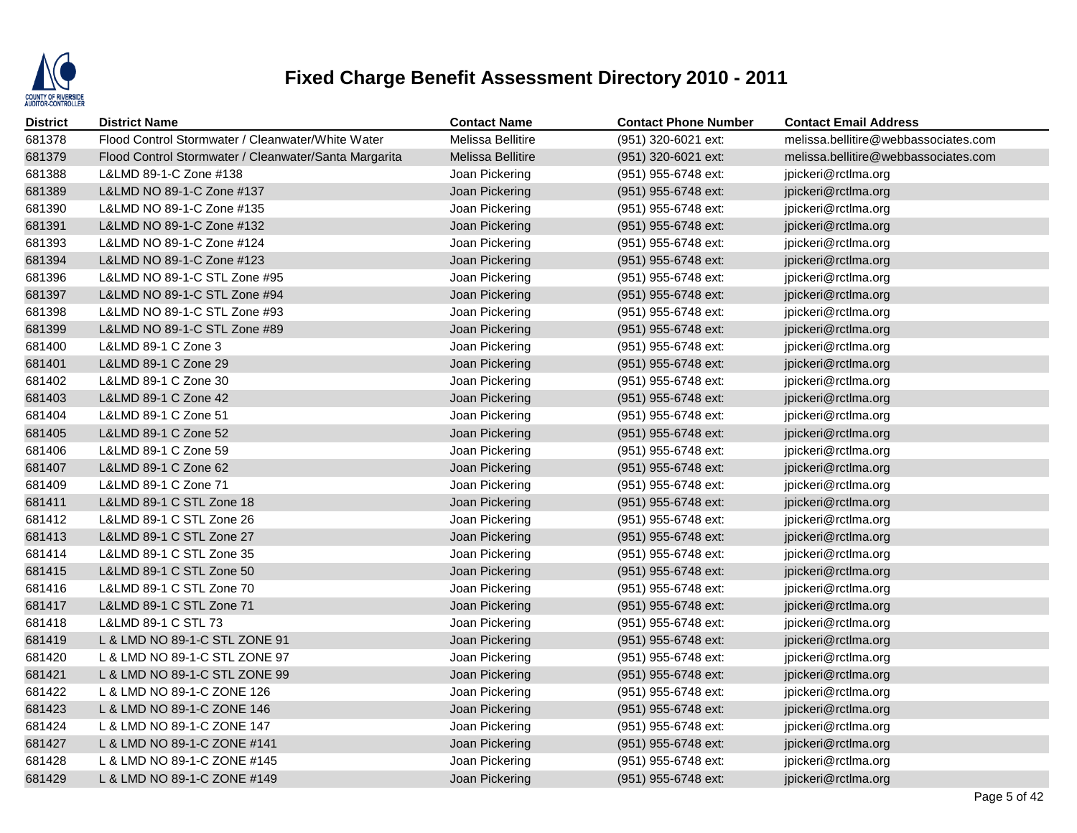

| <b>District</b> | <b>District Name</b>                                  | <b>Contact Name</b>      | <b>Contact Phone Number</b> | <b>Contact Email Address</b>         |
|-----------------|-------------------------------------------------------|--------------------------|-----------------------------|--------------------------------------|
| 681378          | Flood Control Stormwater / Cleanwater/White Water     | Melissa Bellitire        | (951) 320-6021 ext:         | melissa.bellitire@webbassociates.com |
| 681379          | Flood Control Stormwater / Cleanwater/Santa Margarita | <b>Melissa Bellitire</b> | (951) 320-6021 ext:         | melissa.bellitire@webbassociates.com |
| 681388          | L&LMD 89-1-C Zone #138                                | Joan Pickering           | (951) 955-6748 ext:         | jpickeri@rctlma.org                  |
| 681389          | L&LMD NO 89-1-C Zone #137                             | Joan Pickering           | (951) 955-6748 ext:         | jpickeri@rctlma.org                  |
| 681390          | L&LMD NO 89-1-C Zone #135                             | Joan Pickering           | (951) 955-6748 ext:         | jpickeri@rctlma.org                  |
| 681391          | L&LMD NO 89-1-C Zone #132                             | Joan Pickering           | (951) 955-6748 ext:         | jpickeri@rctlma.org                  |
| 681393          | L&LMD NO 89-1-C Zone #124                             | Joan Pickering           | (951) 955-6748 ext:         | jpickeri@rctlma.org                  |
| 681394          | L&LMD NO 89-1-C Zone #123                             | Joan Pickering           | (951) 955-6748 ext:         | jpickeri@rctlma.org                  |
| 681396          | L&LMD NO 89-1-C STL Zone #95                          | Joan Pickering           | (951) 955-6748 ext:         | jpickeri@rctlma.org                  |
| 681397          | L&LMD NO 89-1-C STL Zone #94                          | Joan Pickering           | (951) 955-6748 ext:         | jpickeri@rctlma.org                  |
| 681398          | L&LMD NO 89-1-C STL Zone #93                          | Joan Pickering           | (951) 955-6748 ext:         | jpickeri@rctlma.org                  |
| 681399          | L&LMD NO 89-1-C STL Zone #89                          | Joan Pickering           | (951) 955-6748 ext:         | jpickeri@rctlma.org                  |
| 681400          | L&LMD 89-1 C Zone 3                                   | Joan Pickering           | (951) 955-6748 ext:         | jpickeri@rctlma.org                  |
| 681401          | L&LMD 89-1 C Zone 29                                  | Joan Pickering           | (951) 955-6748 ext:         | jpickeri@rctlma.org                  |
| 681402          | L&LMD 89-1 C Zone 30                                  | Joan Pickering           | (951) 955-6748 ext:         | jpickeri@rctlma.org                  |
| 681403          | L&LMD 89-1 C Zone 42                                  | Joan Pickering           | (951) 955-6748 ext:         | jpickeri@rctlma.org                  |
| 681404          | L&LMD 89-1 C Zone 51                                  | Joan Pickering           | (951) 955-6748 ext:         | jpickeri@rctlma.org                  |
| 681405          | L&LMD 89-1 C Zone 52                                  | Joan Pickering           | (951) 955-6748 ext:         | jpickeri@rctlma.org                  |
| 681406          | L&LMD 89-1 C Zone 59                                  | Joan Pickering           | (951) 955-6748 ext:         | jpickeri@rctlma.org                  |
| 681407          | L&LMD 89-1 C Zone 62                                  | Joan Pickering           | (951) 955-6748 ext:         | jpickeri@rctlma.org                  |
| 681409          | L&LMD 89-1 C Zone 71                                  | Joan Pickering           | (951) 955-6748 ext:         | jpickeri@rctlma.org                  |
| 681411          | L&LMD 89-1 C STL Zone 18                              | Joan Pickering           | (951) 955-6748 ext:         | jpickeri@rctlma.org                  |
| 681412          | L&LMD 89-1 C STL Zone 26                              | Joan Pickering           | (951) 955-6748 ext:         | jpickeri@rctlma.org                  |
| 681413          | L&LMD 89-1 C STL Zone 27                              | Joan Pickering           | (951) 955-6748 ext:         | jpickeri@rctlma.org                  |
| 681414          | L&LMD 89-1 C STL Zone 35                              | Joan Pickering           | (951) 955-6748 ext:         | jpickeri@rctlma.org                  |
| 681415          | L&LMD 89-1 C STL Zone 50                              | Joan Pickering           | (951) 955-6748 ext:         | jpickeri@rctlma.org                  |
| 681416          | L&LMD 89-1 C STL Zone 70                              | Joan Pickering           | (951) 955-6748 ext:         | jpickeri@rctlma.org                  |
| 681417          | L&LMD 89-1 C STL Zone 71                              | Joan Pickering           | (951) 955-6748 ext:         | jpickeri@rctlma.org                  |
| 681418          | L&LMD 89-1 C STL 73                                   | Joan Pickering           | (951) 955-6748 ext:         | jpickeri@rctlma.org                  |
| 681419          | L & LMD NO 89-1-C STL ZONE 91                         | Joan Pickering           | (951) 955-6748 ext:         | jpickeri@rctlma.org                  |
| 681420          | L & LMD NO 89-1-C STL ZONE 97                         | Joan Pickering           | (951) 955-6748 ext:         | jpickeri@rctlma.org                  |
| 681421          | L & LMD NO 89-1-C STL ZONE 99                         | Joan Pickering           | (951) 955-6748 ext:         | jpickeri@rctlma.org                  |
| 681422          | L & LMD NO 89-1-C ZONE 126                            | Joan Pickering           | (951) 955-6748 ext:         | jpickeri@rctlma.org                  |
| 681423          | L & LMD NO 89-1-C ZONE 146                            | Joan Pickering           | (951) 955-6748 ext:         | jpickeri@rctlma.org                  |
| 681424          | L & LMD NO 89-1-C ZONE 147                            | Joan Pickering           | (951) 955-6748 ext:         | jpickeri@rctlma.org                  |
| 681427          | L & LMD NO 89-1-C ZONE #141                           | Joan Pickering           | (951) 955-6748 ext:         | jpickeri@rctlma.org                  |
| 681428          | L & LMD NO 89-1-C ZONE #145                           | Joan Pickering           | (951) 955-6748 ext:         | jpickeri@rctlma.org                  |
| 681429          | L & LMD NO 89-1-C ZONE #149                           | Joan Pickering           | (951) 955-6748 ext:         | jpickeri@rctlma.org                  |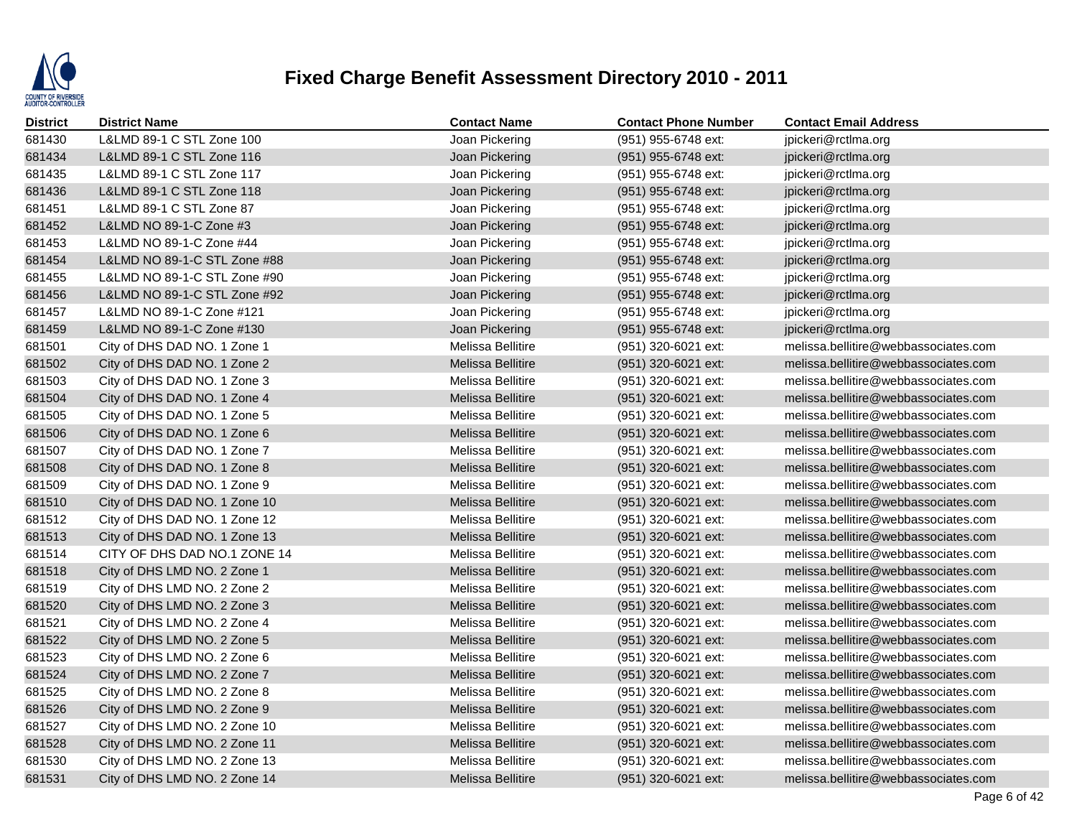

| <b>District</b> | <b>District Name</b>          | <b>Contact Name</b>      | <b>Contact Phone Number</b> | <b>Contact Email Address</b>         |
|-----------------|-------------------------------|--------------------------|-----------------------------|--------------------------------------|
| 681430          | L&LMD 89-1 C STL Zone 100     | Joan Pickering           | (951) 955-6748 ext:         | jpickeri@rctlma.org                  |
| 681434          | L&LMD 89-1 C STL Zone 116     | Joan Pickering           | (951) 955-6748 ext:         | jpickeri@rctlma.org                  |
| 681435          | L&LMD 89-1 C STL Zone 117     | Joan Pickering           | (951) 955-6748 ext:         | jpickeri@rctlma.org                  |
| 681436          | L&LMD 89-1 C STL Zone 118     | Joan Pickering           | (951) 955-6748 ext:         | jpickeri@rctlma.org                  |
| 681451          | L&LMD 89-1 C STL Zone 87      | Joan Pickering           | (951) 955-6748 ext:         | jpickeri@rctlma.org                  |
| 681452          | L&LMD NO 89-1-C Zone #3       | Joan Pickering           | (951) 955-6748 ext:         | jpickeri@rctlma.org                  |
| 681453          | L&LMD NO 89-1-C Zone #44      | Joan Pickering           | (951) 955-6748 ext:         | jpickeri@rctlma.org                  |
| 681454          | L&LMD NO 89-1-C STL Zone #88  | Joan Pickering           | $(951)$ 955-6748 ext:       | jpickeri@rctlma.org                  |
| 681455          | L&LMD NO 89-1-C STL Zone #90  | Joan Pickering           | (951) 955-6748 ext:         | jpickeri@rctlma.org                  |
| 681456          | L&LMD NO 89-1-C STL Zone #92  | Joan Pickering           | (951) 955-6748 ext:         | jpickeri@rctlma.org                  |
| 681457          | L&LMD NO 89-1-C Zone #121     | Joan Pickering           | (951) 955-6748 ext:         | jpickeri@rctlma.org                  |
| 681459          | L&LMD NO 89-1-C Zone #130     | Joan Pickering           | (951) 955-6748 ext:         | jpickeri@rctlma.org                  |
| 681501          | City of DHS DAD NO. 1 Zone 1  | Melissa Bellitire        | (951) 320-6021 ext:         | melissa.bellitire@webbassociates.com |
| 681502          | City of DHS DAD NO. 1 Zone 2  | Melissa Bellitire        | (951) 320-6021 ext:         | melissa.bellitire@webbassociates.com |
| 681503          | City of DHS DAD NO. 1 Zone 3  | Melissa Bellitire        | (951) 320-6021 ext:         | melissa.bellitire@webbassociates.com |
| 681504          | City of DHS DAD NO. 1 Zone 4  | Melissa Bellitire        | (951) 320-6021 ext:         | melissa.bellitire@webbassociates.com |
| 681505          | City of DHS DAD NO. 1 Zone 5  | Melissa Bellitire        | (951) 320-6021 ext:         | melissa.bellitire@webbassociates.com |
| 681506          | City of DHS DAD NO. 1 Zone 6  | Melissa Bellitire        | (951) 320-6021 ext:         | melissa.bellitire@webbassociates.com |
| 681507          | City of DHS DAD NO. 1 Zone 7  | Melissa Bellitire        | (951) 320-6021 ext:         | melissa.bellitire@webbassociates.com |
| 681508          | City of DHS DAD NO. 1 Zone 8  | <b>Melissa Bellitire</b> | (951) 320-6021 ext:         | melissa.bellitire@webbassociates.com |
| 681509          | City of DHS DAD NO. 1 Zone 9  | Melissa Bellitire        | (951) 320-6021 ext:         | melissa.bellitire@webbassociates.com |
| 681510          | City of DHS DAD NO. 1 Zone 10 | <b>Melissa Bellitire</b> | (951) 320-6021 ext:         | melissa.bellitire@webbassociates.com |
| 681512          | City of DHS DAD NO. 1 Zone 12 | Melissa Bellitire        | (951) 320-6021 ext:         | melissa.bellitire@webbassociates.com |
| 681513          | City of DHS DAD NO. 1 Zone 13 | Melissa Bellitire        | (951) 320-6021 ext:         | melissa.bellitire@webbassociates.com |
| 681514          | CITY OF DHS DAD NO.1 ZONE 14  | Melissa Bellitire        | (951) 320-6021 ext:         | melissa.bellitire@webbassociates.com |
| 681518          | City of DHS LMD NO. 2 Zone 1  | <b>Melissa Bellitire</b> | (951) 320-6021 ext:         | melissa.bellitire@webbassociates.com |
| 681519          | City of DHS LMD NO. 2 Zone 2  | Melissa Bellitire        | (951) 320-6021 ext:         | melissa.bellitire@webbassociates.com |
| 681520          | City of DHS LMD NO. 2 Zone 3  | <b>Melissa Bellitire</b> | (951) 320-6021 ext:         | melissa.bellitire@webbassociates.com |
| 681521          | City of DHS LMD NO. 2 Zone 4  | Melissa Bellitire        | (951) 320-6021 ext:         | melissa.bellitire@webbassociates.com |
| 681522          | City of DHS LMD NO. 2 Zone 5  | Melissa Bellitire        | (951) 320-6021 ext:         | melissa.bellitire@webbassociates.com |
| 681523          | City of DHS LMD NO. 2 Zone 6  | Melissa Bellitire        | (951) 320-6021 ext:         | melissa.bellitire@webbassociates.com |
| 681524          | City of DHS LMD NO. 2 Zone 7  | Melissa Bellitire        | $(951)$ 320-6021 ext:       | melissa.bellitire@webbassociates.com |
| 681525          | City of DHS LMD NO. 2 Zone 8  | Melissa Bellitire        | (951) 320-6021 ext:         | melissa.bellitire@webbassociates.com |
| 681526          | City of DHS LMD NO. 2 Zone 9  | <b>Melissa Bellitire</b> | (951) 320-6021 ext:         | melissa.bellitire@webbassociates.com |
| 681527          | City of DHS LMD NO. 2 Zone 10 | Melissa Bellitire        | (951) 320-6021 ext:         | melissa.bellitire@webbassociates.com |
| 681528          | City of DHS LMD NO. 2 Zone 11 | Melissa Bellitire        | (951) 320-6021 ext:         | melissa.bellitire@webbassociates.com |
| 681530          | City of DHS LMD NO. 2 Zone 13 | Melissa Bellitire        | (951) 320-6021 ext:         | melissa.bellitire@webbassociates.com |
| 681531          | City of DHS LMD NO. 2 Zone 14 | <b>Melissa Bellitire</b> | (951) 320-6021 ext:         | melissa.bellitire@webbassociates.com |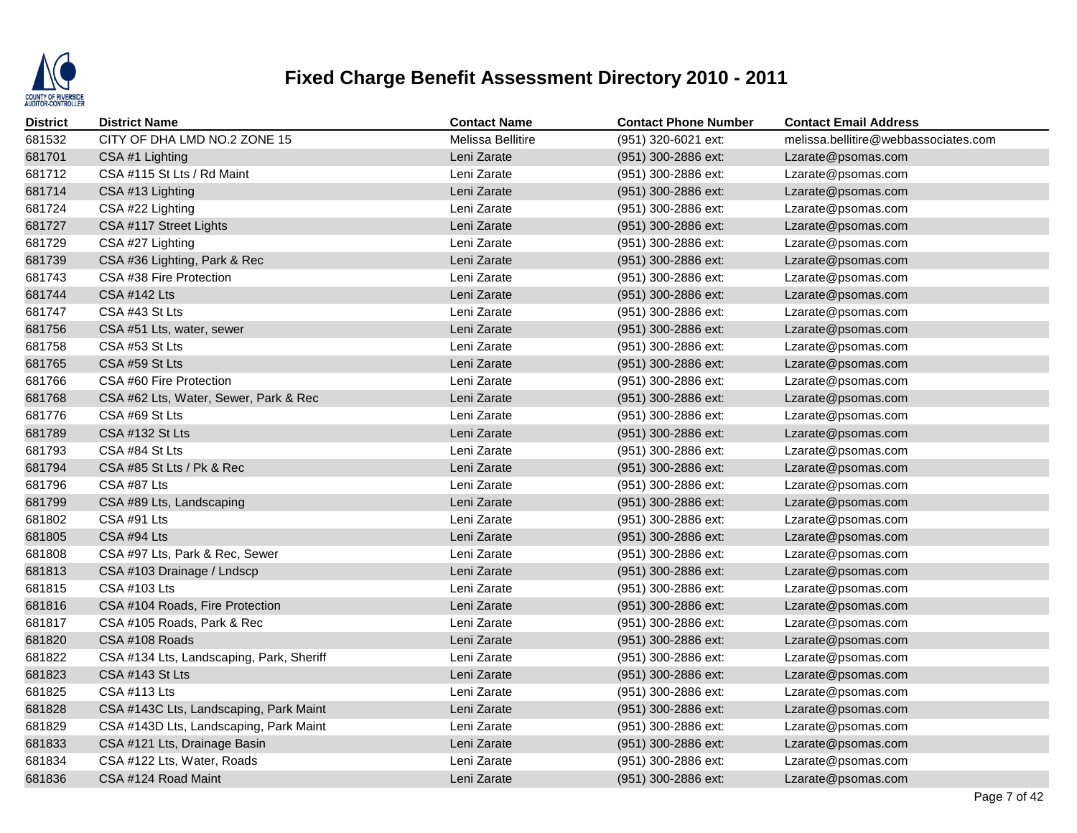

| <b>District</b> | <b>District Name</b>                     | <b>Contact Name</b> | <b>Contact Phone Number</b> | <b>Contact Email Address</b>         |
|-----------------|------------------------------------------|---------------------|-----------------------------|--------------------------------------|
| 681532          | CITY OF DHA LMD NO.2 ZONE 15             | Melissa Bellitire   | (951) 320-6021 ext:         | melissa.bellitire@webbassociates.com |
| 681701          | CSA #1 Lighting                          | Leni Zarate         | (951) 300-2886 ext:         | Lzarate@psomas.com                   |
| 681712          | CSA #115 St Lts / Rd Maint               | Leni Zarate         | (951) 300-2886 ext:         | Lzarate@psomas.com                   |
| 681714          | CSA #13 Lighting                         | Leni Zarate         | (951) 300-2886 ext:         | Lzarate@psomas.com                   |
| 681724          | CSA #22 Lighting                         | Leni Zarate         | (951) 300-2886 ext:         | Lzarate@psomas.com                   |
| 681727          | CSA #117 Street Lights                   | Leni Zarate         | (951) 300-2886 ext:         | Lzarate@psomas.com                   |
| 681729          | CSA #27 Lighting                         | Leni Zarate         | (951) 300-2886 ext:         | Lzarate@psomas.com                   |
| 681739          | CSA #36 Lighting, Park & Rec             | Leni Zarate         | (951) 300-2886 ext:         | Lzarate@psomas.com                   |
| 681743          | CSA #38 Fire Protection                  | Leni Zarate         | (951) 300-2886 ext:         | Lzarate@psomas.com                   |
| 681744          | <b>CSA #142 Lts</b>                      | Leni Zarate         | (951) 300-2886 ext:         | Lzarate@psomas.com                   |
| 681747          | CSA #43 St Lts                           | Leni Zarate         | (951) 300-2886 ext:         | Lzarate@psomas.com                   |
| 681756          | CSA #51 Lts, water, sewer                | Leni Zarate         | (951) 300-2886 ext:         | Lzarate@psomas.com                   |
| 681758          | CSA #53 St Lts                           | Leni Zarate         | (951) 300-2886 ext:         | Lzarate@psomas.com                   |
| 681765          | CSA #59 St Lts                           | Leni Zarate         | (951) 300-2886 ext:         | Lzarate@psomas.com                   |
| 681766          | CSA #60 Fire Protection                  | Leni Zarate         | (951) 300-2886 ext:         | Lzarate@psomas.com                   |
| 681768          | CSA #62 Lts, Water, Sewer, Park & Rec    | Leni Zarate         | (951) 300-2886 ext:         | Lzarate@psomas.com                   |
| 681776          | CSA #69 St Lts                           | Leni Zarate         | (951) 300-2886 ext:         | Lzarate@psomas.com                   |
| 681789          | CSA #132 St Lts                          | Leni Zarate         | (951) 300-2886 ext:         | Lzarate@psomas.com                   |
| 681793          | CSA #84 St Lts                           | Leni Zarate         | (951) 300-2886 ext:         | Lzarate@psomas.com                   |
| 681794          | CSA #85 St Lts / Pk & Rec                | Leni Zarate         | (951) 300-2886 ext:         | Lzarate@psomas.com                   |
| 681796          | CSA #87 Lts                              | Leni Zarate         | (951) 300-2886 ext:         | Lzarate@psomas.com                   |
| 681799          | CSA #89 Lts, Landscaping                 | Leni Zarate         | (951) 300-2886 ext:         | Lzarate@psomas.com                   |
| 681802          | CSA #91 Lts                              | Leni Zarate         | (951) 300-2886 ext:         | Lzarate@psomas.com                   |
| 681805          | CSA #94 Lts                              | Leni Zarate         | (951) 300-2886 ext:         | Lzarate@psomas.com                   |
| 681808          | CSA #97 Lts, Park & Rec, Sewer           | Leni Zarate         | (951) 300-2886 ext:         | Lzarate@psomas.com                   |
| 681813          | CSA #103 Drainage / Lndscp               | Leni Zarate         | (951) 300-2886 ext:         | Lzarate@psomas.com                   |
| 681815          | CSA #103 Lts                             | Leni Zarate         | (951) 300-2886 ext:         | Lzarate@psomas.com                   |
| 681816          | CSA #104 Roads, Fire Protection          | Leni Zarate         | (951) 300-2886 ext:         | Lzarate@psomas.com                   |
| 681817          | CSA #105 Roads, Park & Rec               | Leni Zarate         | (951) 300-2886 ext:         | Lzarate@psomas.com                   |
| 681820          | CSA #108 Roads                           | Leni Zarate         | (951) 300-2886 ext:         | Lzarate@psomas.com                   |
| 681822          | CSA #134 Lts, Landscaping, Park, Sheriff | Leni Zarate         | (951) 300-2886 ext:         | Lzarate@psomas.com                   |
| 681823          | CSA #143 St Lts                          | Leni Zarate         | (951) 300-2886 ext:         | Lzarate@psomas.com                   |
| 681825          | <b>CSA #113 Lts</b>                      | Leni Zarate         | (951) 300-2886 ext:         | Lzarate@psomas.com                   |
| 681828          | CSA #143C Lts, Landscaping, Park Maint   | Leni Zarate         | (951) 300-2886 ext:         | Lzarate@psomas.com                   |
| 681829          | CSA #143D Lts, Landscaping, Park Maint   | Leni Zarate         | (951) 300-2886 ext:         | Lzarate@psomas.com                   |
| 681833          | CSA #121 Lts, Drainage Basin             | Leni Zarate         | (951) 300-2886 ext:         | Lzarate@psomas.com                   |
| 681834          | CSA #122 Lts, Water, Roads               | Leni Zarate         | (951) 300-2886 ext:         | Lzarate@psomas.com                   |
| 681836          | CSA #124 Road Maint                      | Leni Zarate         | (951) 300-2886 ext:         | Lzarate@psomas.com                   |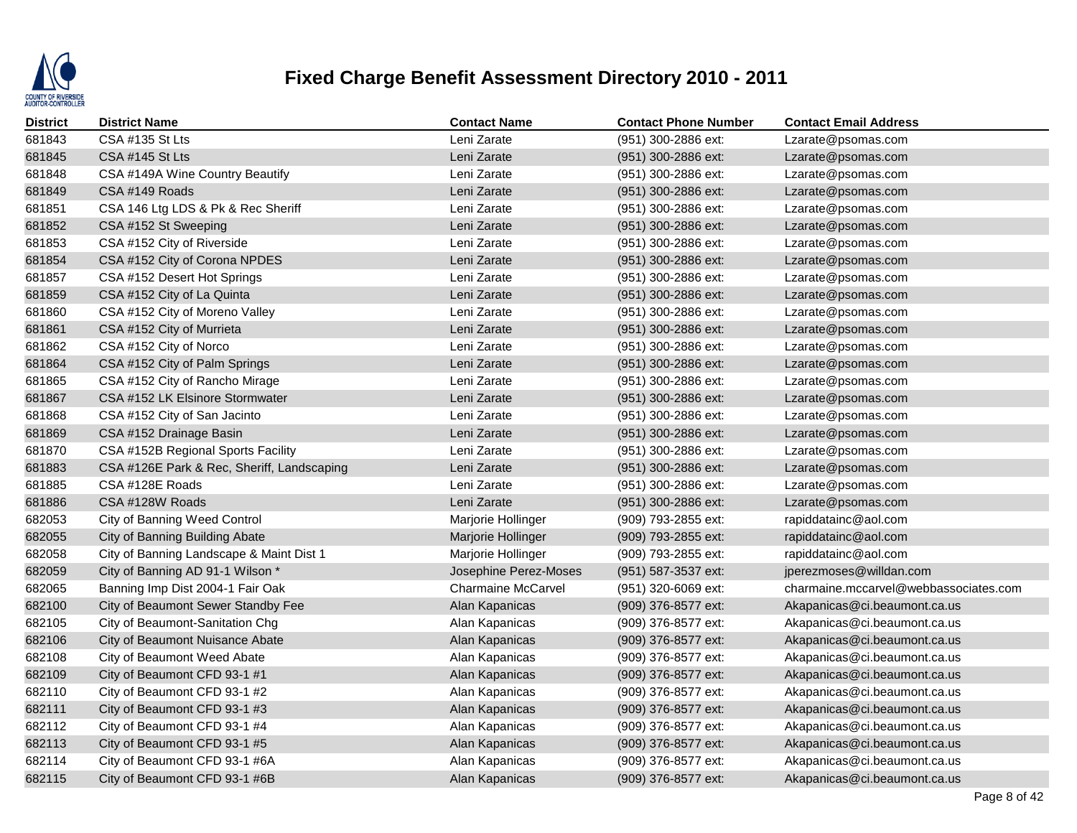

| <b>District</b> | <b>District Name</b>                       | <b>Contact Name</b>       | <b>Contact Phone Number</b> | <b>Contact Email Address</b>          |
|-----------------|--------------------------------------------|---------------------------|-----------------------------|---------------------------------------|
| 681843          | <b>CSA #135 St Lts</b>                     | Leni Zarate               | (951) 300-2886 ext:         | Lzarate@psomas.com                    |
| 681845          | CSA #145 St Lts                            | Leni Zarate               | (951) 300-2886 ext:         | Lzarate@psomas.com                    |
| 681848          | CSA #149A Wine Country Beautify            | Leni Zarate               | (951) 300-2886 ext:         | Lzarate@psomas.com                    |
| 681849          | CSA #149 Roads                             | Leni Zarate               | (951) 300-2886 ext:         | Lzarate@psomas.com                    |
| 681851          | CSA 146 Ltg LDS & Pk & Rec Sheriff         | Leni Zarate               | (951) 300-2886 ext:         | Lzarate@psomas.com                    |
| 681852          | CSA #152 St Sweeping                       | Leni Zarate               | (951) 300-2886 ext:         | Lzarate@psomas.com                    |
| 681853          | CSA #152 City of Riverside                 | Leni Zarate               | (951) 300-2886 ext:         | Lzarate@psomas.com                    |
| 681854          | CSA #152 City of Corona NPDES              | Leni Zarate               | (951) 300-2886 ext:         | Lzarate@psomas.com                    |
| 681857          | CSA #152 Desert Hot Springs                | Leni Zarate               | (951) 300-2886 ext:         | Lzarate@psomas.com                    |
| 681859          | CSA #152 City of La Quinta                 | Leni Zarate               | (951) 300-2886 ext:         | Lzarate@psomas.com                    |
| 681860          | CSA #152 City of Moreno Valley             | Leni Zarate               | (951) 300-2886 ext:         | Lzarate@psomas.com                    |
| 681861          | CSA #152 City of Murrieta                  | Leni Zarate               | (951) 300-2886 ext:         | Lzarate@psomas.com                    |
| 681862          | CSA #152 City of Norco                     | Leni Zarate               | (951) 300-2886 ext:         | Lzarate@psomas.com                    |
| 681864          | CSA #152 City of Palm Springs              | Leni Zarate               | (951) 300-2886 ext:         | Lzarate@psomas.com                    |
| 681865          | CSA #152 City of Rancho Mirage             | Leni Zarate               | (951) 300-2886 ext:         | Lzarate@psomas.com                    |
| 681867          | CSA #152 LK Elsinore Stormwater            | Leni Zarate               | (951) 300-2886 ext:         | Lzarate@psomas.com                    |
| 681868          | CSA #152 City of San Jacinto               | Leni Zarate               | (951) 300-2886 ext:         | Lzarate@psomas.com                    |
| 681869          | CSA #152 Drainage Basin                    | Leni Zarate               | (951) 300-2886 ext:         | Lzarate@psomas.com                    |
| 681870          | CSA #152B Regional Sports Facility         | Leni Zarate               | (951) 300-2886 ext:         | Lzarate@psomas.com                    |
| 681883          | CSA #126E Park & Rec, Sheriff, Landscaping | Leni Zarate               | (951) 300-2886 ext:         | Lzarate@psomas.com                    |
| 681885          | CSA #128E Roads                            | Leni Zarate               | (951) 300-2886 ext:         | Lzarate@psomas.com                    |
| 681886          | CSA #128W Roads                            | Leni Zarate               | (951) 300-2886 ext:         | Lzarate@psomas.com                    |
| 682053          | City of Banning Weed Control               | Marjorie Hollinger        | (909) 793-2855 ext:         | rapiddatainc@aol.com                  |
| 682055          | City of Banning Building Abate             | Marjorie Hollinger        | (909) 793-2855 ext:         | rapiddatainc@aol.com                  |
| 682058          | City of Banning Landscape & Maint Dist 1   | Marjorie Hollinger        | (909) 793-2855 ext:         | rapiddatainc@aol.com                  |
| 682059          | City of Banning AD 91-1 Wilson *           | Josephine Perez-Moses     | (951) 587-3537 ext:         | jperezmoses@willdan.com               |
| 682065          | Banning Imp Dist 2004-1 Fair Oak           | <b>Charmaine McCarvel</b> | (951) 320-6069 ext:         | charmaine.mccarvel@webbassociates.com |
| 682100          | City of Beaumont Sewer Standby Fee         | Alan Kapanicas            | (909) 376-8577 ext:         | Akapanicas@ci.beaumont.ca.us          |
| 682105          | City of Beaumont-Sanitation Chg            | Alan Kapanicas            | (909) 376-8577 ext:         | Akapanicas@ci.beaumont.ca.us          |
| 682106          | City of Beaumont Nuisance Abate            | Alan Kapanicas            | (909) 376-8577 ext:         | Akapanicas@ci.beaumont.ca.us          |
| 682108          | City of Beaumont Weed Abate                | Alan Kapanicas            | (909) 376-8577 ext:         | Akapanicas@ci.beaumont.ca.us          |
| 682109          | City of Beaumont CFD 93-1 #1               | Alan Kapanicas            | (909) 376-8577 ext:         | Akapanicas@ci.beaumont.ca.us          |
| 682110          | City of Beaumont CFD 93-1 #2               | Alan Kapanicas            | (909) 376-8577 ext:         | Akapanicas@ci.beaumont.ca.us          |
| 682111          | City of Beaumont CFD 93-1 #3               | Alan Kapanicas            | (909) 376-8577 ext:         | Akapanicas@ci.beaumont.ca.us          |
| 682112          | City of Beaumont CFD 93-1 #4               | Alan Kapanicas            | (909) 376-8577 ext:         | Akapanicas@ci.beaumont.ca.us          |
| 682113          | City of Beaumont CFD 93-1 #5               | Alan Kapanicas            | (909) 376-8577 ext:         | Akapanicas@ci.beaumont.ca.us          |
| 682114          | City of Beaumont CFD 93-1 #6A              | Alan Kapanicas            | (909) 376-8577 ext:         | Akapanicas@ci.beaumont.ca.us          |
| 682115          | City of Beaumont CFD 93-1 #6B              | Alan Kapanicas            | (909) 376-8577 ext:         | Akapanicas@ci.beaumont.ca.us          |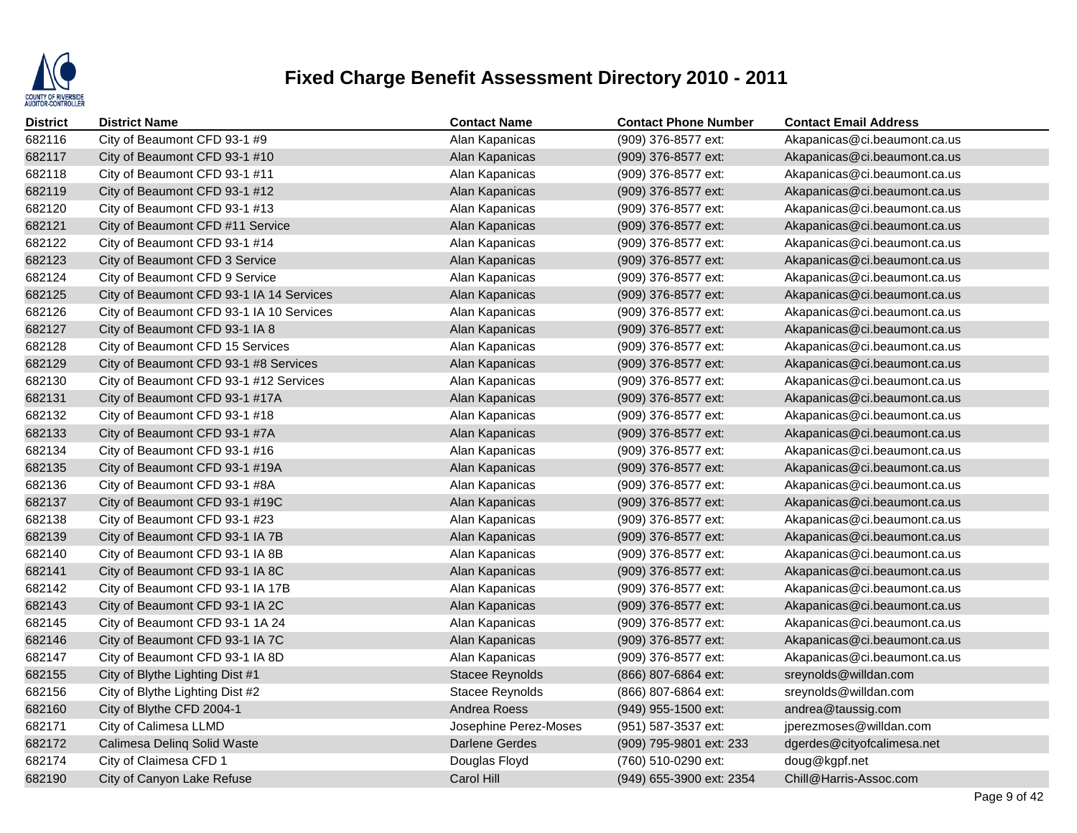

| District | <b>District Name</b>                     | <b>Contact Name</b>   | <b>Contact Phone Number</b> | <b>Contact Email Address</b> |
|----------|------------------------------------------|-----------------------|-----------------------------|------------------------------|
| 682116   | City of Beaumont CFD 93-1 #9             | Alan Kapanicas        | (909) 376-8577 ext:         | Akapanicas@ci.beaumont.ca.us |
| 682117   | City of Beaumont CFD 93-1 #10            | Alan Kapanicas        | (909) 376-8577 ext:         | Akapanicas@ci.beaumont.ca.us |
| 682118   | City of Beaumont CFD 93-1 #11            | Alan Kapanicas        | (909) 376-8577 ext:         | Akapanicas@ci.beaumont.ca.us |
| 682119   | City of Beaumont CFD 93-1 #12            | Alan Kapanicas        | (909) 376-8577 ext:         | Akapanicas@ci.beaumont.ca.us |
| 682120   | City of Beaumont CFD 93-1 #13            | Alan Kapanicas        | (909) 376-8577 ext:         | Akapanicas@ci.beaumont.ca.us |
| 682121   | City of Beaumont CFD #11 Service         | Alan Kapanicas        | (909) 376-8577 ext:         | Akapanicas@ci.beaumont.ca.us |
| 682122   | City of Beaumont CFD 93-1 #14            | Alan Kapanicas        | (909) 376-8577 ext:         | Akapanicas@ci.beaumont.ca.us |
| 682123   | City of Beaumont CFD 3 Service           | Alan Kapanicas        | (909) 376-8577 ext:         | Akapanicas@ci.beaumont.ca.us |
| 682124   | City of Beaumont CFD 9 Service           | Alan Kapanicas        | (909) 376-8577 ext:         | Akapanicas@ci.beaumont.ca.us |
| 682125   | City of Beaumont CFD 93-1 IA 14 Services | Alan Kapanicas        | (909) 376-8577 ext:         | Akapanicas@ci.beaumont.ca.us |
| 682126   | City of Beaumont CFD 93-1 IA 10 Services | Alan Kapanicas        | (909) 376-8577 ext:         | Akapanicas@ci.beaumont.ca.us |
| 682127   | City of Beaumont CFD 93-1 IA 8           | Alan Kapanicas        | (909) 376-8577 ext:         | Akapanicas@ci.beaumont.ca.us |
| 682128   | City of Beaumont CFD 15 Services         | Alan Kapanicas        | (909) 376-8577 ext:         | Akapanicas@ci.beaumont.ca.us |
| 682129   | City of Beaumont CFD 93-1 #8 Services    | Alan Kapanicas        | (909) 376-8577 ext:         | Akapanicas@ci.beaumont.ca.us |
| 682130   | City of Beaumont CFD 93-1 #12 Services   | Alan Kapanicas        | (909) 376-8577 ext:         | Akapanicas@ci.beaumont.ca.us |
| 682131   | City of Beaumont CFD 93-1 #17A           | Alan Kapanicas        | (909) 376-8577 ext:         | Akapanicas@ci.beaumont.ca.us |
| 682132   | City of Beaumont CFD 93-1 #18            | Alan Kapanicas        | (909) 376-8577 ext:         | Akapanicas@ci.beaumont.ca.us |
| 682133   | City of Beaumont CFD 93-1 #7A            | Alan Kapanicas        | (909) 376-8577 ext:         | Akapanicas@ci.beaumont.ca.us |
| 682134   | City of Beaumont CFD 93-1 #16            | Alan Kapanicas        | (909) 376-8577 ext:         | Akapanicas@ci.beaumont.ca.us |
| 682135   | City of Beaumont CFD 93-1 #19A           | Alan Kapanicas        | (909) 376-8577 ext:         | Akapanicas@ci.beaumont.ca.us |
| 682136   | City of Beaumont CFD 93-1 #8A            | Alan Kapanicas        | (909) 376-8577 ext:         | Akapanicas@ci.beaumont.ca.us |
| 682137   | City of Beaumont CFD 93-1 #19C           | Alan Kapanicas        | (909) 376-8577 ext:         | Akapanicas@ci.beaumont.ca.us |
| 682138   | City of Beaumont CFD 93-1 #23            | Alan Kapanicas        | (909) 376-8577 ext:         | Akapanicas@ci.beaumont.ca.us |
| 682139   | City of Beaumont CFD 93-1 IA 7B          | Alan Kapanicas        | (909) 376-8577 ext:         | Akapanicas@ci.beaumont.ca.us |
| 682140   | City of Beaumont CFD 93-1 IA 8B          | Alan Kapanicas        | (909) 376-8577 ext:         | Akapanicas@ci.beaumont.ca.us |
| 682141   | City of Beaumont CFD 93-1 IA 8C          | Alan Kapanicas        | (909) 376-8577 ext:         | Akapanicas@ci.beaumont.ca.us |
| 682142   | City of Beaumont CFD 93-1 IA 17B         | Alan Kapanicas        | (909) 376-8577 ext:         | Akapanicas@ci.beaumont.ca.us |
| 682143   | City of Beaumont CFD 93-1 IA 2C          | Alan Kapanicas        | (909) 376-8577 ext:         | Akapanicas@ci.beaumont.ca.us |
| 682145   | City of Beaumont CFD 93-1 1A 24          | Alan Kapanicas        | (909) 376-8577 ext:         | Akapanicas@ci.beaumont.ca.us |
| 682146   | City of Beaumont CFD 93-1 IA 7C          | Alan Kapanicas        | (909) 376-8577 ext:         | Akapanicas@ci.beaumont.ca.us |
| 682147   | City of Beaumont CFD 93-1 IA 8D          | Alan Kapanicas        | (909) 376-8577 ext:         | Akapanicas@ci.beaumont.ca.us |
| 682155   | City of Blythe Lighting Dist #1          | Stacee Reynolds       | (866) 807-6864 ext:         | sreynolds@willdan.com        |
| 682156   | City of Blythe Lighting Dist #2          | Stacee Reynolds       | (866) 807-6864 ext:         | sreynolds@willdan.com        |
| 682160   | City of Blythe CFD 2004-1                | Andrea Roess          | (949) 955-1500 ext:         | andrea@taussig.com           |
| 682171   | City of Calimesa LLMD                    | Josephine Perez-Moses | (951) 587-3537 ext:         | jperezmoses@willdan.com      |
| 682172   | Calimesa Delinq Solid Waste              | <b>Darlene Gerdes</b> | (909) 795-9801 ext: 233     | dgerdes@cityofcalimesa.net   |
| 682174   | City of Claimesa CFD 1                   | Douglas Floyd         | (760) 510-0290 ext:         | doug@kgpf.net                |
| 682190   | City of Canyon Lake Refuse               | Carol Hill            | (949) 655-3900 ext: 2354    | Chill@Harris-Assoc.com       |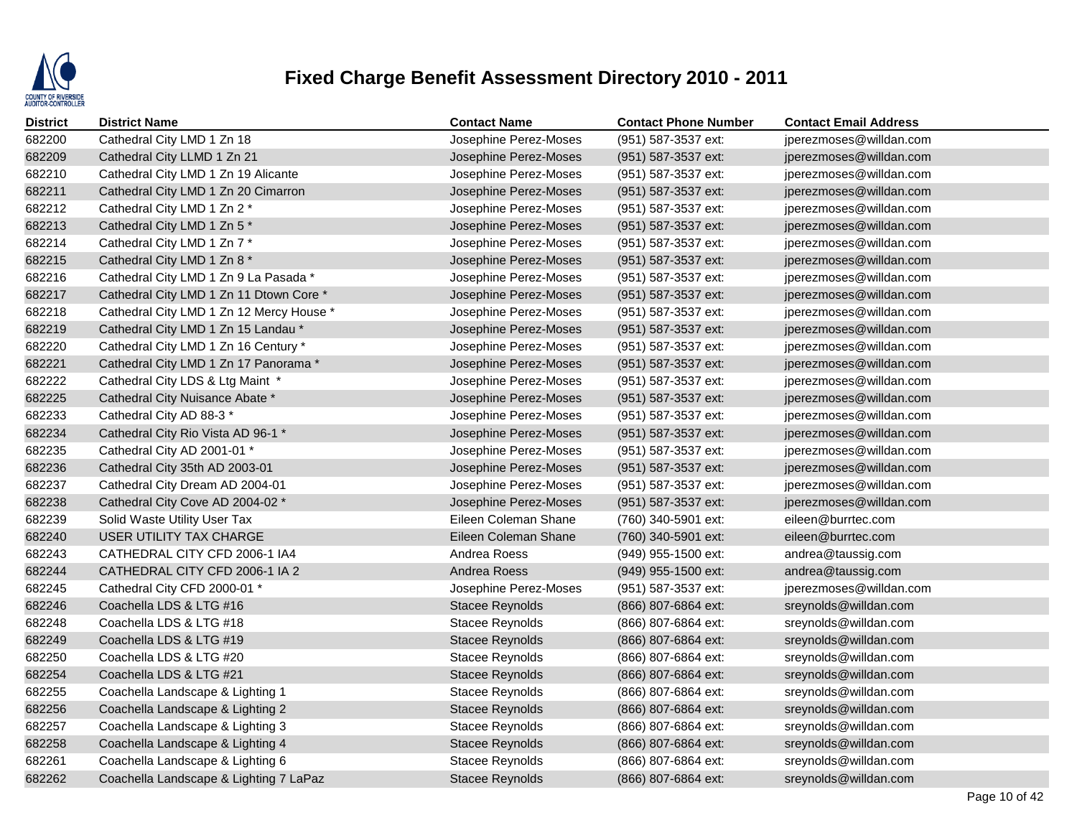

| District | <b>District Name</b>                     | <b>Contact Name</b>    | <b>Contact Phone Number</b> | <b>Contact Email Address</b> |
|----------|------------------------------------------|------------------------|-----------------------------|------------------------------|
| 682200   | Cathedral City LMD 1 Zn 18               | Josephine Perez-Moses  | (951) 587-3537 ext:         | jperezmoses@willdan.com      |
| 682209   | Cathedral City LLMD 1 Zn 21              | Josephine Perez-Moses  | (951) 587-3537 ext:         | jperezmoses@willdan.com      |
| 682210   | Cathedral City LMD 1 Zn 19 Alicante      | Josephine Perez-Moses  | (951) 587-3537 ext:         | jperezmoses@willdan.com      |
| 682211   | Cathedral City LMD 1 Zn 20 Cimarron      | Josephine Perez-Moses  | (951) 587-3537 ext:         | jperezmoses@willdan.com      |
| 682212   | Cathedral City LMD 1 Zn 2 *              | Josephine Perez-Moses  | (951) 587-3537 ext:         | jperezmoses@willdan.com      |
| 682213   | Cathedral City LMD 1 Zn 5 *              | Josephine Perez-Moses  | (951) 587-3537 ext:         | jperezmoses@willdan.com      |
| 682214   | Cathedral City LMD 1 Zn 7 *              | Josephine Perez-Moses  | (951) 587-3537 ext:         | jperezmoses@willdan.com      |
| 682215   | Cathedral City LMD 1 Zn 8 *              | Josephine Perez-Moses  | (951) 587-3537 ext:         | jperezmoses@willdan.com      |
| 682216   | Cathedral City LMD 1 Zn 9 La Pasada *    | Josephine Perez-Moses  | (951) 587-3537 ext:         | jperezmoses@willdan.com      |
| 682217   | Cathedral City LMD 1 Zn 11 Dtown Core *  | Josephine Perez-Moses  | (951) 587-3537 ext:         | jperezmoses@willdan.com      |
| 682218   | Cathedral City LMD 1 Zn 12 Mercy House * | Josephine Perez-Moses  | (951) 587-3537 ext:         | jperezmoses@willdan.com      |
| 682219   | Cathedral City LMD 1 Zn 15 Landau*       | Josephine Perez-Moses  | (951) 587-3537 ext:         | jperezmoses@willdan.com      |
| 682220   | Cathedral City LMD 1 Zn 16 Century *     | Josephine Perez-Moses  | (951) 587-3537 ext:         | jperezmoses@willdan.com      |
| 682221   | Cathedral City LMD 1 Zn 17 Panorama *    | Josephine Perez-Moses  | (951) 587-3537 ext:         | jperezmoses@willdan.com      |
| 682222   | Cathedral City LDS & Ltg Maint *         | Josephine Perez-Moses  | (951) 587-3537 ext:         | jperezmoses@willdan.com      |
| 682225   | Cathedral City Nuisance Abate *          | Josephine Perez-Moses  | (951) 587-3537 ext:         | jperezmoses@willdan.com      |
| 682233   | Cathedral City AD 88-3 *                 | Josephine Perez-Moses  | (951) 587-3537 ext:         | jperezmoses@willdan.com      |
| 682234   | Cathedral City Rio Vista AD 96-1 *       | Josephine Perez-Moses  | (951) 587-3537 ext:         | jperezmoses@willdan.com      |
| 682235   | Cathedral City AD 2001-01 *              | Josephine Perez-Moses  | (951) 587-3537 ext:         | jperezmoses@willdan.com      |
| 682236   | Cathedral City 35th AD 2003-01           | Josephine Perez-Moses  | (951) 587-3537 ext:         | jperezmoses@willdan.com      |
| 682237   | Cathedral City Dream AD 2004-01          | Josephine Perez-Moses  | (951) 587-3537 ext:         | jperezmoses@willdan.com      |
| 682238   | Cathedral City Cove AD 2004-02 *         | Josephine Perez-Moses  | (951) 587-3537 ext:         | jperezmoses@willdan.com      |
| 682239   | Solid Waste Utility User Tax             | Eileen Coleman Shane   | (760) 340-5901 ext:         | eileen@burrtec.com           |
| 682240   | USER UTILITY TAX CHARGE                  | Eileen Coleman Shane   | (760) 340-5901 ext:         | eileen@burrtec.com           |
| 682243   | CATHEDRAL CITY CFD 2006-1 IA4            | Andrea Roess           | (949) 955-1500 ext:         | andrea@taussig.com           |
| 682244   | CATHEDRAL CITY CFD 2006-1 IA 2           | Andrea Roess           | (949) 955-1500 ext:         | andrea@taussig.com           |
| 682245   | Cathedral City CFD 2000-01 *             | Josephine Perez-Moses  | (951) 587-3537 ext:         | jperezmoses@willdan.com      |
| 682246   | Coachella LDS & LTG #16                  | <b>Stacee Reynolds</b> | (866) 807-6864 ext:         | sreynolds@willdan.com        |
| 682248   | Coachella LDS & LTG #18                  | Stacee Reynolds        | (866) 807-6864 ext:         | sreynolds@willdan.com        |
| 682249   | Coachella LDS & LTG #19                  | <b>Stacee Reynolds</b> | (866) 807-6864 ext:         | sreynolds@willdan.com        |
| 682250   | Coachella LDS & LTG #20                  | Stacee Reynolds        | (866) 807-6864 ext:         | sreynolds@willdan.com        |
| 682254   | Coachella LDS & LTG #21                  | <b>Stacee Reynolds</b> | $(866)$ 807-6864 ext:       | sreynolds@willdan.com        |
| 682255   | Coachella Landscape & Lighting 1         | Stacee Reynolds        | (866) 807-6864 ext:         | sreynolds@willdan.com        |
| 682256   | Coachella Landscape & Lighting 2         | <b>Stacee Reynolds</b> | (866) 807-6864 ext:         | sreynolds@willdan.com        |
| 682257   | Coachella Landscape & Lighting 3         | <b>Stacee Reynolds</b> | (866) 807-6864 ext:         | sreynolds@willdan.com        |
| 682258   | Coachella Landscape & Lighting 4         | <b>Stacee Reynolds</b> | (866) 807-6864 ext:         | sreynolds@willdan.com        |
| 682261   | Coachella Landscape & Lighting 6         | Stacee Reynolds        | (866) 807-6864 ext:         | sreynolds@willdan.com        |
| 682262   | Coachella Landscape & Lighting 7 LaPaz   | <b>Stacee Reynolds</b> | (866) 807-6864 ext:         | sreynolds@willdan.com        |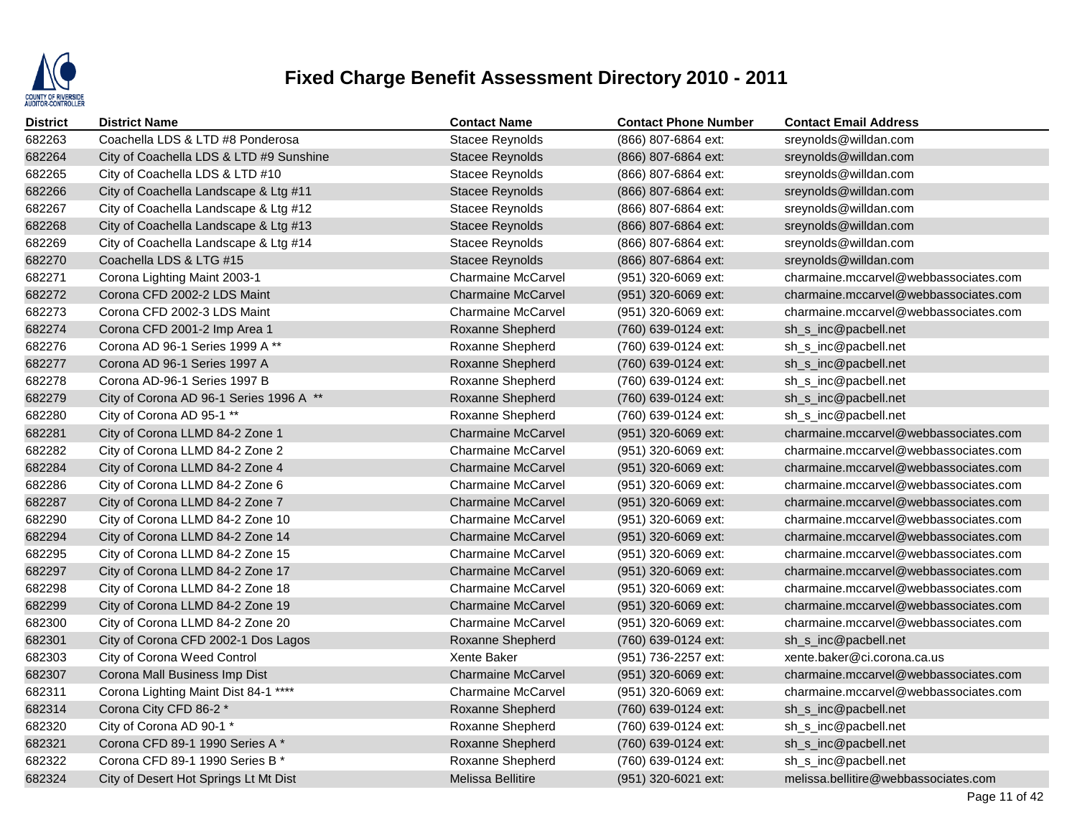

| <b>District</b> | <b>District Name</b>                    | <b>Contact Name</b>       | <b>Contact Phone Number</b> | <b>Contact Email Address</b>          |
|-----------------|-----------------------------------------|---------------------------|-----------------------------|---------------------------------------|
| 682263          | Coachella LDS & LTD #8 Ponderosa        | Stacee Reynolds           | (866) 807-6864 ext:         | sreynolds@willdan.com                 |
| 682264          | City of Coachella LDS & LTD #9 Sunshine | Stacee Reynolds           | (866) 807-6864 ext:         | sreynolds@willdan.com                 |
| 682265          | City of Coachella LDS & LTD #10         | <b>Stacee Reynolds</b>    | (866) 807-6864 ext:         | sreynolds@willdan.com                 |
| 682266          | City of Coachella Landscape & Ltg #11   | <b>Stacee Reynolds</b>    | (866) 807-6864 ext:         | sreynolds@willdan.com                 |
| 682267          | City of Coachella Landscape & Ltg #12   | <b>Stacee Reynolds</b>    | (866) 807-6864 ext:         | sreynolds@willdan.com                 |
| 682268          | City of Coachella Landscape & Ltg #13   | Stacee Reynolds           | (866) 807-6864 ext:         | sreynolds@willdan.com                 |
| 682269          | City of Coachella Landscape & Ltg #14   | Stacee Reynolds           | (866) 807-6864 ext:         | sreynolds@willdan.com                 |
| 682270          | Coachella LDS & LTG #15                 | Stacee Reynolds           | (866) 807-6864 ext:         | sreynolds@willdan.com                 |
| 682271          | Corona Lighting Maint 2003-1            | <b>Charmaine McCarvel</b> | (951) 320-6069 ext:         | charmaine.mccarvel@webbassociates.com |
| 682272          | Corona CFD 2002-2 LDS Maint             | <b>Charmaine McCarvel</b> | (951) 320-6069 ext:         | charmaine.mccarvel@webbassociates.com |
| 682273          | Corona CFD 2002-3 LDS Maint             | <b>Charmaine McCarvel</b> | (951) 320-6069 ext:         | charmaine.mccarvel@webbassociates.com |
| 682274          | Corona CFD 2001-2 Imp Area 1            | Roxanne Shepherd          | (760) 639-0124 ext:         | sh_s_inc@pacbell.net                  |
| 682276          | Corona AD 96-1 Series 1999 A **         | Roxanne Shepherd          | (760) 639-0124 ext:         | sh_s_inc@pacbell.net                  |
| 682277          | Corona AD 96-1 Series 1997 A            | Roxanne Shepherd          | (760) 639-0124 ext:         | sh_s_inc@pacbell.net                  |
| 682278          | Corona AD-96-1 Series 1997 B            | Roxanne Shepherd          | (760) 639-0124 ext:         | sh_s_inc@pacbell.net                  |
| 682279          | City of Corona AD 96-1 Series 1996 A ** | Roxanne Shepherd          | (760) 639-0124 ext:         | sh_s_inc@pacbell.net                  |
| 682280          | City of Corona AD 95-1 **               | Roxanne Shepherd          | (760) 639-0124 ext:         | sh_s_inc@pacbell.net                  |
| 682281          | City of Corona LLMD 84-2 Zone 1         | <b>Charmaine McCarvel</b> | (951) 320-6069 ext:         | charmaine.mccarvel@webbassociates.com |
| 682282          | City of Corona LLMD 84-2 Zone 2         | <b>Charmaine McCarvel</b> | (951) 320-6069 ext:         | charmaine.mccarvel@webbassociates.com |
| 682284          | City of Corona LLMD 84-2 Zone 4         | <b>Charmaine McCarvel</b> | (951) 320-6069 ext:         | charmaine.mccarvel@webbassociates.com |
| 682286          | City of Corona LLMD 84-2 Zone 6         | <b>Charmaine McCarvel</b> | (951) 320-6069 ext:         | charmaine.mccarvel@webbassociates.com |
| 682287          | City of Corona LLMD 84-2 Zone 7         | <b>Charmaine McCarvel</b> | (951) 320-6069 ext:         | charmaine.mccarvel@webbassociates.com |
| 682290          | City of Corona LLMD 84-2 Zone 10        | <b>Charmaine McCarvel</b> | (951) 320-6069 ext:         | charmaine.mccarvel@webbassociates.com |
| 682294          | City of Corona LLMD 84-2 Zone 14        | <b>Charmaine McCarvel</b> | (951) 320-6069 ext:         | charmaine.mccarvel@webbassociates.com |
| 682295          | City of Corona LLMD 84-2 Zone 15        | <b>Charmaine McCarvel</b> | (951) 320-6069 ext:         | charmaine.mccarvel@webbassociates.com |
| 682297          | City of Corona LLMD 84-2 Zone 17        | <b>Charmaine McCarvel</b> | (951) 320-6069 ext:         | charmaine.mccarvel@webbassociates.com |
| 682298          | City of Corona LLMD 84-2 Zone 18        | <b>Charmaine McCarvel</b> | (951) 320-6069 ext:         | charmaine.mccarvel@webbassociates.com |
| 682299          | City of Corona LLMD 84-2 Zone 19        | <b>Charmaine McCarvel</b> | (951) 320-6069 ext:         | charmaine.mccarvel@webbassociates.com |
| 682300          | City of Corona LLMD 84-2 Zone 20        | <b>Charmaine McCarvel</b> | (951) 320-6069 ext:         | charmaine.mccarvel@webbassociates.com |
| 682301          | City of Corona CFD 2002-1 Dos Lagos     | Roxanne Shepherd          | (760) 639-0124 ext:         | sh_s_inc@pacbell.net                  |
| 682303          | City of Corona Weed Control             | Xente Baker               | (951) 736-2257 ext:         | xente.baker@ci.corona.ca.us           |
| 682307          | Corona Mall Business Imp Dist           | <b>Charmaine McCarvel</b> | (951) 320-6069 ext:         | charmaine.mccarvel@webbassociates.com |
| 682311          | Corona Lighting Maint Dist 84-1 ****    | <b>Charmaine McCarvel</b> | (951) 320-6069 ext:         | charmaine.mccarvel@webbassociates.com |
| 682314          | Corona City CFD 86-2 *                  | Roxanne Shepherd          | (760) 639-0124 ext:         | sh_s_inc@pacbell.net                  |
| 682320          | City of Corona AD 90-1 *                | Roxanne Shepherd          | (760) 639-0124 ext:         | sh_s_inc@pacbell.net                  |
| 682321          | Corona CFD 89-1 1990 Series A*          | Roxanne Shepherd          | (760) 639-0124 ext:         | sh_s_inc@pacbell.net                  |
| 682322          | Corona CFD 89-1 1990 Series B *         | Roxanne Shepherd          | (760) 639-0124 ext:         | sh_s_inc@pacbell.net                  |
| 682324          | City of Desert Hot Springs Lt Mt Dist   | Melissa Bellitire         | (951) 320-6021 ext:         | melissa.bellitire@webbassociates.com  |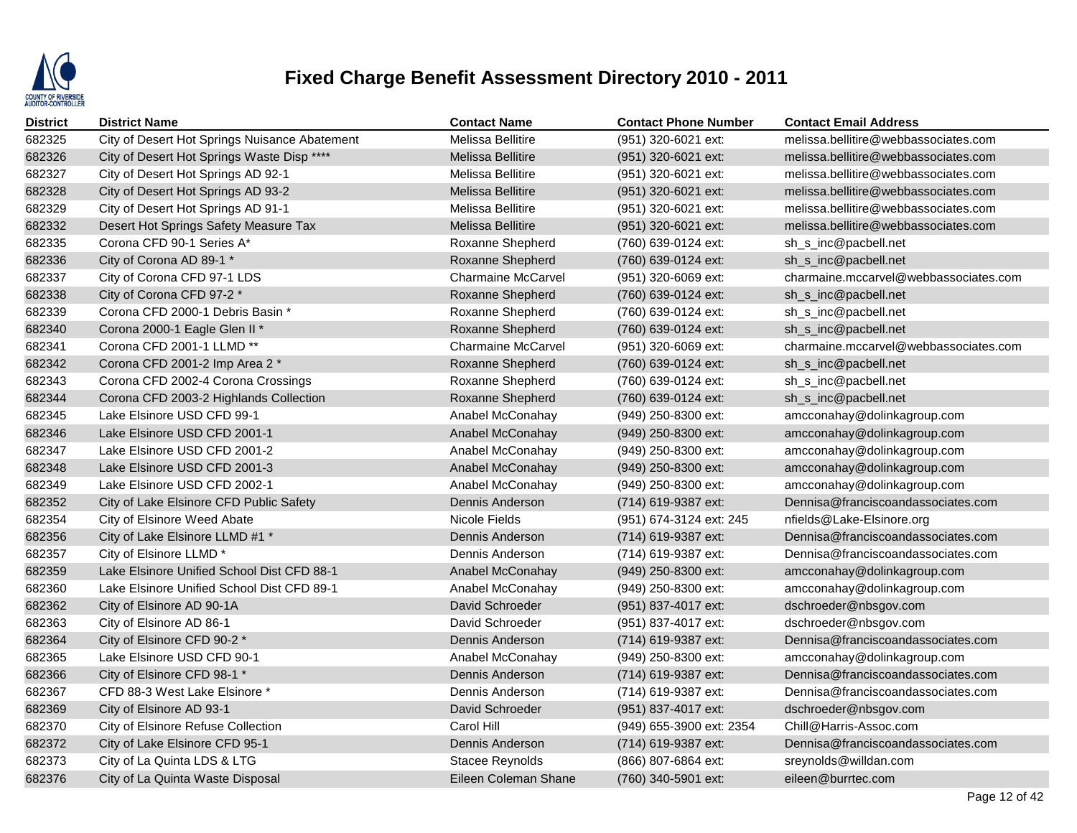

| <b>District</b> | <b>District Name</b>                          | <b>Contact Name</b>       | <b>Contact Phone Number</b> | <b>Contact Email Address</b>          |
|-----------------|-----------------------------------------------|---------------------------|-----------------------------|---------------------------------------|
| 682325          | City of Desert Hot Springs Nuisance Abatement | <b>Melissa Bellitire</b>  | (951) 320-6021 ext:         | melissa.bellitire@webbassociates.com  |
| 682326          | City of Desert Hot Springs Waste Disp ****    | <b>Melissa Bellitire</b>  | (951) 320-6021 ext:         | melissa.bellitire@webbassociates.com  |
| 682327          | City of Desert Hot Springs AD 92-1            | Melissa Bellitire         | (951) 320-6021 ext:         | melissa.bellitire@webbassociates.com  |
| 682328          | City of Desert Hot Springs AD 93-2            | <b>Melissa Bellitire</b>  | (951) 320-6021 ext:         | melissa.bellitire@webbassociates.com  |
| 682329          | City of Desert Hot Springs AD 91-1            | <b>Melissa Bellitire</b>  | (951) 320-6021 ext:         | melissa.bellitire@webbassociates.com  |
| 682332          | Desert Hot Springs Safety Measure Tax         | <b>Melissa Bellitire</b>  | (951) 320-6021 ext:         | melissa.bellitire@webbassociates.com  |
| 682335          | Corona CFD 90-1 Series A*                     | Roxanne Shepherd          | (760) 639-0124 ext:         | sh_s_inc@pacbell.net                  |
| 682336          | City of Corona AD 89-1 *                      | Roxanne Shepherd          | (760) 639-0124 ext:         | sh_s_inc@pacbell.net                  |
| 682337          | City of Corona CFD 97-1 LDS                   | <b>Charmaine McCarvel</b> | (951) 320-6069 ext:         | charmaine.mccarvel@webbassociates.com |
| 682338          | City of Corona CFD 97-2 *                     | Roxanne Shepherd          | (760) 639-0124 ext:         | sh_s_inc@pacbell.net                  |
| 682339          | Corona CFD 2000-1 Debris Basin *              | Roxanne Shepherd          | (760) 639-0124 ext:         | sh_s_inc@pacbell.net                  |
| 682340          | Corona 2000-1 Eagle Glen II *                 | Roxanne Shepherd          | (760) 639-0124 ext:         | sh_s_inc@pacbell.net                  |
| 682341          | Corona CFD 2001-1 LLMD **                     | <b>Charmaine McCarvel</b> | $(951)$ 320-6069 ext:       | charmaine.mccarvel@webbassociates.com |
| 682342          | Corona CFD 2001-2 Imp Area 2 *                | Roxanne Shepherd          | (760) 639-0124 ext:         | sh_s_inc@pacbell.net                  |
| 682343          | Corona CFD 2002-4 Corona Crossings            | Roxanne Shepherd          | (760) 639-0124 ext:         | sh_s_inc@pacbell.net                  |
| 682344          | Corona CFD 2003-2 Highlands Collection        | Roxanne Shepherd          | (760) 639-0124 ext:         | sh_s_inc@pacbell.net                  |
| 682345          | Lake Elsinore USD CFD 99-1                    | Anabel McConahay          | $(949)$ 250-8300 ext:       | amcconahay@dolinkagroup.com           |
| 682346          | Lake Elsinore USD CFD 2001-1                  | Anabel McConahay          | (949) 250-8300 ext:         | amcconahay@dolinkagroup.com           |
| 682347          | Lake Elsinore USD CFD 2001-2                  | Anabel McConahay          | (949) 250-8300 ext:         | amcconahay@dolinkagroup.com           |
| 682348          | Lake Elsinore USD CFD 2001-3                  | Anabel McConahay          | (949) 250-8300 ext:         | amcconahay@dolinkagroup.com           |
| 682349          | Lake Elsinore USD CFD 2002-1                  | Anabel McConahay          | (949) 250-8300 ext:         | amcconahay@dolinkagroup.com           |
| 682352          | City of Lake Elsinore CFD Public Safety       | Dennis Anderson           | (714) 619-9387 ext:         | Dennisa@franciscoandassociates.com    |
| 682354          | City of Elsinore Weed Abate                   | Nicole Fields             | (951) 674-3124 ext: 245     | nfields@Lake-Elsinore.org             |
| 682356          | City of Lake Elsinore LLMD #1 *               | Dennis Anderson           | (714) 619-9387 ext:         | Dennisa@franciscoandassociates.com    |
| 682357          | City of Elsinore LLMD *                       | Dennis Anderson           | (714) 619-9387 ext:         | Dennisa@franciscoandassociates.com    |
| 682359          | Lake Elsinore Unified School Dist CFD 88-1    | Anabel McConahay          | (949) 250-8300 ext:         | amcconahay@dolinkagroup.com           |
| 682360          | Lake Elsinore Unified School Dist CFD 89-1    | Anabel McConahay          | (949) 250-8300 ext:         | amcconahay@dolinkagroup.com           |
| 682362          | City of Elsinore AD 90-1A                     | David Schroeder           | (951) 837-4017 ext:         | dschroeder@nbsgov.com                 |
| 682363          | City of Elsinore AD 86-1                      | David Schroeder           | (951) 837-4017 ext:         | dschroeder@nbsgov.com                 |
| 682364          | City of Elsinore CFD 90-2 *                   | Dennis Anderson           | (714) 619-9387 ext:         | Dennisa@franciscoandassociates.com    |
| 682365          | Lake Elsinore USD CFD 90-1                    | Anabel McConahay          | $(949)$ 250-8300 ext:       | amcconahay@dolinkagroup.com           |
| 682366          | City of Elsinore CFD 98-1 *                   | Dennis Anderson           | (714) 619-9387 ext:         | Dennisa@franciscoandassociates.com    |
| 682367          | CFD 88-3 West Lake Elsinore *                 | Dennis Anderson           | (714) 619-9387 ext:         | Dennisa@franciscoandassociates.com    |
| 682369          | City of Elsinore AD 93-1                      | David Schroeder           | (951) 837-4017 ext:         | dschroeder@nbsgov.com                 |
| 682370          | City of Elsinore Refuse Collection            | Carol Hill                | (949) 655-3900 ext: 2354    | Chill@Harris-Assoc.com                |
| 682372          | City of Lake Elsinore CFD 95-1                | Dennis Anderson           | (714) 619-9387 ext:         | Dennisa@franciscoandassociates.com    |
| 682373          | City of La Quinta LDS & LTG                   | Stacee Reynolds           | (866) 807-6864 ext:         | sreynolds@willdan.com                 |
| 682376          | City of La Quinta Waste Disposal              | Eileen Coleman Shane      | (760) 340-5901 ext:         | eileen@burrtec.com                    |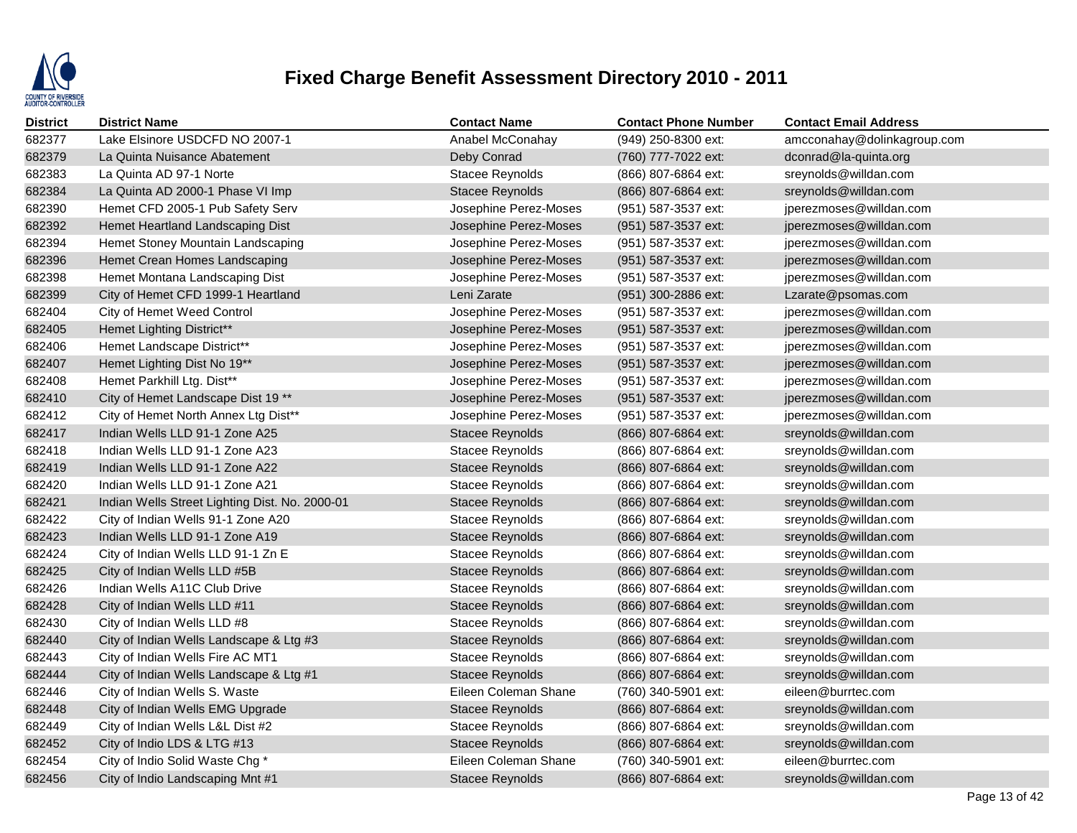

| <b>District</b> | <b>District Name</b>                           | <b>Contact Name</b>    | <b>Contact Phone Number</b> | <b>Contact Email Address</b> |
|-----------------|------------------------------------------------|------------------------|-----------------------------|------------------------------|
| 682377          | Lake Elsinore USDCFD NO 2007-1                 | Anabel McConahay       | (949) 250-8300 ext:         | amcconahay@dolinkagroup.com  |
| 682379          | La Quinta Nuisance Abatement                   | Deby Conrad            | (760) 777-7022 ext:         | dconrad@la-quinta.org        |
| 682383          | La Quinta AD 97-1 Norte                        | <b>Stacee Reynolds</b> | (866) 807-6864 ext:         | sreynolds@willdan.com        |
| 682384          | La Quinta AD 2000-1 Phase VI Imp               | Stacee Reynolds        | (866) 807-6864 ext:         | sreynolds@willdan.com        |
| 682390          | Hemet CFD 2005-1 Pub Safety Serv               | Josephine Perez-Moses  | (951) 587-3537 ext:         | jperezmoses@willdan.com      |
| 682392          | Hemet Heartland Landscaping Dist               | Josephine Perez-Moses  | (951) 587-3537 ext:         | jperezmoses@willdan.com      |
| 682394          | Hemet Stoney Mountain Landscaping              | Josephine Perez-Moses  | (951) 587-3537 ext:         | jperezmoses@willdan.com      |
| 682396          | Hemet Crean Homes Landscaping                  | Josephine Perez-Moses  | $(951)$ 587-3537 ext:       | jperezmoses@willdan.com      |
| 682398          | Hemet Montana Landscaping Dist                 | Josephine Perez-Moses  | (951) 587-3537 ext:         | jperezmoses@willdan.com      |
| 682399          | City of Hemet CFD 1999-1 Heartland             | Leni Zarate            | (951) 300-2886 ext:         | Lzarate@psomas.com           |
| 682404          | City of Hemet Weed Control                     | Josephine Perez-Moses  | (951) 587-3537 ext:         | jperezmoses@willdan.com      |
| 682405          | <b>Hemet Lighting District**</b>               | Josephine Perez-Moses  | (951) 587-3537 ext:         | jperezmoses@willdan.com      |
| 682406          | Hemet Landscape District**                     | Josephine Perez-Moses  | (951) 587-3537 ext:         | jperezmoses@willdan.com      |
| 682407          | Hemet Lighting Dist No 19**                    | Josephine Perez-Moses  | (951) 587-3537 ext:         | jperezmoses@willdan.com      |
| 682408          | Hemet Parkhill Ltg. Dist**                     | Josephine Perez-Moses  | (951) 587-3537 ext:         | jperezmoses@willdan.com      |
| 682410          | City of Hemet Landscape Dist 19 **             | Josephine Perez-Moses  | (951) 587-3537 ext:         | jperezmoses@willdan.com      |
| 682412          | City of Hemet North Annex Ltg Dist**           | Josephine Perez-Moses  | (951) 587-3537 ext:         | jperezmoses@willdan.com      |
| 682417          | Indian Wells LLD 91-1 Zone A25                 | <b>Stacee Reynolds</b> | (866) 807-6864 ext:         | sreynolds@willdan.com        |
| 682418          | Indian Wells LLD 91-1 Zone A23                 | <b>Stacee Reynolds</b> | (866) 807-6864 ext:         | sreynolds@willdan.com        |
| 682419          | Indian Wells LLD 91-1 Zone A22                 | Stacee Reynolds        | (866) 807-6864 ext:         | sreynolds@willdan.com        |
| 682420          | Indian Wells LLD 91-1 Zone A21                 | Stacee Reynolds        | (866) 807-6864 ext:         | sreynolds@willdan.com        |
| 682421          | Indian Wells Street Lighting Dist. No. 2000-01 | <b>Stacee Reynolds</b> | (866) 807-6864 ext:         | sreynolds@willdan.com        |
| 682422          | City of Indian Wells 91-1 Zone A20             | Stacee Reynolds        | (866) 807-6864 ext:         | sreynolds@willdan.com        |
| 682423          | Indian Wells LLD 91-1 Zone A19                 | Stacee Reynolds        | (866) 807-6864 ext:         | sreynolds@willdan.com        |
| 682424          | City of Indian Wells LLD 91-1 Zn E             | <b>Stacee Reynolds</b> | (866) 807-6864 ext:         | sreynolds@willdan.com        |
| 682425          | City of Indian Wells LLD #5B                   | <b>Stacee Reynolds</b> | (866) 807-6864 ext:         | sreynolds@willdan.com        |
| 682426          | Indian Wells A11C Club Drive                   | Stacee Reynolds        | (866) 807-6864 ext:         | sreynolds@willdan.com        |
| 682428          | City of Indian Wells LLD #11                   | <b>Stacee Reynolds</b> | (866) 807-6864 ext:         | sreynolds@willdan.com        |
| 682430          | City of Indian Wells LLD #8                    | Stacee Reynolds        | (866) 807-6864 ext:         | sreynolds@willdan.com        |
| 682440          | City of Indian Wells Landscape & Ltg #3        | <b>Stacee Reynolds</b> | (866) 807-6864 ext:         | sreynolds@willdan.com        |
| 682443          | City of Indian Wells Fire AC MT1               | Stacee Reynolds        | (866) 807-6864 ext:         | sreynolds@willdan.com        |
| 682444          | City of Indian Wells Landscape & Ltg #1        | Stacee Reynolds        | (866) 807-6864 ext:         | sreynolds@willdan.com        |
| 682446          | City of Indian Wells S. Waste                  | Eileen Coleman Shane   | (760) 340-5901 ext:         | eileen@burrtec.com           |
| 682448          | City of Indian Wells EMG Upgrade               | <b>Stacee Reynolds</b> | (866) 807-6864 ext:         | sreynolds@willdan.com        |
| 682449          | City of Indian Wells L&L Dist #2               | <b>Stacee Reynolds</b> | (866) 807-6864 ext:         | sreynolds@willdan.com        |
| 682452          | City of Indio LDS & LTG #13                    | <b>Stacee Reynolds</b> | (866) 807-6864 ext:         | sreynolds@willdan.com        |
| 682454          | City of Indio Solid Waste Chg *                | Eileen Coleman Shane   | (760) 340-5901 ext:         | eileen@burrtec.com           |
| 682456          | City of Indio Landscaping Mnt #1               | <b>Stacee Reynolds</b> | (866) 807-6864 ext:         | sreynolds@willdan.com        |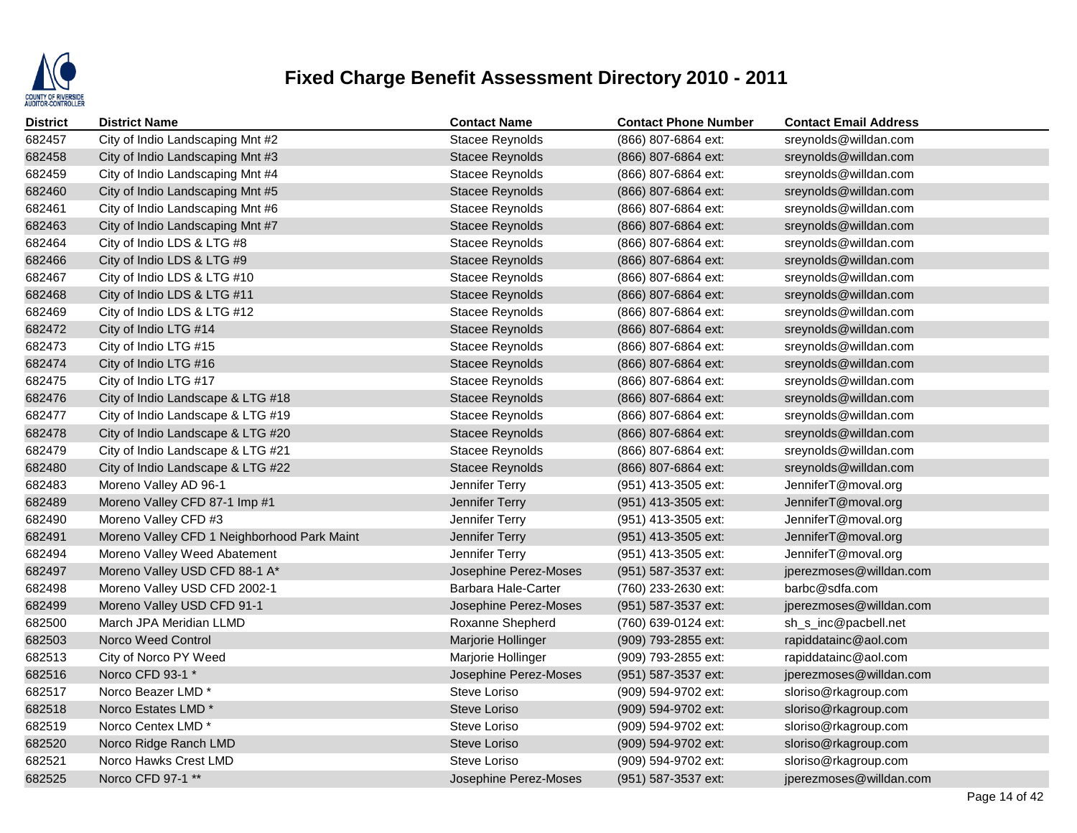

| <b>District</b> | <b>District Name</b>                        | <b>Contact Name</b>    | <b>Contact Phone Number</b> | <b>Contact Email Address</b> |
|-----------------|---------------------------------------------|------------------------|-----------------------------|------------------------------|
| 682457          | City of Indio Landscaping Mnt #2            | <b>Stacee Reynolds</b> | (866) 807-6864 ext:         | sreynolds@willdan.com        |
| 682458          | City of Indio Landscaping Mnt #3            | Stacee Reynolds        | (866) 807-6864 ext:         | sreynolds@willdan.com        |
| 682459          | City of Indio Landscaping Mnt #4            | <b>Stacee Reynolds</b> | (866) 807-6864 ext:         | sreynolds@willdan.com        |
| 682460          | City of Indio Landscaping Mnt #5            | <b>Stacee Reynolds</b> | (866) 807-6864 ext:         | sreynolds@willdan.com        |
| 682461          | City of Indio Landscaping Mnt #6            | Stacee Reynolds        | (866) 807-6864 ext:         | sreynolds@willdan.com        |
| 682463          | City of Indio Landscaping Mnt #7            | <b>Stacee Reynolds</b> | (866) 807-6864 ext:         | sreynolds@willdan.com        |
| 682464          | City of Indio LDS & LTG #8                  | Stacee Reynolds        | (866) 807-6864 ext:         | sreynolds@willdan.com        |
| 682466          | City of Indio LDS & LTG #9                  | Stacee Reynolds        | (866) 807-6864 ext:         | sreynolds@willdan.com        |
| 682467          | City of Indio LDS & LTG #10                 | <b>Stacee Reynolds</b> | (866) 807-6864 ext:         | sreynolds@willdan.com        |
| 682468          | City of Indio LDS & LTG #11                 | Stacee Reynolds        | (866) 807-6864 ext:         | sreynolds@willdan.com        |
| 682469          | City of Indio LDS & LTG #12                 | Stacee Reynolds        | (866) 807-6864 ext:         | sreynolds@willdan.com        |
| 682472          | City of Indio LTG #14                       | <b>Stacee Reynolds</b> | (866) 807-6864 ext:         | sreynolds@willdan.com        |
| 682473          | City of Indio LTG #15                       | Stacee Reynolds        | (866) 807-6864 ext:         | sreynolds@willdan.com        |
| 682474          | City of Indio LTG #16                       | <b>Stacee Reynolds</b> | (866) 807-6864 ext:         | sreynolds@willdan.com        |
| 682475          | City of Indio LTG #17                       | Stacee Reynolds        | (866) 807-6864 ext:         | sreynolds@willdan.com        |
| 682476          | City of Indio Landscape & LTG #18           | Stacee Reynolds        | (866) 807-6864 ext:         | sreynolds@willdan.com        |
| 682477          | City of Indio Landscape & LTG #19           | Stacee Reynolds        | (866) 807-6864 ext:         | sreynolds@willdan.com        |
| 682478          | City of Indio Landscape & LTG #20           | <b>Stacee Reynolds</b> | (866) 807-6864 ext:         | sreynolds@willdan.com        |
| 682479          | City of Indio Landscape & LTG #21           | <b>Stacee Reynolds</b> | (866) 807-6864 ext:         | sreynolds@willdan.com        |
| 682480          | City of Indio Landscape & LTG #22           | Stacee Reynolds        | (866) 807-6864 ext:         | sreynolds@willdan.com        |
| 682483          | Moreno Valley AD 96-1                       | Jennifer Terry         | (951) 413-3505 ext:         | JenniferT@moval.org          |
| 682489          | Moreno Valley CFD 87-1 Imp #1               | Jennifer Terry         | (951) 413-3505 ext:         | JenniferT@moval.org          |
| 682490          | Moreno Valley CFD #3                        | Jennifer Terry         | (951) 413-3505 ext:         | JenniferT@moval.org          |
| 682491          | Moreno Valley CFD 1 Neighborhood Park Maint | Jennifer Terry         | (951) 413-3505 ext:         | JenniferT@moval.org          |
| 682494          | Moreno Valley Weed Abatement                | Jennifer Terry         | (951) 413-3505 ext:         | JenniferT@moval.org          |
| 682497          | Moreno Valley USD CFD 88-1 A*               | Josephine Perez-Moses  | (951) 587-3537 ext:         | jperezmoses@willdan.com      |
| 682498          | Moreno Valley USD CFD 2002-1                | Barbara Hale-Carter    | (760) 233-2630 ext:         | barbc@sdfa.com               |
| 682499          | Moreno Valley USD CFD 91-1                  | Josephine Perez-Moses  | (951) 587-3537 ext:         | jperezmoses@willdan.com      |
| 682500          | March JPA Meridian LLMD                     | Roxanne Shepherd       | (760) 639-0124 ext:         | sh_s_inc@pacbell.net         |
| 682503          | Norco Weed Control                          | Marjorie Hollinger     | (909) 793-2855 ext:         | rapiddatainc@aol.com         |
| 682513          | City of Norco PY Weed                       | Marjorie Hollinger     | (909) 793-2855 ext:         | rapiddatainc@aol.com         |
| 682516          | Norco CFD 93-1 *                            | Josephine Perez-Moses  | (951) 587-3537 ext:         | jperezmoses@willdan.com      |
| 682517          | Norco Beazer LMD *                          | Steve Loriso           | (909) 594-9702 ext:         | sloriso@rkagroup.com         |
| 682518          | Norco Estates LMD <sup>*</sup>              | Steve Loriso           | (909) 594-9702 ext:         | sloriso@rkagroup.com         |
| 682519          | Norco Centex LMD *                          | Steve Loriso           | (909) 594-9702 ext:         | sloriso@rkagroup.com         |
| 682520          | Norco Ridge Ranch LMD                       | Steve Loriso           | (909) 594-9702 ext:         | sloriso@rkagroup.com         |
| 682521          | Norco Hawks Crest LMD                       | Steve Loriso           | (909) 594-9702 ext:         | sloriso@rkagroup.com         |
| 682525          | Norco CFD 97-1 **                           | Josephine Perez-Moses  | (951) 587-3537 ext:         | jperezmoses@willdan.com      |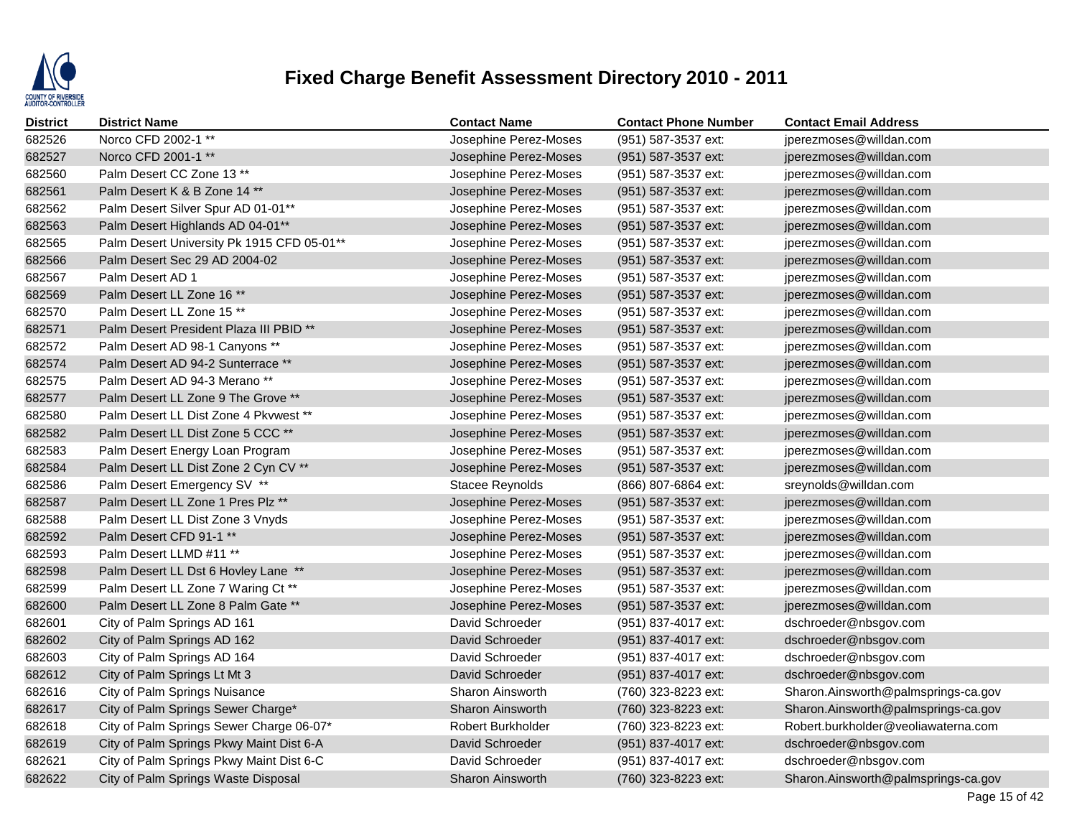

| <b>District</b> | <b>District Name</b>                       | <b>Contact Name</b>     | <b>Contact Phone Number</b> | <b>Contact Email Address</b>        |
|-----------------|--------------------------------------------|-------------------------|-----------------------------|-------------------------------------|
| 682526          | Norco CFD 2002-1 **                        | Josephine Perez-Moses   | (951) 587-3537 ext:         | jperezmoses@willdan.com             |
| 682527          | Norco CFD 2001-1 **                        | Josephine Perez-Moses   | (951) 587-3537 ext:         | jperezmoses@willdan.com             |
| 682560          | Palm Desert CC Zone 13 **                  | Josephine Perez-Moses   | (951) 587-3537 ext:         | jperezmoses@willdan.com             |
| 682561          | Palm Desert K & B Zone 14 **               | Josephine Perez-Moses   | (951) 587-3537 ext:         | jperezmoses@willdan.com             |
| 682562          | Palm Desert Silver Spur AD 01-01**         | Josephine Perez-Moses   | (951) 587-3537 ext:         | jperezmoses@willdan.com             |
| 682563          | Palm Desert Highlands AD 04-01**           | Josephine Perez-Moses   | (951) 587-3537 ext:         | jperezmoses@willdan.com             |
| 682565          | Palm Desert University Pk 1915 CFD 05-01** | Josephine Perez-Moses   | (951) 587-3537 ext:         | jperezmoses@willdan.com             |
| 682566          | Palm Desert Sec 29 AD 2004-02              | Josephine Perez-Moses   | (951) 587-3537 ext:         | jperezmoses@willdan.com             |
| 682567          | Palm Desert AD 1                           | Josephine Perez-Moses   | (951) 587-3537 ext:         | jperezmoses@willdan.com             |
| 682569          | Palm Desert LL Zone 16 **                  | Josephine Perez-Moses   | (951) 587-3537 ext:         | jperezmoses@willdan.com             |
| 682570          | Palm Desert LL Zone 15 **                  | Josephine Perez-Moses   | (951) 587-3537 ext:         | jperezmoses@willdan.com             |
| 682571          | Palm Desert President Plaza III PBID **    | Josephine Perez-Moses   | (951) 587-3537 ext:         | jperezmoses@willdan.com             |
| 682572          | Palm Desert AD 98-1 Canyons **             | Josephine Perez-Moses   | (951) 587-3537 ext:         | jperezmoses@willdan.com             |
| 682574          | Palm Desert AD 94-2 Sunterrace **          | Josephine Perez-Moses   | (951) 587-3537 ext:         | jperezmoses@willdan.com             |
| 682575          | Palm Desert AD 94-3 Merano**               | Josephine Perez-Moses   | (951) 587-3537 ext:         | jperezmoses@willdan.com             |
| 682577          | Palm Desert LL Zone 9 The Grove **         | Josephine Perez-Moses   | (951) 587-3537 ext:         | jperezmoses@willdan.com             |
| 682580          | Palm Desert LL Dist Zone 4 Pkywest **      | Josephine Perez-Moses   | (951) 587-3537 ext:         | jperezmoses@willdan.com             |
| 682582          | Palm Desert LL Dist Zone 5 CCC **          | Josephine Perez-Moses   | (951) 587-3537 ext:         | jperezmoses@willdan.com             |
| 682583          | Palm Desert Energy Loan Program            | Josephine Perez-Moses   | (951) 587-3537 ext:         | jperezmoses@willdan.com             |
| 682584          | Palm Desert LL Dist Zone 2 Cyn CV **       | Josephine Perez-Moses   | (951) 587-3537 ext:         | jperezmoses@willdan.com             |
| 682586          | Palm Desert Emergency SV **                | Stacee Reynolds         | (866) 807-6864 ext:         | sreynolds@willdan.com               |
| 682587          | Palm Desert LL Zone 1 Pres Plz **          | Josephine Perez-Moses   | (951) 587-3537 ext:         | jperezmoses@willdan.com             |
| 682588          | Palm Desert LL Dist Zone 3 Vnyds           | Josephine Perez-Moses   | (951) 587-3537 ext:         | jperezmoses@willdan.com             |
| 682592          | Palm Desert CFD 91-1 **                    | Josephine Perez-Moses   | (951) 587-3537 ext:         | jperezmoses@willdan.com             |
| 682593          | Palm Desert LLMD #11 **                    | Josephine Perez-Moses   | (951) 587-3537 ext:         | jperezmoses@willdan.com             |
| 682598          | Palm Desert LL Dst 6 Hovley Lane **        | Josephine Perez-Moses   | (951) 587-3537 ext:         | jperezmoses@willdan.com             |
| 682599          | Palm Desert LL Zone 7 Waring Ct **         | Josephine Perez-Moses   | (951) 587-3537 ext:         | jperezmoses@willdan.com             |
| 682600          | Palm Desert LL Zone 8 Palm Gate **         | Josephine Perez-Moses   | (951) 587-3537 ext:         | jperezmoses@willdan.com             |
| 682601          | City of Palm Springs AD 161                | David Schroeder         | (951) 837-4017 ext:         | dschroeder@nbsgov.com               |
| 682602          | City of Palm Springs AD 162                | David Schroeder         | (951) 837-4017 ext:         | dschroeder@nbsgov.com               |
| 682603          | City of Palm Springs AD 164                | David Schroeder         | (951) 837-4017 ext:         | dschroeder@nbsgov.com               |
| 682612          | City of Palm Springs Lt Mt 3               | David Schroeder         | (951) 837-4017 ext:         | dschroeder@nbsgov.com               |
| 682616          | City of Palm Springs Nuisance              | <b>Sharon Ainsworth</b> | (760) 323-8223 ext:         | Sharon.Ainsworth@palmsprings-ca.gov |
| 682617          | City of Palm Springs Sewer Charge*         | <b>Sharon Ainsworth</b> | (760) 323-8223 ext:         | Sharon.Ainsworth@palmsprings-ca.gov |
| 682618          | City of Palm Springs Sewer Charge 06-07*   | Robert Burkholder       | (760) 323-8223 ext:         | Robert.burkholder@veoliawaterna.com |
| 682619          | City of Palm Springs Pkwy Maint Dist 6-A   | David Schroeder         | (951) 837-4017 ext:         | dschroeder@nbsgov.com               |
| 682621          | City of Palm Springs Pkwy Maint Dist 6-C   | David Schroeder         | (951) 837-4017 ext:         | dschroeder@nbsgov.com               |
| 682622          | City of Palm Springs Waste Disposal        | <b>Sharon Ainsworth</b> | (760) 323-8223 ext:         | Sharon.Ainsworth@palmsprings-ca.gov |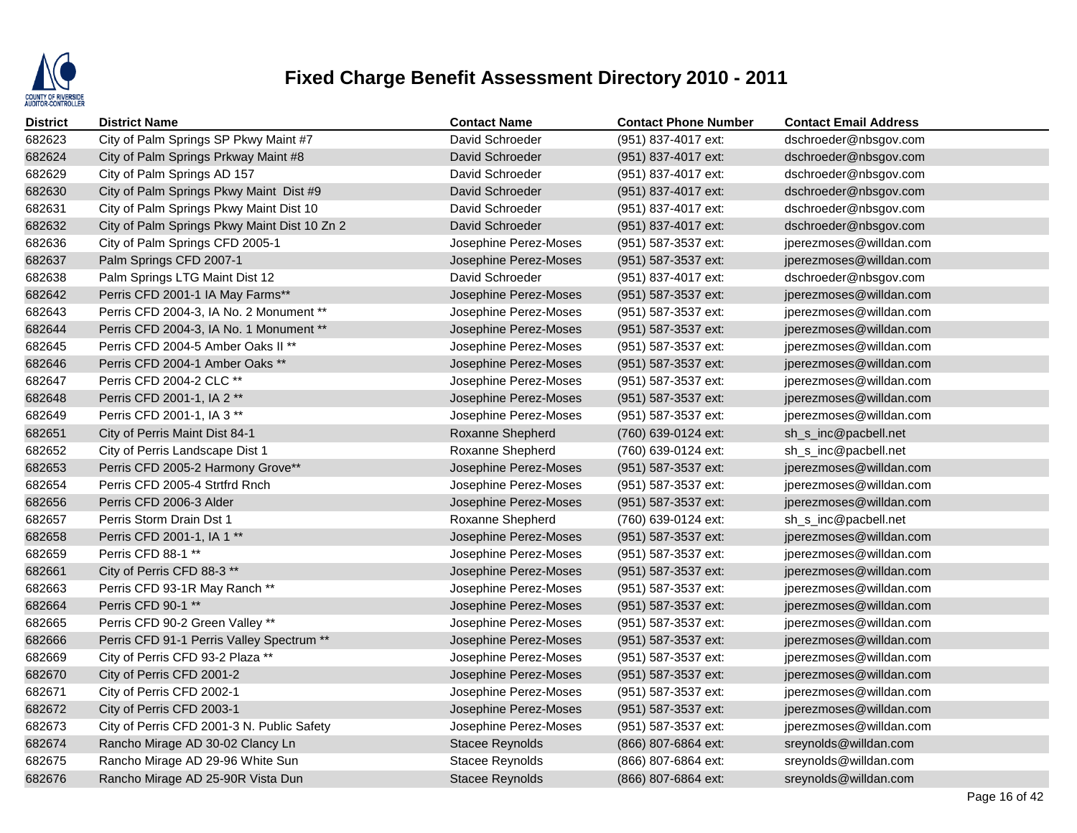

| District | <b>District Name</b>                         | <b>Contact Name</b>    | <b>Contact Phone Number</b> | <b>Contact Email Address</b> |
|----------|----------------------------------------------|------------------------|-----------------------------|------------------------------|
| 682623   | City of Palm Springs SP Pkwy Maint #7        | David Schroeder        | (951) 837-4017 ext:         | dschroeder@nbsgov.com        |
| 682624   | City of Palm Springs Prkway Maint #8         | David Schroeder        | (951) 837-4017 ext:         | dschroeder@nbsgov.com        |
| 682629   | City of Palm Springs AD 157                  | David Schroeder        | (951) 837-4017 ext:         | dschroeder@nbsgov.com        |
| 682630   | City of Palm Springs Pkwy Maint Dist #9      | David Schroeder        | (951) 837-4017 ext:         | dschroeder@nbsgov.com        |
| 682631   | City of Palm Springs Pkwy Maint Dist 10      | David Schroeder        | (951) 837-4017 ext:         | dschroeder@nbsgov.com        |
| 682632   | City of Palm Springs Pkwy Maint Dist 10 Zn 2 | David Schroeder        | (951) 837-4017 ext:         | dschroeder@nbsgov.com        |
| 682636   | City of Palm Springs CFD 2005-1              | Josephine Perez-Moses  | (951) 587-3537 ext:         | jperezmoses@willdan.com      |
| 682637   | Palm Springs CFD 2007-1                      | Josephine Perez-Moses  | (951) 587-3537 ext:         | jperezmoses@willdan.com      |
| 682638   | Palm Springs LTG Maint Dist 12               | David Schroeder        | (951) 837-4017 ext:         | dschroeder@nbsgov.com        |
| 682642   | Perris CFD 2001-1 IA May Farms**             | Josephine Perez-Moses  | (951) 587-3537 ext:         | jperezmoses@willdan.com      |
| 682643   | Perris CFD 2004-3, IA No. 2 Monument **      | Josephine Perez-Moses  | (951) 587-3537 ext:         | jperezmoses@willdan.com      |
| 682644   | Perris CFD 2004-3, IA No. 1 Monument **      | Josephine Perez-Moses  | (951) 587-3537 ext:         | jperezmoses@willdan.com      |
| 682645   | Perris CFD 2004-5 Amber Oaks II **           | Josephine Perez-Moses  | (951) 587-3537 ext:         | jperezmoses@willdan.com      |
| 682646   | Perris CFD 2004-1 Amber Oaks **              | Josephine Perez-Moses  | (951) 587-3537 ext:         | jperezmoses@willdan.com      |
| 682647   | Perris CFD 2004-2 CLC **                     | Josephine Perez-Moses  | (951) 587-3537 ext:         | jperezmoses@willdan.com      |
| 682648   | Perris CFD 2001-1, IA 2 **                   | Josephine Perez-Moses  | (951) 587-3537 ext:         | jperezmoses@willdan.com      |
| 682649   | Perris CFD 2001-1, IA 3 **                   | Josephine Perez-Moses  | (951) 587-3537 ext:         | jperezmoses@willdan.com      |
| 682651   | City of Perris Maint Dist 84-1               | Roxanne Shepherd       | (760) 639-0124 ext:         | sh_s_inc@pacbell.net         |
| 682652   | City of Perris Landscape Dist 1              | Roxanne Shepherd       | (760) 639-0124 ext:         | sh_s_inc@pacbell.net         |
| 682653   | Perris CFD 2005-2 Harmony Grove**            | Josephine Perez-Moses  | (951) 587-3537 ext:         | jperezmoses@willdan.com      |
| 682654   | Perris CFD 2005-4 Strtfrd Rnch               | Josephine Perez-Moses  | (951) 587-3537 ext:         | jperezmoses@willdan.com      |
| 682656   | Perris CFD 2006-3 Alder                      | Josephine Perez-Moses  | (951) 587-3537 ext:         | jperezmoses@willdan.com      |
| 682657   | Perris Storm Drain Dst 1                     | Roxanne Shepherd       | (760) 639-0124 ext:         | sh_s_inc@pacbell.net         |
| 682658   | Perris CFD 2001-1, IA 1 **                   | Josephine Perez-Moses  | (951) 587-3537 ext:         | jperezmoses@willdan.com      |
| 682659   | Perris CFD 88-1 **                           | Josephine Perez-Moses  | (951) 587-3537 ext:         | jperezmoses@willdan.com      |
| 682661   | City of Perris CFD 88-3 **                   | Josephine Perez-Moses  | (951) 587-3537 ext:         | jperezmoses@willdan.com      |
| 682663   | Perris CFD 93-1R May Ranch **                | Josephine Perez-Moses  | (951) 587-3537 ext:         | jperezmoses@willdan.com      |
| 682664   | Perris CFD 90-1 **                           | Josephine Perez-Moses  | (951) 587-3537 ext:         | jperezmoses@willdan.com      |
| 682665   | Perris CFD 90-2 Green Valley **              | Josephine Perez-Moses  | $(951)$ 587-3537 ext:       | jperezmoses@willdan.com      |
| 682666   | Perris CFD 91-1 Perris Valley Spectrum **    | Josephine Perez-Moses  | (951) 587-3537 ext:         | jperezmoses@willdan.com      |
| 682669   | City of Perris CFD 93-2 Plaza **             | Josephine Perez-Moses  | (951) 587-3537 ext:         | jperezmoses@willdan.com      |
| 682670   | City of Perris CFD 2001-2                    | Josephine Perez-Moses  | (951) 587-3537 ext:         | jperezmoses@willdan.com      |
| 682671   | City of Perris CFD 2002-1                    | Josephine Perez-Moses  | (951) 587-3537 ext:         | jperezmoses@willdan.com      |
| 682672   | City of Perris CFD 2003-1                    | Josephine Perez-Moses  | (951) 587-3537 ext:         | jperezmoses@willdan.com      |
| 682673   | City of Perris CFD 2001-3 N. Public Safety   | Josephine Perez-Moses  | (951) 587-3537 ext:         | jperezmoses@willdan.com      |
| 682674   | Rancho Mirage AD 30-02 Clancy Ln             | <b>Stacee Reynolds</b> | (866) 807-6864 ext:         | sreynolds@willdan.com        |
| 682675   | Rancho Mirage AD 29-96 White Sun             | Stacee Reynolds        | (866) 807-6864 ext:         | sreynolds@willdan.com        |
| 682676   | Rancho Mirage AD 25-90R Vista Dun            | <b>Stacee Reynolds</b> | (866) 807-6864 ext:         | sreynolds@willdan.com        |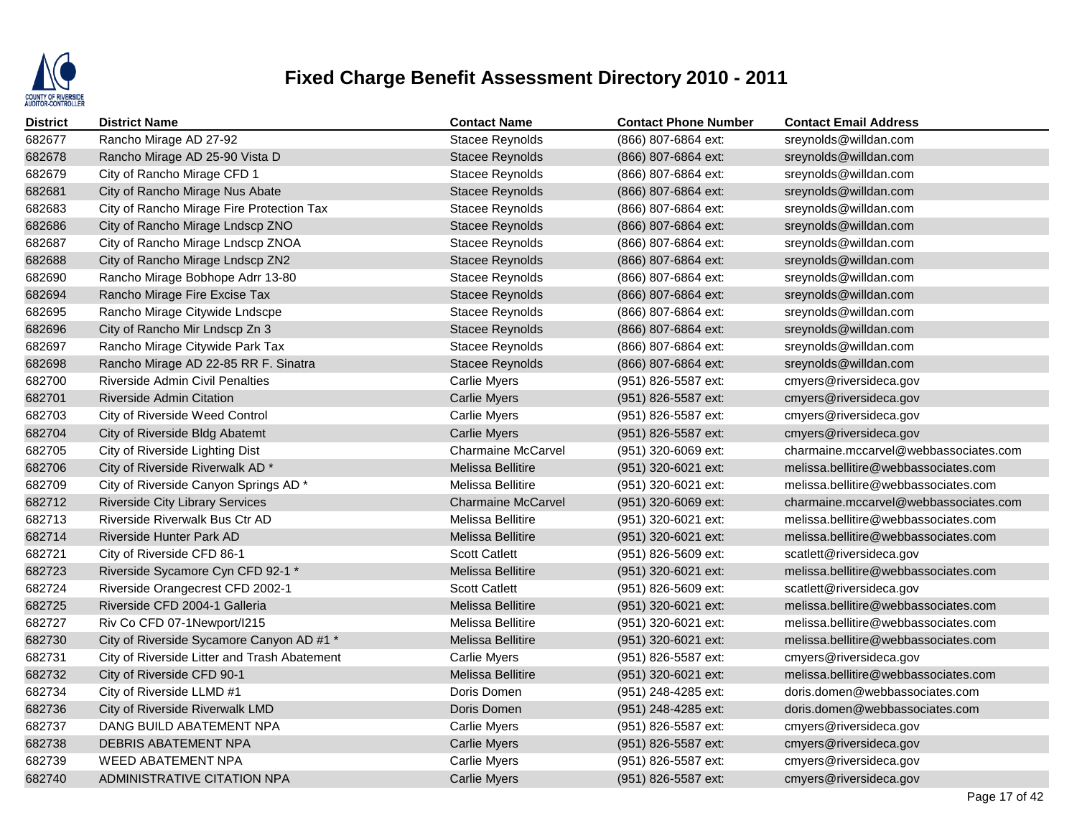

| <b>District</b> | <b>District Name</b>                         | <b>Contact Name</b>       | <b>Contact Phone Number</b> | <b>Contact Email Address</b>          |
|-----------------|----------------------------------------------|---------------------------|-----------------------------|---------------------------------------|
| 682677          | Rancho Mirage AD 27-92                       | <b>Stacee Reynolds</b>    | (866) 807-6864 ext:         | sreynolds@willdan.com                 |
| 682678          | Rancho Mirage AD 25-90 Vista D               | <b>Stacee Reynolds</b>    | (866) 807-6864 ext:         | sreynolds@willdan.com                 |
| 682679          | City of Rancho Mirage CFD 1                  | Stacee Reynolds           | (866) 807-6864 ext:         | sreynolds@willdan.com                 |
| 682681          | City of Rancho Mirage Nus Abate              | <b>Stacee Reynolds</b>    | (866) 807-6864 ext:         | sreynolds@willdan.com                 |
| 682683          | City of Rancho Mirage Fire Protection Tax    | Stacee Reynolds           | (866) 807-6864 ext:         | sreynolds@willdan.com                 |
| 682686          | City of Rancho Mirage Lndscp ZNO             | <b>Stacee Reynolds</b>    | (866) 807-6864 ext:         | sreynolds@willdan.com                 |
| 682687          | City of Rancho Mirage Lndscp ZNOA            | Stacee Reynolds           | (866) 807-6864 ext:         | sreynolds@willdan.com                 |
| 682688          | City of Rancho Mirage Lndscp ZN2             | Stacee Reynolds           | (866) 807-6864 ext:         | sreynolds@willdan.com                 |
| 682690          | Rancho Mirage Bobhope Adrr 13-80             | Stacee Reynolds           | (866) 807-6864 ext:         | sreynolds@willdan.com                 |
| 682694          | Rancho Mirage Fire Excise Tax                | <b>Stacee Reynolds</b>    | (866) 807-6864 ext:         | sreynolds@willdan.com                 |
| 682695          | Rancho Mirage Citywide Lndscpe               | Stacee Reynolds           | (866) 807-6864 ext:         | sreynolds@willdan.com                 |
| 682696          | City of Rancho Mir Lndscp Zn 3               | <b>Stacee Reynolds</b>    | (866) 807-6864 ext:         | sreynolds@willdan.com                 |
| 682697          | Rancho Mirage Citywide Park Tax              | Stacee Reynolds           | (866) 807-6864 ext:         | sreynolds@willdan.com                 |
| 682698          | Rancho Mirage AD 22-85 RR F. Sinatra         | Stacee Reynolds           | (866) 807-6864 ext:         | sreynolds@willdan.com                 |
| 682700          | <b>Riverside Admin Civil Penalties</b>       | Carlie Myers              | (951) 826-5587 ext:         | cmyers@riversideca.gov                |
| 682701          | <b>Riverside Admin Citation</b>              | <b>Carlie Myers</b>       | (951) 826-5587 ext:         | cmyers@riversideca.gov                |
| 682703          | City of Riverside Weed Control               | Carlie Myers              | (951) 826-5587 ext:         | cmyers@riversideca.gov                |
| 682704          | City of Riverside Bldg Abatemt               | <b>Carlie Myers</b>       | (951) 826-5587 ext:         | cmyers@riversideca.gov                |
| 682705          | City of Riverside Lighting Dist              | <b>Charmaine McCarvel</b> | (951) 320-6069 ext:         | charmaine.mccarvel@webbassociates.com |
| 682706          | City of Riverside Riverwalk AD*              | Melissa Bellitire         | (951) 320-6021 ext:         | melissa.bellitire@webbassociates.com  |
| 682709          | City of Riverside Canyon Springs AD *        | Melissa Bellitire         | (951) 320-6021 ext:         | melissa.bellitire@webbassociates.com  |
| 682712          | <b>Riverside City Library Services</b>       | <b>Charmaine McCarvel</b> | (951) 320-6069 ext:         | charmaine.mccarvel@webbassociates.com |
| 682713          | Riverside Riverwalk Bus Ctr AD               | Melissa Bellitire         | (951) 320-6021 ext:         | melissa.bellitire@webbassociates.com  |
| 682714          | Riverside Hunter Park AD                     | Melissa Bellitire         | (951) 320-6021 ext:         | melissa.bellitire@webbassociates.com  |
| 682721          | City of Riverside CFD 86-1                   | <b>Scott Catlett</b>      | (951) 826-5609 ext:         | scatlett@riversideca.gov              |
| 682723          | Riverside Sycamore Cyn CFD 92-1 *            | Melissa Bellitire         | (951) 320-6021 ext:         | melissa.bellitire@webbassociates.com  |
| 682724          | Riverside Orangecrest CFD 2002-1             | <b>Scott Catlett</b>      | (951) 826-5609 ext:         | scatlett@riversideca.gov              |
| 682725          | Riverside CFD 2004-1 Galleria                | <b>Melissa Bellitire</b>  | (951) 320-6021 ext:         | melissa.bellitire@webbassociates.com  |
| 682727          | Riv Co CFD 07-1Newport/I215                  | Melissa Bellitire         | (951) 320-6021 ext:         | melissa.bellitire@webbassociates.com  |
| 682730          | City of Riverside Sycamore Canyon AD #1 *    | Melissa Bellitire         | (951) 320-6021 ext:         | melissa.bellitire@webbassociates.com  |
| 682731          | City of Riverside Litter and Trash Abatement | <b>Carlie Myers</b>       | (951) 826-5587 ext:         | cmyers@riversideca.gov                |
| 682732          | City of Riverside CFD 90-1                   | Melissa Bellitire         | (951) 320-6021 ext:         | melissa.bellitire@webbassociates.com  |
| 682734          | City of Riverside LLMD #1                    | Doris Domen               | (951) 248-4285 ext:         | doris.domen@webbassociates.com        |
| 682736          | City of Riverside Riverwalk LMD              | Doris Domen               | (951) 248-4285 ext:         | doris.domen@webbassociates.com        |
| 682737          | DANG BUILD ABATEMENT NPA                     | Carlie Myers              | (951) 826-5587 ext:         | cmyers@riversideca.gov                |
| 682738          | <b>DEBRIS ABATEMENT NPA</b>                  | <b>Carlie Myers</b>       | (951) 826-5587 ext:         | cmyers@riversideca.gov                |
| 682739          | WEED ABATEMENT NPA                           | <b>Carlie Myers</b>       | (951) 826-5587 ext:         | cmyers@riversideca.gov                |
| 682740          | ADMINISTRATIVE CITATION NPA                  | <b>Carlie Myers</b>       | (951) 826-5587 ext:         | cmyers@riversideca.gov                |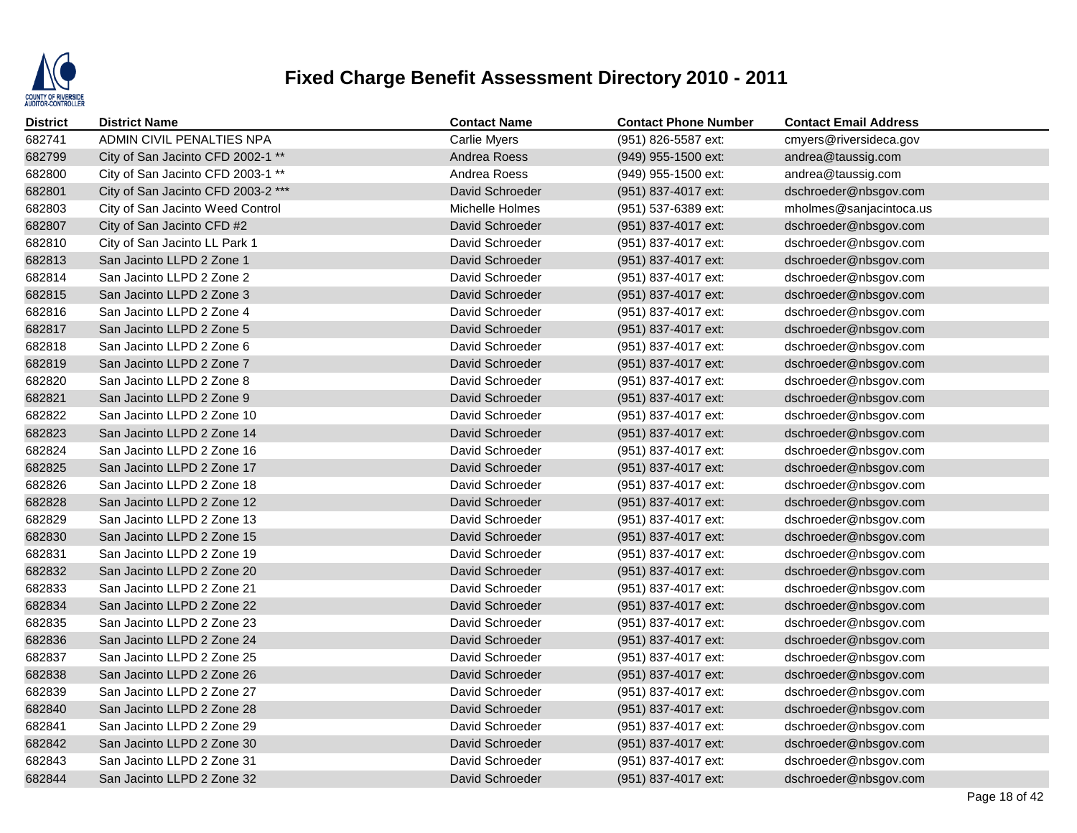

| <b>District</b> | <b>District Name</b>               | <b>Contact Name</b> | <b>Contact Phone Number</b> | <b>Contact Email Address</b> |
|-----------------|------------------------------------|---------------------|-----------------------------|------------------------------|
| 682741          | ADMIN CIVIL PENALTIES NPA          | <b>Carlie Myers</b> | (951) 826-5587 ext:         | cmyers@riversideca.gov       |
| 682799          | City of San Jacinto CFD 2002-1 **  | Andrea Roess        | (949) 955-1500 ext:         | andrea@taussig.com           |
| 682800          | City of San Jacinto CFD 2003-1 **  | Andrea Roess        | (949) 955-1500 ext:         | andrea@taussig.com           |
| 682801          | City of San Jacinto CFD 2003-2 *** | David Schroeder     | (951) 837-4017 ext:         | dschroeder@nbsgov.com        |
| 682803          | City of San Jacinto Weed Control   | Michelle Holmes     | (951) 537-6389 ext:         | mholmes@sanjacintoca.us      |
| 682807          | City of San Jacinto CFD #2         | David Schroeder     | (951) 837-4017 ext:         | dschroeder@nbsgov.com        |
| 682810          | City of San Jacinto LL Park 1      | David Schroeder     | (951) 837-4017 ext:         | dschroeder@nbsgov.com        |
| 682813          | San Jacinto LLPD 2 Zone 1          | David Schroeder     | (951) 837-4017 ext:         | dschroeder@nbsgov.com        |
| 682814          | San Jacinto LLPD 2 Zone 2          | David Schroeder     | (951) 837-4017 ext:         | dschroeder@nbsgov.com        |
| 682815          | San Jacinto LLPD 2 Zone 3          | David Schroeder     | (951) 837-4017 ext:         | dschroeder@nbsgov.com        |
| 682816          | San Jacinto LLPD 2 Zone 4          | David Schroeder     | (951) 837-4017 ext:         | dschroeder@nbsgov.com        |
| 682817          | San Jacinto LLPD 2 Zone 5          | David Schroeder     | (951) 837-4017 ext:         | dschroeder@nbsgov.com        |
| 682818          | San Jacinto LLPD 2 Zone 6          | David Schroeder     | (951) 837-4017 ext:         | dschroeder@nbsgov.com        |
| 682819          | San Jacinto LLPD 2 Zone 7          | David Schroeder     | (951) 837-4017 ext:         | dschroeder@nbsgov.com        |
| 682820          | San Jacinto LLPD 2 Zone 8          | David Schroeder     | (951) 837-4017 ext:         | dschroeder@nbsgov.com        |
| 682821          | San Jacinto LLPD 2 Zone 9          | David Schroeder     | (951) 837-4017 ext:         | dschroeder@nbsgov.com        |
| 682822          | San Jacinto LLPD 2 Zone 10         | David Schroeder     | (951) 837-4017 ext:         | dschroeder@nbsgov.com        |
| 682823          | San Jacinto LLPD 2 Zone 14         | David Schroeder     | (951) 837-4017 ext:         | dschroeder@nbsgov.com        |
| 682824          | San Jacinto LLPD 2 Zone 16         | David Schroeder     | (951) 837-4017 ext:         | dschroeder@nbsgov.com        |
| 682825          | San Jacinto LLPD 2 Zone 17         | David Schroeder     | (951) 837-4017 ext:         | dschroeder@nbsgov.com        |
| 682826          | San Jacinto LLPD 2 Zone 18         | David Schroeder     | (951) 837-4017 ext:         | dschroeder@nbsgov.com        |
| 682828          | San Jacinto LLPD 2 Zone 12         | David Schroeder     | (951) 837-4017 ext:         | dschroeder@nbsgov.com        |
| 682829          | San Jacinto LLPD 2 Zone 13         | David Schroeder     | (951) 837-4017 ext:         | dschroeder@nbsgov.com        |
| 682830          | San Jacinto LLPD 2 Zone 15         | David Schroeder     | (951) 837-4017 ext:         | dschroeder@nbsgov.com        |
| 682831          | San Jacinto LLPD 2 Zone 19         | David Schroeder     | (951) 837-4017 ext:         | dschroeder@nbsgov.com        |
| 682832          | San Jacinto LLPD 2 Zone 20         | David Schroeder     | (951) 837-4017 ext:         | dschroeder@nbsgov.com        |
| 682833          | San Jacinto LLPD 2 Zone 21         | David Schroeder     | (951) 837-4017 ext:         | dschroeder@nbsgov.com        |
| 682834          | San Jacinto LLPD 2 Zone 22         | David Schroeder     | (951) 837-4017 ext:         | dschroeder@nbsgov.com        |
| 682835          | San Jacinto LLPD 2 Zone 23         | David Schroeder     | (951) 837-4017 ext:         | dschroeder@nbsgov.com        |
| 682836          | San Jacinto LLPD 2 Zone 24         | David Schroeder     | (951) 837-4017 ext:         | dschroeder@nbsgov.com        |
| 682837          | San Jacinto LLPD 2 Zone 25         | David Schroeder     | (951) 837-4017 ext:         | dschroeder@nbsgov.com        |
| 682838          | San Jacinto LLPD 2 Zone 26         | David Schroeder     | (951) 837-4017 ext:         | dschroeder@nbsgov.com        |
| 682839          | San Jacinto LLPD 2 Zone 27         | David Schroeder     | (951) 837-4017 ext:         | dschroeder@nbsgov.com        |
| 682840          | San Jacinto LLPD 2 Zone 28         | David Schroeder     | (951) 837-4017 ext:         | dschroeder@nbsgov.com        |
| 682841          | San Jacinto LLPD 2 Zone 29         | David Schroeder     | (951) 837-4017 ext:         | dschroeder@nbsgov.com        |
| 682842          | San Jacinto LLPD 2 Zone 30         | David Schroeder     | (951) 837-4017 ext:         | dschroeder@nbsgov.com        |
| 682843          | San Jacinto LLPD 2 Zone 31         | David Schroeder     | (951) 837-4017 ext:         | dschroeder@nbsgov.com        |
| 682844          | San Jacinto LLPD 2 Zone 32         | David Schroeder     | (951) 837-4017 ext:         | dschroeder@nbsgov.com        |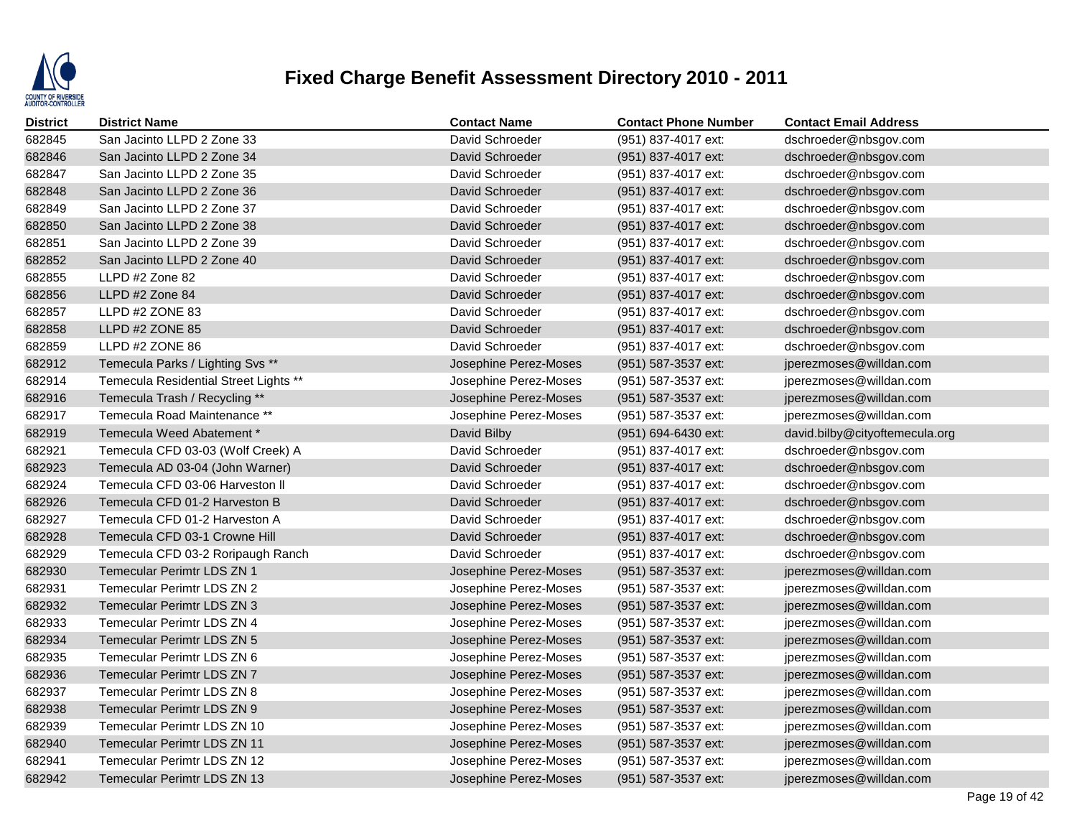

| <b>District</b> | <b>District Name</b>                  | <b>Contact Name</b>   | <b>Contact Phone Number</b> | <b>Contact Email Address</b>   |
|-----------------|---------------------------------------|-----------------------|-----------------------------|--------------------------------|
| 682845          | San Jacinto LLPD 2 Zone 33            | David Schroeder       | (951) 837-4017 ext:         | dschroeder@nbsgov.com          |
| 682846          | San Jacinto LLPD 2 Zone 34            | David Schroeder       | (951) 837-4017 ext:         | dschroeder@nbsgov.com          |
| 682847          | San Jacinto LLPD 2 Zone 35            | David Schroeder       | (951) 837-4017 ext:         | dschroeder@nbsgov.com          |
| 682848          | San Jacinto LLPD 2 Zone 36            | David Schroeder       | (951) 837-4017 ext:         | dschroeder@nbsgov.com          |
| 682849          | San Jacinto LLPD 2 Zone 37            | David Schroeder       | (951) 837-4017 ext:         | dschroeder@nbsgov.com          |
| 682850          | San Jacinto LLPD 2 Zone 38            | David Schroeder       | (951) 837-4017 ext:         | dschroeder@nbsgov.com          |
| 682851          | San Jacinto LLPD 2 Zone 39            | David Schroeder       | (951) 837-4017 ext:         | dschroeder@nbsgov.com          |
| 682852          | San Jacinto LLPD 2 Zone 40            | David Schroeder       | (951) 837-4017 ext:         | dschroeder@nbsgov.com          |
| 682855          | LLPD #2 Zone 82                       | David Schroeder       | (951) 837-4017 ext:         | dschroeder@nbsgov.com          |
| 682856          | LLPD #2 Zone 84                       | David Schroeder       | (951) 837-4017 ext:         | dschroeder@nbsgov.com          |
| 682857          | LLPD #2 ZONE 83                       | David Schroeder       | (951) 837-4017 ext:         | dschroeder@nbsgov.com          |
| 682858          | LLPD #2 ZONE 85                       | David Schroeder       | (951) 837-4017 ext:         | dschroeder@nbsgov.com          |
| 682859          | LLPD #2 ZONE 86                       | David Schroeder       | (951) 837-4017 ext:         | dschroeder@nbsgov.com          |
| 682912          | Temecula Parks / Lighting Svs **      | Josephine Perez-Moses | (951) 587-3537 ext:         | jperezmoses@willdan.com        |
| 682914          | Temecula Residential Street Lights ** | Josephine Perez-Moses | (951) 587-3537 ext:         | jperezmoses@willdan.com        |
| 682916          | Temecula Trash / Recycling **         | Josephine Perez-Moses | (951) 587-3537 ext:         | jperezmoses@willdan.com        |
| 682917          | Temecula Road Maintenance **          | Josephine Perez-Moses | (951) 587-3537 ext:         | jperezmoses@willdan.com        |
| 682919          | Temecula Weed Abatement *             | David Bilby           | (951) 694-6430 ext:         | david.bilby@cityoftemecula.org |
| 682921          | Temecula CFD 03-03 (Wolf Creek) A     | David Schroeder       | (951) 837-4017 ext:         | dschroeder@nbsgov.com          |
| 682923          | Temecula AD 03-04 (John Warner)       | David Schroeder       | (951) 837-4017 ext:         | dschroeder@nbsgov.com          |
| 682924          | Temecula CFD 03-06 Harveston II       | David Schroeder       | (951) 837-4017 ext:         | dschroeder@nbsgov.com          |
| 682926          | Temecula CFD 01-2 Harveston B         | David Schroeder       | (951) 837-4017 ext:         | dschroeder@nbsgov.com          |
| 682927          | Temecula CFD 01-2 Harveston A         | David Schroeder       | (951) 837-4017 ext:         | dschroeder@nbsgov.com          |
| 682928          | Temecula CFD 03-1 Crowne Hill         | David Schroeder       | (951) 837-4017 ext:         | dschroeder@nbsgov.com          |
| 682929          | Temecula CFD 03-2 Roripaugh Ranch     | David Schroeder       | (951) 837-4017 ext:         | dschroeder@nbsgov.com          |
| 682930          | <b>Temecular Perimtr LDS ZN 1</b>     | Josephine Perez-Moses | (951) 587-3537 ext:         | jperezmoses@willdan.com        |
| 682931          | <b>Temecular Perimtr LDS ZN 2</b>     | Josephine Perez-Moses | (951) 587-3537 ext:         | jperezmoses@willdan.com        |
| 682932          | <b>Temecular Perimtr LDS ZN 3</b>     | Josephine Perez-Moses | (951) 587-3537 ext:         | jperezmoses@willdan.com        |
| 682933          | Temecular Perimtr LDS ZN 4            | Josephine Perez-Moses | (951) 587-3537 ext:         | jperezmoses@willdan.com        |
| 682934          | Temecular Perimtr LDS ZN 5            | Josephine Perez-Moses | (951) 587-3537 ext:         | jperezmoses@willdan.com        |
| 682935          | <b>Temecular Perimtr LDS ZN 6</b>     | Josephine Perez-Moses | (951) 587-3537 ext:         | jperezmoses@willdan.com        |
| 682936          | Temecular Perimtr LDS ZN 7            | Josephine Perez-Moses | (951) 587-3537 ext:         | jperezmoses@willdan.com        |
| 682937          | <b>Temecular Perimtr LDS ZN 8</b>     | Josephine Perez-Moses | (951) 587-3537 ext:         | jperezmoses@willdan.com        |
| 682938          | <b>Temecular Perimtr LDS ZN 9</b>     | Josephine Perez-Moses | (951) 587-3537 ext:         | jperezmoses@willdan.com        |
| 682939          | Temecular Perimtr LDS ZN 10           | Josephine Perez-Moses | (951) 587-3537 ext:         | jperezmoses@willdan.com        |
| 682940          | <b>Temecular Perimtr LDS ZN 11</b>    | Josephine Perez-Moses | (951) 587-3537 ext:         | jperezmoses@willdan.com        |
| 682941          | Temecular Perimtr LDS ZN 12           | Josephine Perez-Moses | (951) 587-3537 ext:         | jperezmoses@willdan.com        |
| 682942          | <b>Temecular Perimtr LDS ZN 13</b>    | Josephine Perez-Moses | (951) 587-3537 ext:         | jperezmoses@willdan.com        |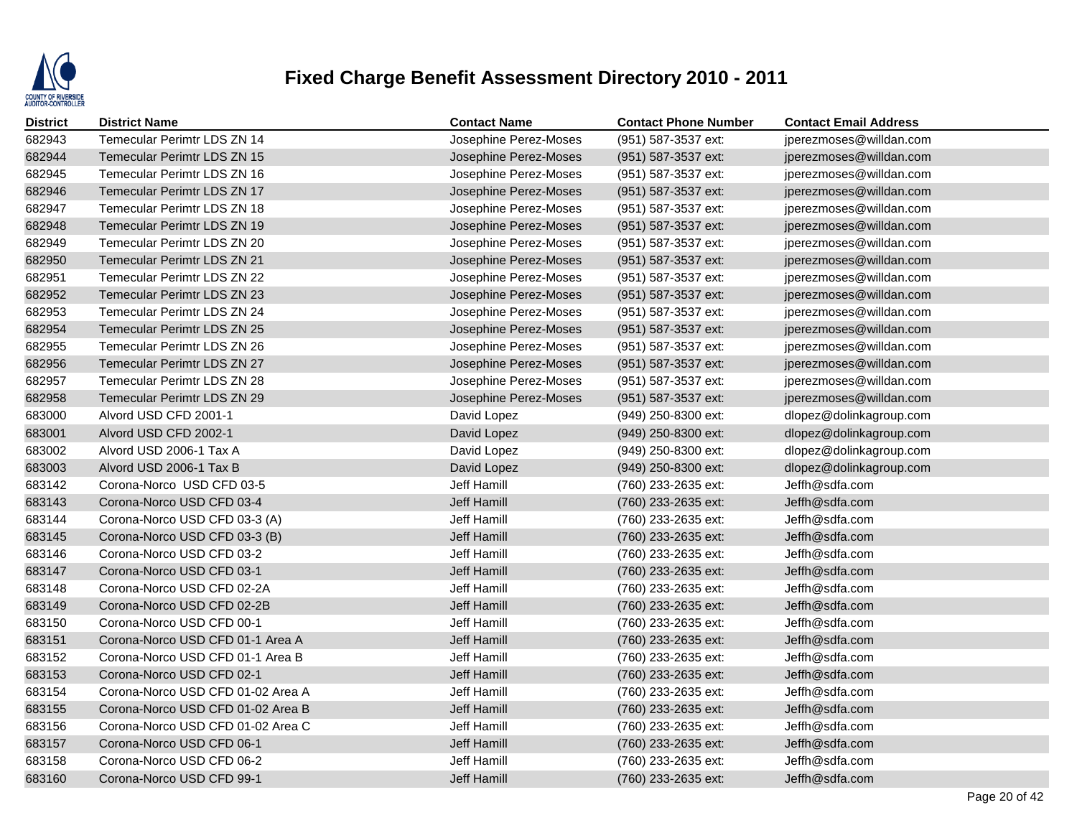

| <b>District</b> | <b>District Name</b>               | <b>Contact Name</b>   | <b>Contact Phone Number</b> | <b>Contact Email Address</b> |
|-----------------|------------------------------------|-----------------------|-----------------------------|------------------------------|
| 682943          | Temecular Perimtr LDS ZN 14        | Josephine Perez-Moses | (951) 587-3537 ext:         | jperezmoses@willdan.com      |
| 682944          | <b>Temecular Perimtr LDS ZN 15</b> | Josephine Perez-Moses | (951) 587-3537 ext:         | jperezmoses@willdan.com      |
| 682945          | Temecular Perimtr LDS ZN 16        | Josephine Perez-Moses | (951) 587-3537 ext:         | jperezmoses@willdan.com      |
| 682946          | <b>Temecular Perimtr LDS ZN 17</b> | Josephine Perez-Moses | (951) 587-3537 ext:         | jperezmoses@willdan.com      |
| 682947          | Temecular Perimtr LDS ZN 18        | Josephine Perez-Moses | (951) 587-3537 ext:         | jperezmoses@willdan.com      |
| 682948          | <b>Temecular Perimtr LDS ZN 19</b> | Josephine Perez-Moses | (951) 587-3537 ext:         | jperezmoses@willdan.com      |
| 682949          | Temecular Perimtr LDS ZN 20        | Josephine Perez-Moses | (951) 587-3537 ext:         | jperezmoses@willdan.com      |
| 682950          | <b>Temecular Perimtr LDS ZN 21</b> | Josephine Perez-Moses | (951) 587-3537 ext:         | jperezmoses@willdan.com      |
| 682951          | Temecular Perimtr LDS ZN 22        | Josephine Perez-Moses | (951) 587-3537 ext:         | jperezmoses@willdan.com      |
| 682952          | <b>Temecular Perimtr LDS ZN 23</b> | Josephine Perez-Moses | (951) 587-3537 ext:         | jperezmoses@willdan.com      |
| 682953          | Temecular Perimtr LDS ZN 24        | Josephine Perez-Moses | (951) 587-3537 ext:         | jperezmoses@willdan.com      |
| 682954          | <b>Temecular Perimtr LDS ZN 25</b> | Josephine Perez-Moses | (951) 587-3537 ext:         | jperezmoses@willdan.com      |
| 682955          | Temecular Perimtr LDS ZN 26        | Josephine Perez-Moses | (951) 587-3537 ext:         | jperezmoses@willdan.com      |
| 682956          | <b>Temecular Perimtr LDS ZN 27</b> | Josephine Perez-Moses | (951) 587-3537 ext:         | jperezmoses@willdan.com      |
| 682957          | Temecular Perimtr LDS ZN 28        | Josephine Perez-Moses | (951) 587-3537 ext:         | jperezmoses@willdan.com      |
| 682958          | Temecular Perimtr LDS ZN 29        | Josephine Perez-Moses | (951) 587-3537 ext:         | jperezmoses@willdan.com      |
| 683000          | Alvord USD CFD 2001-1              | David Lopez           | (949) 250-8300 ext:         | dlopez@dolinkagroup.com      |
| 683001          | Alvord USD CFD 2002-1              | David Lopez           | (949) 250-8300 ext:         | dlopez@dolinkagroup.com      |
| 683002          | Alvord USD 2006-1 Tax A            | David Lopez           | (949) 250-8300 ext:         | dlopez@dolinkagroup.com      |
| 683003          | Alvord USD 2006-1 Tax B            | David Lopez           | (949) 250-8300 ext:         | dlopez@dolinkagroup.com      |
| 683142          | Corona-Norco USD CFD 03-5          | Jeff Hamill           | (760) 233-2635 ext:         | Jeffh@sdfa.com               |
| 683143          | Corona-Norco USD CFD 03-4          | Jeff Hamill           | (760) 233-2635 ext:         | Jeffh@sdfa.com               |
| 683144          | Corona-Norco USD CFD 03-3 (A)      | Jeff Hamill           | (760) 233-2635 ext:         | Jeffh@sdfa.com               |
| 683145          | Corona-Norco USD CFD 03-3 (B)      | Jeff Hamill           | (760) 233-2635 ext:         | Jeffh@sdfa.com               |
| 683146          | Corona-Norco USD CFD 03-2          | Jeff Hamill           | (760) 233-2635 ext:         | Jeffh@sdfa.com               |
| 683147          | Corona-Norco USD CFD 03-1          | Jeff Hamill           | (760) 233-2635 ext:         | Jeffh@sdfa.com               |
| 683148          | Corona-Norco USD CFD 02-2A         | Jeff Hamill           | (760) 233-2635 ext:         | Jeffh@sdfa.com               |
| 683149          | Corona-Norco USD CFD 02-2B         | Jeff Hamill           | (760) 233-2635 ext:         | Jeffh@sdfa.com               |
| 683150          | Corona-Norco USD CFD 00-1          | Jeff Hamill           | (760) 233-2635 ext:         | Jeffh@sdfa.com               |
| 683151          | Corona-Norco USD CFD 01-1 Area A   | Jeff Hamill           | (760) 233-2635 ext:         | Jeffh@sdfa.com               |
| 683152          | Corona-Norco USD CFD 01-1 Area B   | Jeff Hamill           | (760) 233-2635 ext:         | Jeffh@sdfa.com               |
| 683153          | Corona-Norco USD CFD 02-1          | Jeff Hamill           | (760) 233-2635 ext:         | Jeffh@sdfa.com               |
| 683154          | Corona-Norco USD CFD 01-02 Area A  | Jeff Hamill           | (760) 233-2635 ext:         | Jeffh@sdfa.com               |
| 683155          | Corona-Norco USD CFD 01-02 Area B  | <b>Jeff Hamill</b>    | (760) 233-2635 ext:         | Jeffh@sdfa.com               |
| 683156          | Corona-Norco USD CFD 01-02 Area C  | Jeff Hamill           | (760) 233-2635 ext:         | Jeffh@sdfa.com               |
| 683157          | Corona-Norco USD CFD 06-1          | Jeff Hamill           | (760) 233-2635 ext:         | Jeffh@sdfa.com               |
| 683158          | Corona-Norco USD CFD 06-2          | Jeff Hamill           | (760) 233-2635 ext:         | Jeffh@sdfa.com               |
| 683160          | Corona-Norco USD CFD 99-1          | Jeff Hamill           | (760) 233-2635 ext:         | Jeffh@sdfa.com               |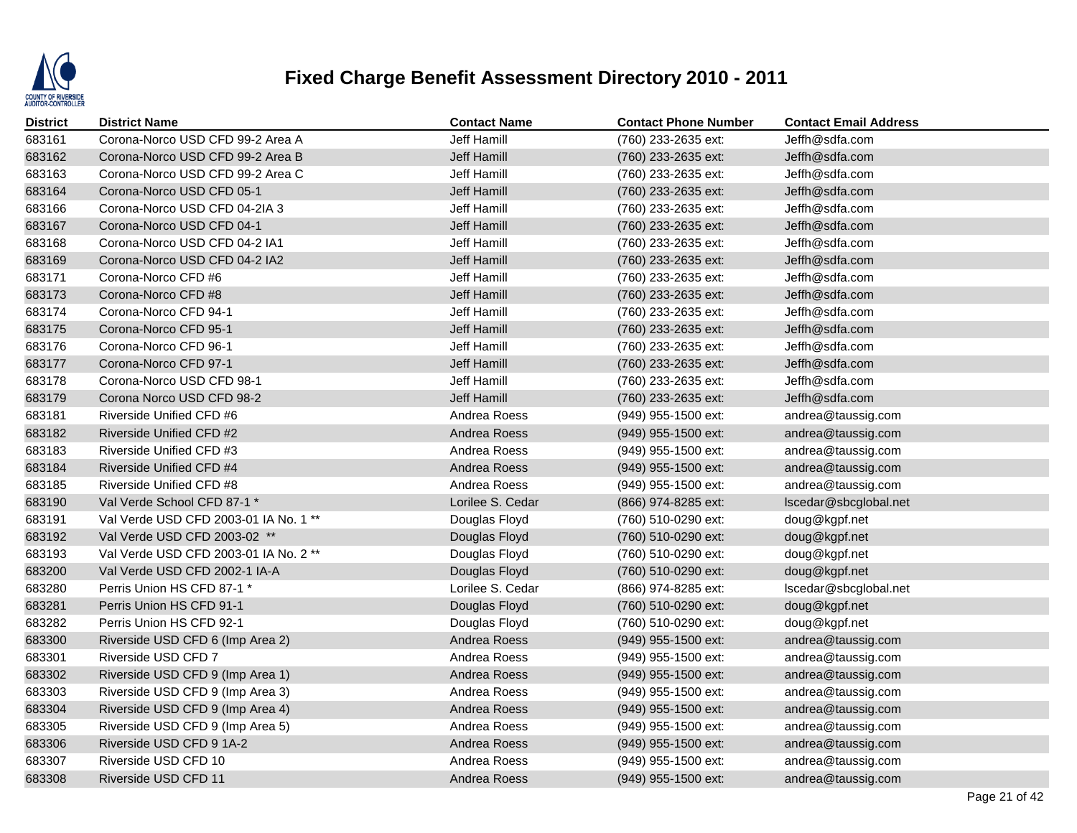

| <b>District</b> | <b>District Name</b>                  | <b>Contact Name</b> | <b>Contact Phone Number</b> | <b>Contact Email Address</b> |
|-----------------|---------------------------------------|---------------------|-----------------------------|------------------------------|
| 683161          | Corona-Norco USD CFD 99-2 Area A      | Jeff Hamill         | (760) 233-2635 ext:         | Jeffh@sdfa.com               |
| 683162          | Corona-Norco USD CFD 99-2 Area B      | Jeff Hamill         | (760) 233-2635 ext:         | Jeffh@sdfa.com               |
| 683163          | Corona-Norco USD CFD 99-2 Area C      | Jeff Hamill         | (760) 233-2635 ext:         | Jeffh@sdfa.com               |
| 683164          | Corona-Norco USD CFD 05-1             | Jeff Hamill         | (760) 233-2635 ext:         | Jeffh@sdfa.com               |
| 683166          | Corona-Norco USD CFD 04-2IA 3         | Jeff Hamill         | (760) 233-2635 ext:         | Jeffh@sdfa.com               |
| 683167          | Corona-Norco USD CFD 04-1             | Jeff Hamill         | (760) 233-2635 ext:         | Jeffh@sdfa.com               |
| 683168          | Corona-Norco USD CFD 04-2 IA1         | Jeff Hamill         | (760) 233-2635 ext:         | Jeffh@sdfa.com               |
| 683169          | Corona-Norco USD CFD 04-2 IA2         | Jeff Hamill         | (760) 233-2635 ext:         | Jeffh@sdfa.com               |
| 683171          | Corona-Norco CFD #6                   | Jeff Hamill         | (760) 233-2635 ext:         | Jeffh@sdfa.com               |
| 683173          | Corona-Norco CFD #8                   | Jeff Hamill         | (760) 233-2635 ext:         | Jeffh@sdfa.com               |
| 683174          | Corona-Norco CFD 94-1                 | Jeff Hamill         | (760) 233-2635 ext:         | Jeffh@sdfa.com               |
| 683175          | Corona-Norco CFD 95-1                 | Jeff Hamill         | (760) 233-2635 ext:         | Jeffh@sdfa.com               |
| 683176          | Corona-Norco CFD 96-1                 | Jeff Hamill         | (760) 233-2635 ext:         | Jeffh@sdfa.com               |
| 683177          | Corona-Norco CFD 97-1                 | Jeff Hamill         | (760) 233-2635 ext:         | Jeffh@sdfa.com               |
| 683178          | Corona-Norco USD CFD 98-1             | Jeff Hamill         | (760) 233-2635 ext:         | Jeffh@sdfa.com               |
| 683179          | Corona Norco USD CFD 98-2             | Jeff Hamill         | (760) 233-2635 ext:         | Jeffh@sdfa.com               |
| 683181          | Riverside Unified CFD #6              | Andrea Roess        | (949) 955-1500 ext:         | andrea@taussig.com           |
| 683182          | Riverside Unified CFD #2              | Andrea Roess        | (949) 955-1500 ext:         | andrea@taussig.com           |
| 683183          | Riverside Unified CFD #3              | Andrea Roess        | (949) 955-1500 ext:         | andrea@taussig.com           |
| 683184          | Riverside Unified CFD #4              | Andrea Roess        | (949) 955-1500 ext:         | andrea@taussig.com           |
| 683185          | Riverside Unified CFD #8              | Andrea Roess        | (949) 955-1500 ext:         | andrea@taussig.com           |
| 683190          | Val Verde School CFD 87-1 *           | Lorilee S. Cedar    | (866) 974-8285 ext:         | lscedar@sbcglobal.net        |
| 683191          | Val Verde USD CFD 2003-01 IA No. 1 ** | Douglas Floyd       | (760) 510-0290 ext:         | doug@kgpf.net                |
| 683192          | Val Verde USD CFD 2003-02 **          | Douglas Floyd       | (760) 510-0290 ext:         | doug@kgpf.net                |
| 683193          | Val Verde USD CFD 2003-01 IA No. 2 ** | Douglas Floyd       | (760) 510-0290 ext:         | doug@kgpf.net                |
| 683200          | Val Verde USD CFD 2002-1 IA-A         | Douglas Floyd       | (760) 510-0290 ext:         | doug@kgpf.net                |
| 683280          | Perris Union HS CFD 87-1 *            | Lorilee S. Cedar    | (866) 974-8285 ext:         | Iscedar@sbcglobal.net        |
| 683281          | Perris Union HS CFD 91-1              | Douglas Floyd       | (760) 510-0290 ext:         | doug@kgpf.net                |
| 683282          | Perris Union HS CFD 92-1              | Douglas Floyd       | (760) 510-0290 ext:         | doug@kgpf.net                |
| 683300          | Riverside USD CFD 6 (Imp Area 2)      | Andrea Roess        | (949) 955-1500 ext:         | andrea@taussig.com           |
| 683301          | Riverside USD CFD 7                   | Andrea Roess        | (949) 955-1500 ext:         | andrea@taussig.com           |
| 683302          | Riverside USD CFD 9 (Imp Area 1)      | Andrea Roess        | (949) 955-1500 ext:         | andrea@taussig.com           |
| 683303          | Riverside USD CFD 9 (Imp Area 3)      | Andrea Roess        | (949) 955-1500 ext:         | andrea@taussig.com           |
| 683304          | Riverside USD CFD 9 (Imp Area 4)      | Andrea Roess        | (949) 955-1500 ext:         | andrea@taussig.com           |
| 683305          | Riverside USD CFD 9 (Imp Area 5)      | Andrea Roess        | (949) 955-1500 ext:         | andrea@taussig.com           |
| 683306          | Riverside USD CFD 9 1A-2              | Andrea Roess        | (949) 955-1500 ext:         | andrea@taussig.com           |
| 683307          | Riverside USD CFD 10                  | Andrea Roess        | (949) 955-1500 ext:         | andrea@taussig.com           |
| 683308          | Riverside USD CFD 11                  | Andrea Roess        | (949) 955-1500 ext:         | andrea@taussig.com           |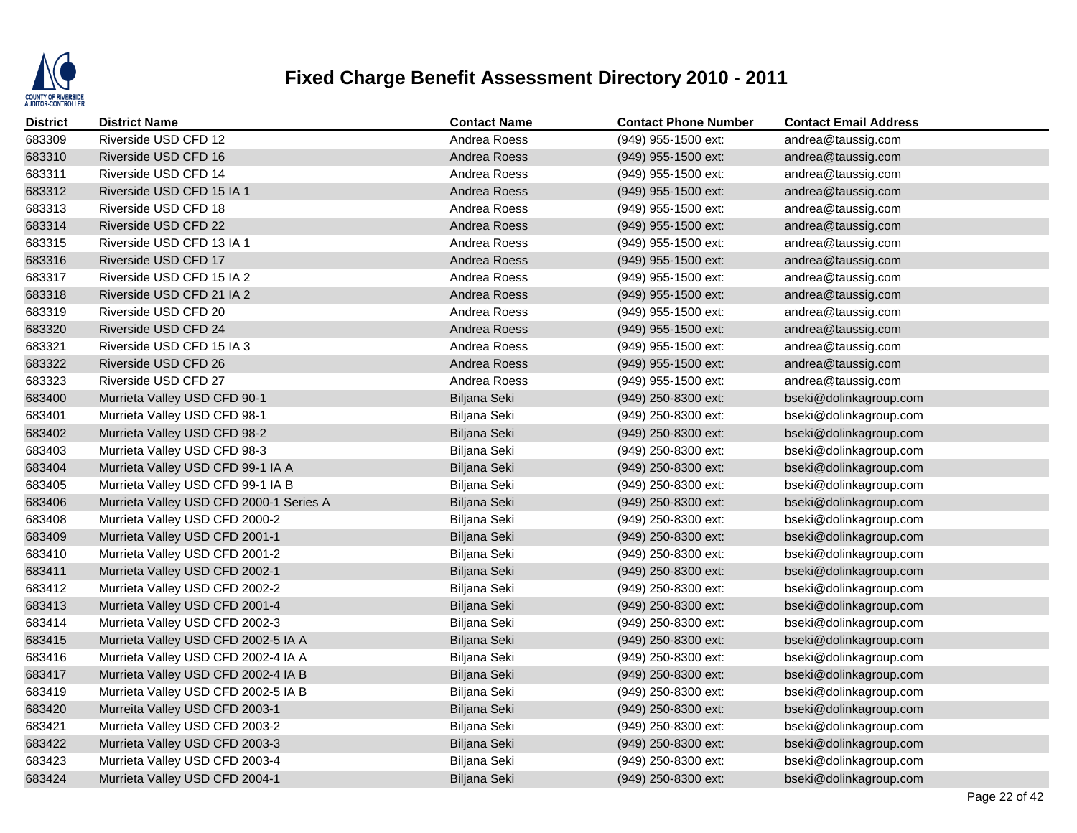

| <b>District</b> | <b>District Name</b>                    | <b>Contact Name</b> | <b>Contact Phone Number</b> | <b>Contact Email Address</b> |
|-----------------|-----------------------------------------|---------------------|-----------------------------|------------------------------|
| 683309          | Riverside USD CFD 12                    | Andrea Roess        | (949) 955-1500 ext:         | andrea@taussig.com           |
| 683310          | Riverside USD CFD 16                    | Andrea Roess        | (949) 955-1500 ext:         | andrea@taussig.com           |
| 683311          | Riverside USD CFD 14                    | Andrea Roess        | (949) 955-1500 ext:         | andrea@taussig.com           |
| 683312          | Riverside USD CFD 15 IA 1               | Andrea Roess        | (949) 955-1500 ext:         | andrea@taussig.com           |
| 683313          | Riverside USD CFD 18                    | Andrea Roess        | (949) 955-1500 ext:         | andrea@taussig.com           |
| 683314          | Riverside USD CFD 22                    | Andrea Roess        | (949) 955-1500 ext:         | andrea@taussig.com           |
| 683315          | Riverside USD CFD 13 IA 1               | Andrea Roess        | (949) 955-1500 ext:         | andrea@taussig.com           |
| 683316          | Riverside USD CFD 17                    | Andrea Roess        | (949) 955-1500 ext:         | andrea@taussig.com           |
| 683317          | Riverside USD CFD 15 IA 2               | Andrea Roess        | $(949)$ 955-1500 ext:       | andrea@taussig.com           |
| 683318          | Riverside USD CFD 21 IA 2               | Andrea Roess        | (949) 955-1500 ext:         | andrea@taussig.com           |
| 683319          | Riverside USD CFD 20                    | Andrea Roess        | (949) 955-1500 ext:         | andrea@taussig.com           |
| 683320          | Riverside USD CFD 24                    | Andrea Roess        | (949) 955-1500 ext:         | andrea@taussig.com           |
| 683321          | Riverside USD CFD 15 IA 3               | Andrea Roess        | (949) 955-1500 ext:         | andrea@taussig.com           |
| 683322          | Riverside USD CFD 26                    | Andrea Roess        | (949) 955-1500 ext:         | andrea@taussig.com           |
| 683323          | Riverside USD CFD 27                    | Andrea Roess        | (949) 955-1500 ext:         | andrea@taussig.com           |
| 683400          | Murrieta Valley USD CFD 90-1            | Biljana Seki        | $(949)$ 250-8300 ext:       | bseki@dolinkagroup.com       |
| 683401          | Murrieta Valley USD CFD 98-1            | Biljana Seki        | (949) 250-8300 ext:         | bseki@dolinkagroup.com       |
| 683402          | Murrieta Valley USD CFD 98-2            | Biljana Seki        | (949) 250-8300 ext:         | bseki@dolinkagroup.com       |
| 683403          | Murrieta Valley USD CFD 98-3            | Biljana Seki        | (949) 250-8300 ext:         | bseki@dolinkagroup.com       |
| 683404          | Murrieta Valley USD CFD 99-1 IA A       | Biljana Seki        | (949) 250-8300 ext:         | bseki@dolinkagroup.com       |
| 683405          | Murrieta Valley USD CFD 99-1 IA B       | Biljana Seki        | (949) 250-8300 ext:         | bseki@dolinkagroup.com       |
| 683406          | Murrieta Valley USD CFD 2000-1 Series A | Biljana Seki        | (949) 250-8300 ext:         | bseki@dolinkagroup.com       |
| 683408          | Murrieta Valley USD CFD 2000-2          | Biljana Seki        | (949) 250-8300 ext:         | bseki@dolinkagroup.com       |
| 683409          | Murrieta Valley USD CFD 2001-1          | Biljana Seki        | (949) 250-8300 ext:         | bseki@dolinkagroup.com       |
| 683410          | Murrieta Valley USD CFD 2001-2          | Biljana Seki        | (949) 250-8300 ext:         | bseki@dolinkagroup.com       |
| 683411          | Murrieta Valley USD CFD 2002-1          | Biljana Seki        | (949) 250-8300 ext:         | bseki@dolinkagroup.com       |
| 683412          | Murrieta Valley USD CFD 2002-2          | Biljana Seki        | (949) 250-8300 ext:         | bseki@dolinkagroup.com       |
| 683413          | Murrieta Valley USD CFD 2001-4          | Biljana Seki        | $(949)$ 250-8300 ext:       | bseki@dolinkagroup.com       |
| 683414          | Murrieta Valley USD CFD 2002-3          | Biljana Seki        | $(949)$ 250-8300 ext:       | bseki@dolinkagroup.com       |
| 683415          | Murrieta Valley USD CFD 2002-5 IA A     | Biljana Seki        | (949) 250-8300 ext:         | bseki@dolinkagroup.com       |
| 683416          | Murrieta Valley USD CFD 2002-4 IA A     | Biljana Seki        | (949) 250-8300 ext:         | bseki@dolinkagroup.com       |
| 683417          | Murrieta Valley USD CFD 2002-4 IA B     | Biljana Seki        | (949) 250-8300 ext:         | bseki@dolinkagroup.com       |
| 683419          | Murrieta Valley USD CFD 2002-5 IA B     | Biljana Seki        | (949) 250-8300 ext:         | bseki@dolinkagroup.com       |
| 683420          | Murreita Valley USD CFD 2003-1          | Biljana Seki        | (949) 250-8300 ext:         | bseki@dolinkagroup.com       |
| 683421          | Murrieta Valley USD CFD 2003-2          | Biljana Seki        | (949) 250-8300 ext:         | bseki@dolinkagroup.com       |
| 683422          | Murrieta Valley USD CFD 2003-3          | Biljana Seki        | (949) 250-8300 ext:         | bseki@dolinkagroup.com       |
| 683423          | Murrieta Valley USD CFD 2003-4          | Biljana Seki        | (949) 250-8300 ext:         | bseki@dolinkagroup.com       |
| 683424          | Murrieta Valley USD CFD 2004-1          | Biljana Seki        | (949) 250-8300 ext:         | bseki@dolinkagroup.com       |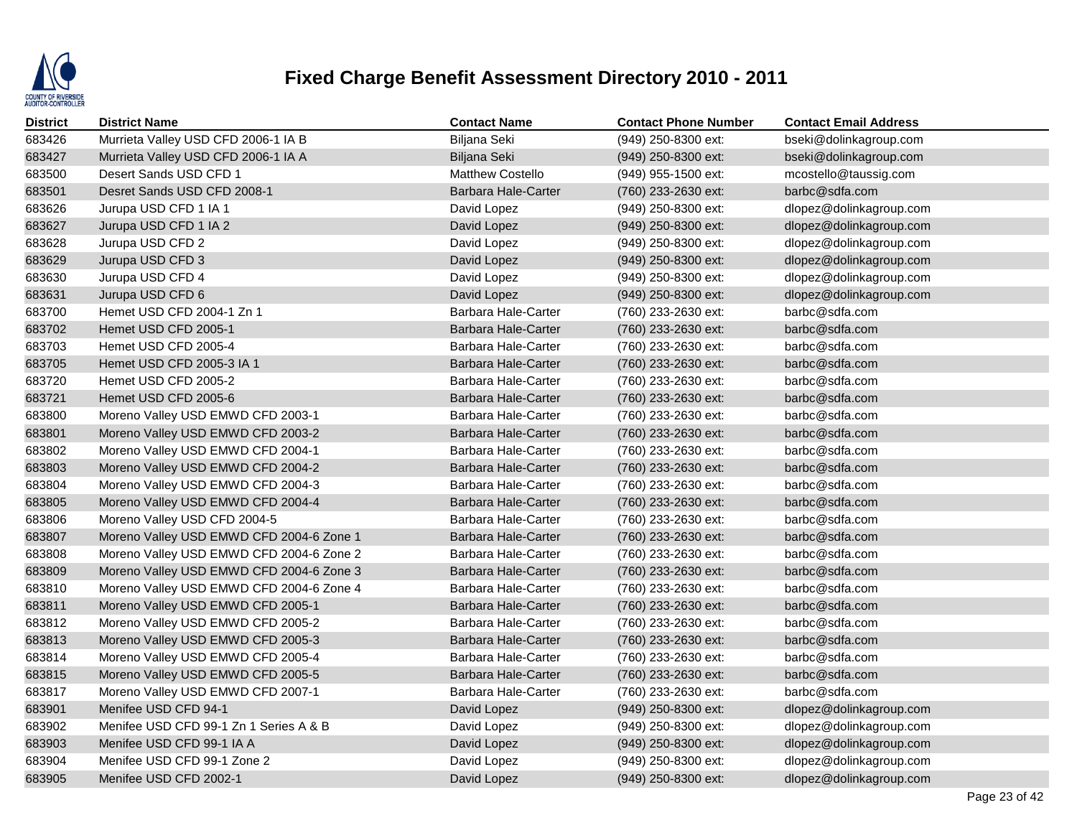

| District | <b>District Name</b>                     | <b>Contact Name</b>        | <b>Contact Phone Number</b> | <b>Contact Email Address</b> |
|----------|------------------------------------------|----------------------------|-----------------------------|------------------------------|
| 683426   | Murrieta Valley USD CFD 2006-1 IA B      | Biljana Seki               | (949) 250-8300 ext:         | bseki@dolinkagroup.com       |
| 683427   | Murrieta Valley USD CFD 2006-1 IA A      | Biljana Seki               | (949) 250-8300 ext:         | bseki@dolinkagroup.com       |
| 683500   | Desert Sands USD CFD 1                   | Matthew Costello           | (949) 955-1500 ext:         | mcostello@taussig.com        |
| 683501   | Desret Sands USD CFD 2008-1              | <b>Barbara Hale-Carter</b> | (760) 233-2630 ext:         | barbc@sdfa.com               |
| 683626   | Jurupa USD CFD 1 IA 1                    | David Lopez                | (949) 250-8300 ext:         | dlopez@dolinkagroup.com      |
| 683627   | Jurupa USD CFD 1 IA 2                    | David Lopez                | (949) 250-8300 ext:         | dlopez@dolinkagroup.com      |
| 683628   | Jurupa USD CFD 2                         | David Lopez                | (949) 250-8300 ext:         | dlopez@dolinkagroup.com      |
| 683629   | Jurupa USD CFD 3                         | David Lopez                | $(949)$ 250-8300 ext:       | dlopez@dolinkagroup.com      |
| 683630   | Jurupa USD CFD 4                         | David Lopez                | (949) 250-8300 ext:         | dlopez@dolinkagroup.com      |
| 683631   | Jurupa USD CFD 6                         | David Lopez                | (949) 250-8300 ext:         | dlopez@dolinkagroup.com      |
| 683700   | Hemet USD CFD 2004-1 Zn 1                | Barbara Hale-Carter        | (760) 233-2630 ext:         | barbc@sdfa.com               |
| 683702   | Hemet USD CFD 2005-1                     | <b>Barbara Hale-Carter</b> | (760) 233-2630 ext:         | barbc@sdfa.com               |
| 683703   | Hemet USD CFD 2005-4                     | Barbara Hale-Carter        | (760) 233-2630 ext:         | barbc@sdfa.com               |
| 683705   | Hemet USD CFD 2005-3 IA 1                | Barbara Hale-Carter        | (760) 233-2630 ext:         | barbc@sdfa.com               |
| 683720   | Hemet USD CFD 2005-2                     | Barbara Hale-Carter        | (760) 233-2630 ext:         | barbc@sdfa.com               |
| 683721   | Hemet USD CFD 2005-6                     | Barbara Hale-Carter        | (760) 233-2630 ext:         | barbc@sdfa.com               |
| 683800   | Moreno Valley USD EMWD CFD 2003-1        | Barbara Hale-Carter        | (760) 233-2630 ext:         | barbc@sdfa.com               |
| 683801   | Moreno Valley USD EMWD CFD 2003-2        | Barbara Hale-Carter        | (760) 233-2630 ext:         | barbc@sdfa.com               |
| 683802   | Moreno Valley USD EMWD CFD 2004-1        | Barbara Hale-Carter        | (760) 233-2630 ext:         | barbc@sdfa.com               |
| 683803   | Moreno Valley USD EMWD CFD 2004-2        | <b>Barbara Hale-Carter</b> | (760) 233-2630 ext:         | barbc@sdfa.com               |
| 683804   | Moreno Valley USD EMWD CFD 2004-3        | Barbara Hale-Carter        | (760) 233-2630 ext:         | barbc@sdfa.com               |
| 683805   | Moreno Valley USD EMWD CFD 2004-4        | Barbara Hale-Carter        | (760) 233-2630 ext:         | barbc@sdfa.com               |
| 683806   | Moreno Valley USD CFD 2004-5             | Barbara Hale-Carter        | (760) 233-2630 ext:         | barbc@sdfa.com               |
| 683807   | Moreno Valley USD EMWD CFD 2004-6 Zone 1 | <b>Barbara Hale-Carter</b> | (760) 233-2630 ext:         | barbc@sdfa.com               |
| 683808   | Moreno Valley USD EMWD CFD 2004-6 Zone 2 | Barbara Hale-Carter        | (760) 233-2630 ext:         | barbc@sdfa.com               |
| 683809   | Moreno Valley USD EMWD CFD 2004-6 Zone 3 | Barbara Hale-Carter        | (760) 233-2630 ext:         | barbc@sdfa.com               |
| 683810   | Moreno Valley USD EMWD CFD 2004-6 Zone 4 | Barbara Hale-Carter        | (760) 233-2630 ext:         | barbc@sdfa.com               |
| 683811   | Moreno Valley USD EMWD CFD 2005-1        | Barbara Hale-Carter        | (760) 233-2630 ext:         | barbc@sdfa.com               |
| 683812   | Moreno Valley USD EMWD CFD 2005-2        | Barbara Hale-Carter        | (760) 233-2630 ext:         | barbc@sdfa.com               |
| 683813   | Moreno Valley USD EMWD CFD 2005-3        | Barbara Hale-Carter        | (760) 233-2630 ext:         | barbc@sdfa.com               |
| 683814   | Moreno Valley USD EMWD CFD 2005-4        | Barbara Hale-Carter        | (760) 233-2630 ext:         | barbc@sdfa.com               |
| 683815   | Moreno Valley USD EMWD CFD 2005-5        | <b>Barbara Hale-Carter</b> | (760) 233-2630 ext:         | barbc@sdfa.com               |
| 683817   | Moreno Valley USD EMWD CFD 2007-1        | Barbara Hale-Carter        | (760) 233-2630 ext:         | barbc@sdfa.com               |
| 683901   | Menifee USD CFD 94-1                     | David Lopez                | (949) 250-8300 ext:         | dlopez@dolinkagroup.com      |
| 683902   | Menifee USD CFD 99-1 Zn 1 Series A & B   | David Lopez                | (949) 250-8300 ext:         | dlopez@dolinkagroup.com      |
| 683903   | Menifee USD CFD 99-1 IA A                | David Lopez                | (949) 250-8300 ext:         | dlopez@dolinkagroup.com      |
| 683904   | Menifee USD CFD 99-1 Zone 2              | David Lopez                | $(949)$ 250-8300 ext:       | dlopez@dolinkagroup.com      |
| 683905   | Menifee USD CFD 2002-1                   | David Lopez                | (949) 250-8300 ext:         | dlopez@dolinkagroup.com      |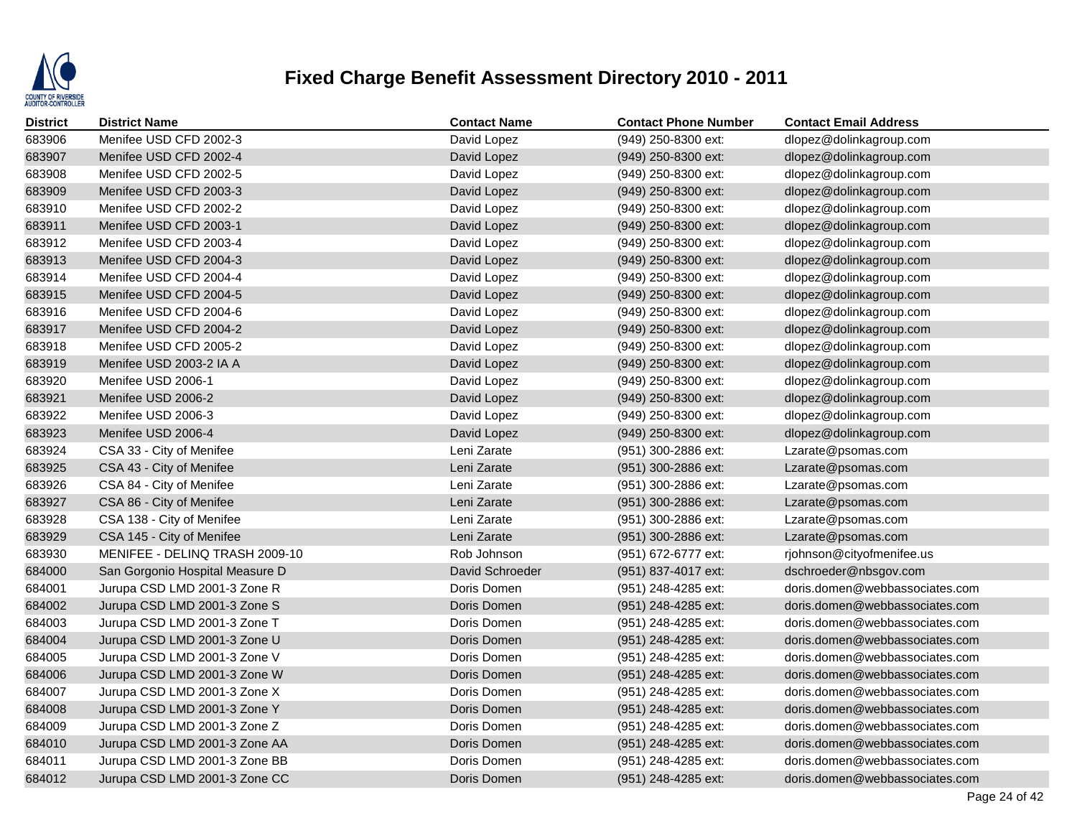

| <b>District</b> | <b>District Name</b>            | <b>Contact Name</b> | <b>Contact Phone Number</b> | <b>Contact Email Address</b>   |
|-----------------|---------------------------------|---------------------|-----------------------------|--------------------------------|
| 683906          | Menifee USD CFD 2002-3          | David Lopez         | (949) 250-8300 ext:         | dlopez@dolinkagroup.com        |
| 683907          | Menifee USD CFD 2002-4          | David Lopez         | (949) 250-8300 ext:         | dlopez@dolinkagroup.com        |
| 683908          | Menifee USD CFD 2002-5          | David Lopez         | (949) 250-8300 ext:         | dlopez@dolinkagroup.com        |
| 683909          | Menifee USD CFD 2003-3          | David Lopez         | (949) 250-8300 ext:         | dlopez@dolinkagroup.com        |
| 683910          | Menifee USD CFD 2002-2          | David Lopez         | (949) 250-8300 ext:         | dlopez@dolinkagroup.com        |
| 683911          | Menifee USD CFD 2003-1          | David Lopez         | (949) 250-8300 ext:         | dlopez@dolinkagroup.com        |
| 683912          | Menifee USD CFD 2003-4          | David Lopez         | (949) 250-8300 ext:         | dlopez@dolinkagroup.com        |
| 683913          | Menifee USD CFD 2004-3          | David Lopez         | (949) 250-8300 ext:         | dlopez@dolinkagroup.com        |
| 683914          | Menifee USD CFD 2004-4          | David Lopez         | (949) 250-8300 ext:         | dlopez@dolinkagroup.com        |
| 683915          | Menifee USD CFD 2004-5          | David Lopez         | (949) 250-8300 ext:         | dlopez@dolinkagroup.com        |
| 683916          | Menifee USD CFD 2004-6          | David Lopez         | (949) 250-8300 ext:         | dlopez@dolinkagroup.com        |
| 683917          | Menifee USD CFD 2004-2          | David Lopez         | (949) 250-8300 ext:         | dlopez@dolinkagroup.com        |
| 683918          | Menifee USD CFD 2005-2          | David Lopez         | (949) 250-8300 ext:         | dlopez@dolinkagroup.com        |
| 683919          | Menifee USD 2003-2 IA A         | David Lopez         | $(949)$ 250-8300 ext:       | dlopez@dolinkagroup.com        |
| 683920          | Menifee USD 2006-1              | David Lopez         | (949) 250-8300 ext:         | dlopez@dolinkagroup.com        |
| 683921          | Menifee USD 2006-2              | David Lopez         | (949) 250-8300 ext:         | dlopez@dolinkagroup.com        |
| 683922          | Menifee USD 2006-3              | David Lopez         | (949) 250-8300 ext:         | dlopez@dolinkagroup.com        |
| 683923          | Menifee USD 2006-4              | David Lopez         | (949) 250-8300 ext:         | dlopez@dolinkagroup.com        |
| 683924          | CSA 33 - City of Menifee        | Leni Zarate         | (951) 300-2886 ext:         | Lzarate@psomas.com             |
| 683925          | CSA 43 - City of Menifee        | Leni Zarate         | (951) 300-2886 ext:         | Lzarate@psomas.com             |
| 683926          | CSA 84 - City of Menifee        | Leni Zarate         | (951) 300-2886 ext:         | Lzarate@psomas.com             |
| 683927          | CSA 86 - City of Menifee        | Leni Zarate         | (951) 300-2886 ext:         | Lzarate@psomas.com             |
| 683928          | CSA 138 - City of Menifee       | Leni Zarate         | (951) 300-2886 ext:         | Lzarate@psomas.com             |
| 683929          | CSA 145 - City of Menifee       | Leni Zarate         | (951) 300-2886 ext:         | Lzarate@psomas.com             |
| 683930          | MENIFEE - DELINQ TRASH 2009-10  | Rob Johnson         | (951) 672-6777 ext:         | rjohnson@cityofmenifee.us      |
| 684000          | San Gorgonio Hospital Measure D | David Schroeder     | (951) 837-4017 ext:         | dschroeder@nbsgov.com          |
| 684001          | Jurupa CSD LMD 2001-3 Zone R    | Doris Domen         | (951) 248-4285 ext:         | doris.domen@webbassociates.com |
| 684002          | Jurupa CSD LMD 2001-3 Zone S    | Doris Domen         | (951) 248-4285 ext:         | doris.domen@webbassociates.com |
| 684003          | Jurupa CSD LMD 2001-3 Zone T    | Doris Domen         | (951) 248-4285 ext:         | doris.domen@webbassociates.com |
| 684004          | Jurupa CSD LMD 2001-3 Zone U    | Doris Domen         | (951) 248-4285 ext:         | doris.domen@webbassociates.com |
| 684005          | Jurupa CSD LMD 2001-3 Zone V    | Doris Domen         | (951) 248-4285 ext:         | doris.domen@webbassociates.com |
| 684006          | Jurupa CSD LMD 2001-3 Zone W    | Doris Domen         | (951) 248-4285 ext:         | doris.domen@webbassociates.com |
| 684007          | Jurupa CSD LMD 2001-3 Zone X    | Doris Domen         | (951) 248-4285 ext:         | doris.domen@webbassociates.com |
| 684008          | Jurupa CSD LMD 2001-3 Zone Y    | Doris Domen         | (951) 248-4285 ext:         | doris.domen@webbassociates.com |
| 684009          | Jurupa CSD LMD 2001-3 Zone Z    | Doris Domen         | (951) 248-4285 ext:         | doris.domen@webbassociates.com |
| 684010          | Jurupa CSD LMD 2001-3 Zone AA   | Doris Domen         | (951) 248-4285 ext:         | doris.domen@webbassociates.com |
| 684011          | Jurupa CSD LMD 2001-3 Zone BB   | Doris Domen         | (951) 248-4285 ext:         | doris.domen@webbassociates.com |
| 684012          | Jurupa CSD LMD 2001-3 Zone CC   | Doris Domen         | (951) 248-4285 ext:         | doris.domen@webbassociates.com |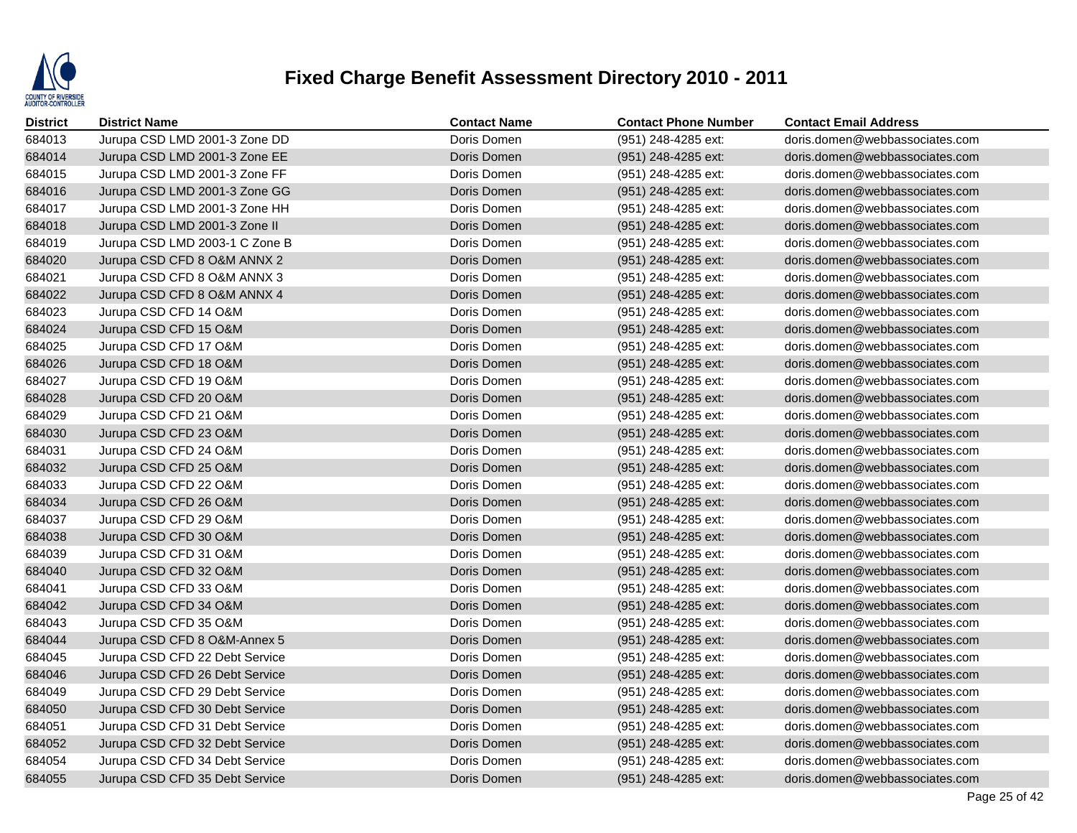

| <b>District</b> | <b>District Name</b>           | <b>Contact Name</b> | <b>Contact Phone Number</b> | <b>Contact Email Address</b>   |
|-----------------|--------------------------------|---------------------|-----------------------------|--------------------------------|
| 684013          | Jurupa CSD LMD 2001-3 Zone DD  | Doris Domen         | (951) 248-4285 ext:         | doris.domen@webbassociates.com |
| 684014          | Jurupa CSD LMD 2001-3 Zone EE  | Doris Domen         | (951) 248-4285 ext:         | doris.domen@webbassociates.com |
| 684015          | Jurupa CSD LMD 2001-3 Zone FF  | Doris Domen         | (951) 248-4285 ext:         | doris.domen@webbassociates.com |
| 684016          | Jurupa CSD LMD 2001-3 Zone GG  | Doris Domen         | (951) 248-4285 ext:         | doris.domen@webbassociates.com |
| 684017          | Jurupa CSD LMD 2001-3 Zone HH  | Doris Domen         | (951) 248-4285 ext:         | doris.domen@webbassociates.com |
| 684018          | Jurupa CSD LMD 2001-3 Zone II  | Doris Domen         | (951) 248-4285 ext:         | doris.domen@webbassociates.com |
| 684019          | Jurupa CSD LMD 2003-1 C Zone B | Doris Domen         | (951) 248-4285 ext:         | doris.domen@webbassociates.com |
| 684020          | Jurupa CSD CFD 8 O&M ANNX 2    | Doris Domen         | (951) 248-4285 ext:         | doris.domen@webbassociates.com |
| 684021          | Jurupa CSD CFD 8 O&M ANNX 3    | Doris Domen         | (951) 248-4285 ext:         | doris.domen@webbassociates.com |
| 684022          | Jurupa CSD CFD 8 O&M ANNX 4    | Doris Domen         | (951) 248-4285 ext:         | doris.domen@webbassociates.com |
| 684023          | Jurupa CSD CFD 14 O&M          | Doris Domen         | (951) 248-4285 ext:         | doris.domen@webbassociates.com |
| 684024          | Jurupa CSD CFD 15 O&M          | Doris Domen         | (951) 248-4285 ext:         | doris.domen@webbassociates.com |
| 684025          | Jurupa CSD CFD 17 O&M          | Doris Domen         | (951) 248-4285 ext:         | doris.domen@webbassociates.com |
| 684026          | Jurupa CSD CFD 18 O&M          | Doris Domen         | (951) 248-4285 ext:         | doris.domen@webbassociates.com |
| 684027          | Jurupa CSD CFD 19 O&M          | Doris Domen         | (951) 248-4285 ext:         | doris.domen@webbassociates.com |
| 684028          | Jurupa CSD CFD 20 O&M          | Doris Domen         | (951) 248-4285 ext:         | doris.domen@webbassociates.com |
| 684029          | Jurupa CSD CFD 21 O&M          | Doris Domen         | (951) 248-4285 ext:         | doris.domen@webbassociates.com |
| 684030          | Jurupa CSD CFD 23 O&M          | Doris Domen         | (951) 248-4285 ext:         | doris.domen@webbassociates.com |
| 684031          | Jurupa CSD CFD 24 O&M          | Doris Domen         | (951) 248-4285 ext:         | doris.domen@webbassociates.com |
| 684032          | Jurupa CSD CFD 25 O&M          | Doris Domen         | (951) 248-4285 ext:         | doris.domen@webbassociates.com |
| 684033          | Jurupa CSD CFD 22 O&M          | Doris Domen         | (951) 248-4285 ext:         | doris.domen@webbassociates.com |
| 684034          | Jurupa CSD CFD 26 O&M          | Doris Domen         | (951) 248-4285 ext:         | doris.domen@webbassociates.com |
| 684037          | Jurupa CSD CFD 29 O&M          | Doris Domen         | (951) 248-4285 ext:         | doris.domen@webbassociates.com |
| 684038          | Jurupa CSD CFD 30 O&M          | Doris Domen         | (951) 248-4285 ext:         | doris.domen@webbassociates.com |
| 684039          | Jurupa CSD CFD 31 O&M          | Doris Domen         | (951) 248-4285 ext:         | doris.domen@webbassociates.com |
| 684040          | Jurupa CSD CFD 32 O&M          | Doris Domen         | (951) 248-4285 ext:         | doris.domen@webbassociates.com |
| 684041          | Jurupa CSD CFD 33 O&M          | Doris Domen         | (951) 248-4285 ext:         | doris.domen@webbassociates.com |
| 684042          | Jurupa CSD CFD 34 O&M          | Doris Domen         | (951) 248-4285 ext:         | doris.domen@webbassociates.com |
| 684043          | Jurupa CSD CFD 35 O&M          | Doris Domen         | (951) 248-4285 ext:         | doris.domen@webbassociates.com |
| 684044          | Jurupa CSD CFD 8 O&M-Annex 5   | Doris Domen         | (951) 248-4285 ext:         | doris.domen@webbassociates.com |
| 684045          | Jurupa CSD CFD 22 Debt Service | Doris Domen         | (951) 248-4285 ext:         | doris.domen@webbassociates.com |
| 684046          | Jurupa CSD CFD 26 Debt Service | Doris Domen         | (951) 248-4285 ext:         | doris.domen@webbassociates.com |
| 684049          | Jurupa CSD CFD 29 Debt Service | Doris Domen         | (951) 248-4285 ext:         | doris.domen@webbassociates.com |
| 684050          | Jurupa CSD CFD 30 Debt Service | Doris Domen         | (951) 248-4285 ext:         | doris.domen@webbassociates.com |
| 684051          | Jurupa CSD CFD 31 Debt Service | Doris Domen         | (951) 248-4285 ext:         | doris.domen@webbassociates.com |
| 684052          | Jurupa CSD CFD 32 Debt Service | Doris Domen         | (951) 248-4285 ext:         | doris.domen@webbassociates.com |
| 684054          | Jurupa CSD CFD 34 Debt Service | Doris Domen         | (951) 248-4285 ext:         | doris.domen@webbassociates.com |
| 684055          | Jurupa CSD CFD 35 Debt Service | Doris Domen         | (951) 248-4285 ext:         | doris.domen@webbassociates.com |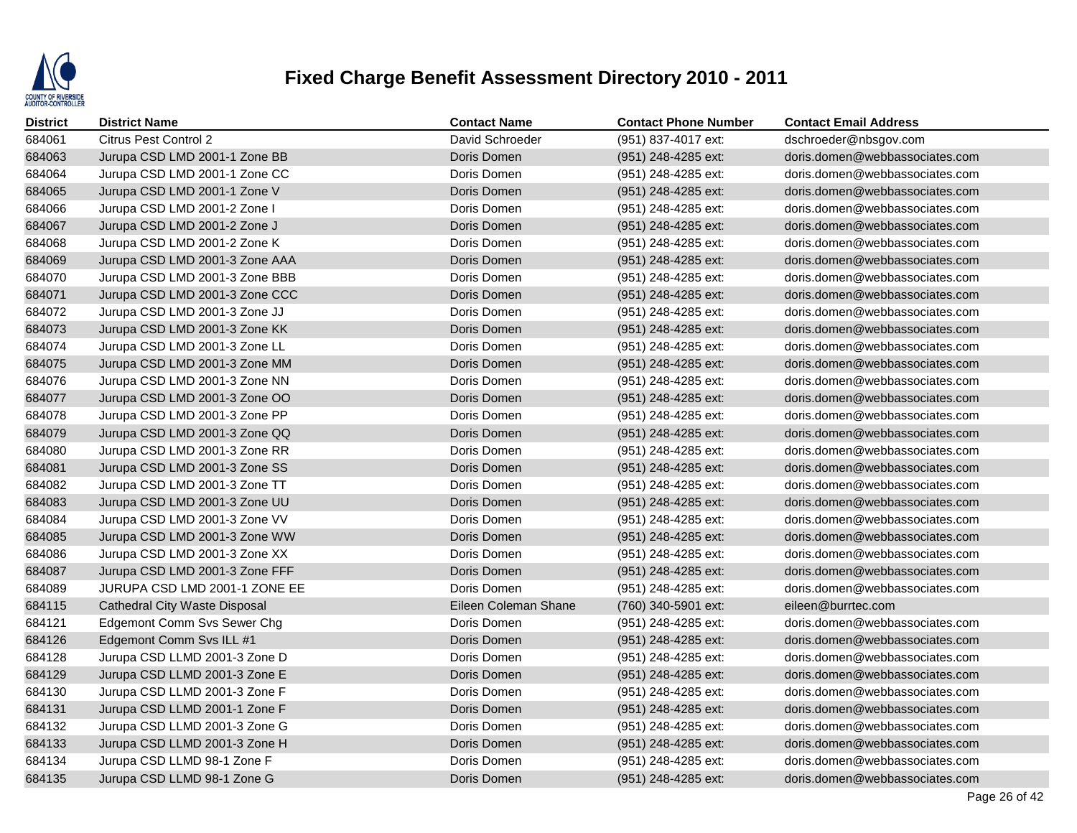

| <b>District</b> | <b>District Name</b>                 | <b>Contact Name</b>  | <b>Contact Phone Number</b> | <b>Contact Email Address</b>   |
|-----------------|--------------------------------------|----------------------|-----------------------------|--------------------------------|
| 684061          | Citrus Pest Control 2                | David Schroeder      | (951) 837-4017 ext:         | dschroeder@nbsgov.com          |
| 684063          | Jurupa CSD LMD 2001-1 Zone BB        | Doris Domen          | (951) 248-4285 ext:         | doris.domen@webbassociates.com |
| 684064          | Jurupa CSD LMD 2001-1 Zone CC        | Doris Domen          | (951) 248-4285 ext:         | doris.domen@webbassociates.com |
| 684065          | Jurupa CSD LMD 2001-1 Zone V         | Doris Domen          | (951) 248-4285 ext:         | doris.domen@webbassociates.com |
| 684066          | Jurupa CSD LMD 2001-2 Zone I         | Doris Domen          | (951) 248-4285 ext:         | doris.domen@webbassociates.com |
| 684067          | Jurupa CSD LMD 2001-2 Zone J         | Doris Domen          | (951) 248-4285 ext:         | doris.domen@webbassociates.com |
| 684068          | Jurupa CSD LMD 2001-2 Zone K         | Doris Domen          | (951) 248-4285 ext:         | doris.domen@webbassociates.com |
| 684069          | Jurupa CSD LMD 2001-3 Zone AAA       | Doris Domen          | (951) 248-4285 ext:         | doris.domen@webbassociates.com |
| 684070          | Jurupa CSD LMD 2001-3 Zone BBB       | Doris Domen          | (951) 248-4285 ext:         | doris.domen@webbassociates.com |
| 684071          | Jurupa CSD LMD 2001-3 Zone CCC       | Doris Domen          | (951) 248-4285 ext:         | doris.domen@webbassociates.com |
| 684072          | Jurupa CSD LMD 2001-3 Zone JJ        | Doris Domen          | (951) 248-4285 ext:         | doris.domen@webbassociates.com |
| 684073          | Jurupa CSD LMD 2001-3 Zone KK        | Doris Domen          | (951) 248-4285 ext:         | doris.domen@webbassociates.com |
| 684074          | Jurupa CSD LMD 2001-3 Zone LL        | Doris Domen          | (951) 248-4285 ext:         | doris.domen@webbassociates.com |
| 684075          | Jurupa CSD LMD 2001-3 Zone MM        | Doris Domen          | (951) 248-4285 ext:         | doris.domen@webbassociates.com |
| 684076          | Jurupa CSD LMD 2001-3 Zone NN        | Doris Domen          | (951) 248-4285 ext:         | doris.domen@webbassociates.com |
| 684077          | Jurupa CSD LMD 2001-3 Zone OO        | Doris Domen          | (951) 248-4285 ext:         | doris.domen@webbassociates.com |
| 684078          | Jurupa CSD LMD 2001-3 Zone PP        | Doris Domen          | (951) 248-4285 ext:         | doris.domen@webbassociates.com |
| 684079          | Jurupa CSD LMD 2001-3 Zone QQ        | Doris Domen          | (951) 248-4285 ext:         | doris.domen@webbassociates.com |
| 684080          | Jurupa CSD LMD 2001-3 Zone RR        | Doris Domen          | (951) 248-4285 ext:         | doris.domen@webbassociates.com |
| 684081          | Jurupa CSD LMD 2001-3 Zone SS        | Doris Domen          | (951) 248-4285 ext:         | doris.domen@webbassociates.com |
| 684082          | Jurupa CSD LMD 2001-3 Zone TT        | Doris Domen          | (951) 248-4285 ext:         | doris.domen@webbassociates.com |
| 684083          | Jurupa CSD LMD 2001-3 Zone UU        | Doris Domen          | (951) 248-4285 ext:         | doris.domen@webbassociates.com |
| 684084          | Jurupa CSD LMD 2001-3 Zone VV        | Doris Domen          | (951) 248-4285 ext:         | doris.domen@webbassociates.com |
| 684085          | Jurupa CSD LMD 2001-3 Zone WW        | Doris Domen          | (951) 248-4285 ext:         | doris.domen@webbassociates.com |
| 684086          | Jurupa CSD LMD 2001-3 Zone XX        | Doris Domen          | (951) 248-4285 ext:         | doris.domen@webbassociates.com |
| 684087          | Jurupa CSD LMD 2001-3 Zone FFF       | Doris Domen          | (951) 248-4285 ext:         | doris.domen@webbassociates.com |
| 684089          | JURUPA CSD LMD 2001-1 ZONE EE        | Doris Domen          | (951) 248-4285 ext:         | doris.domen@webbassociates.com |
| 684115          | <b>Cathedral City Waste Disposal</b> | Eileen Coleman Shane | (760) 340-5901 ext:         | eileen@burrtec.com             |
| 684121          | <b>Edgemont Comm Svs Sewer Chg</b>   | Doris Domen          | (951) 248-4285 ext:         | doris.domen@webbassociates.com |
| 684126          | Edgemont Comm Svs ILL #1             | Doris Domen          | (951) 248-4285 ext:         | doris.domen@webbassociates.com |
| 684128          | Jurupa CSD LLMD 2001-3 Zone D        | Doris Domen          | (951) 248-4285 ext:         | doris.domen@webbassociates.com |
| 684129          | Jurupa CSD LLMD 2001-3 Zone E        | Doris Domen          | (951) 248-4285 ext:         | doris.domen@webbassociates.com |
| 684130          | Jurupa CSD LLMD 2001-3 Zone F        | Doris Domen          | (951) 248-4285 ext:         | doris.domen@webbassociates.com |
| 684131          | Jurupa CSD LLMD 2001-1 Zone F        | Doris Domen          | (951) 248-4285 ext:         | doris.domen@webbassociates.com |
| 684132          | Jurupa CSD LLMD 2001-3 Zone G        | Doris Domen          | (951) 248-4285 ext:         | doris.domen@webbassociates.com |
| 684133          | Jurupa CSD LLMD 2001-3 Zone H        | Doris Domen          | (951) 248-4285 ext:         | doris.domen@webbassociates.com |
| 684134          | Jurupa CSD LLMD 98-1 Zone F          | Doris Domen          | (951) 248-4285 ext:         | doris.domen@webbassociates.com |
| 684135          | Jurupa CSD LLMD 98-1 Zone G          | Doris Domen          | (951) 248-4285 ext:         | doris.domen@webbassociates.com |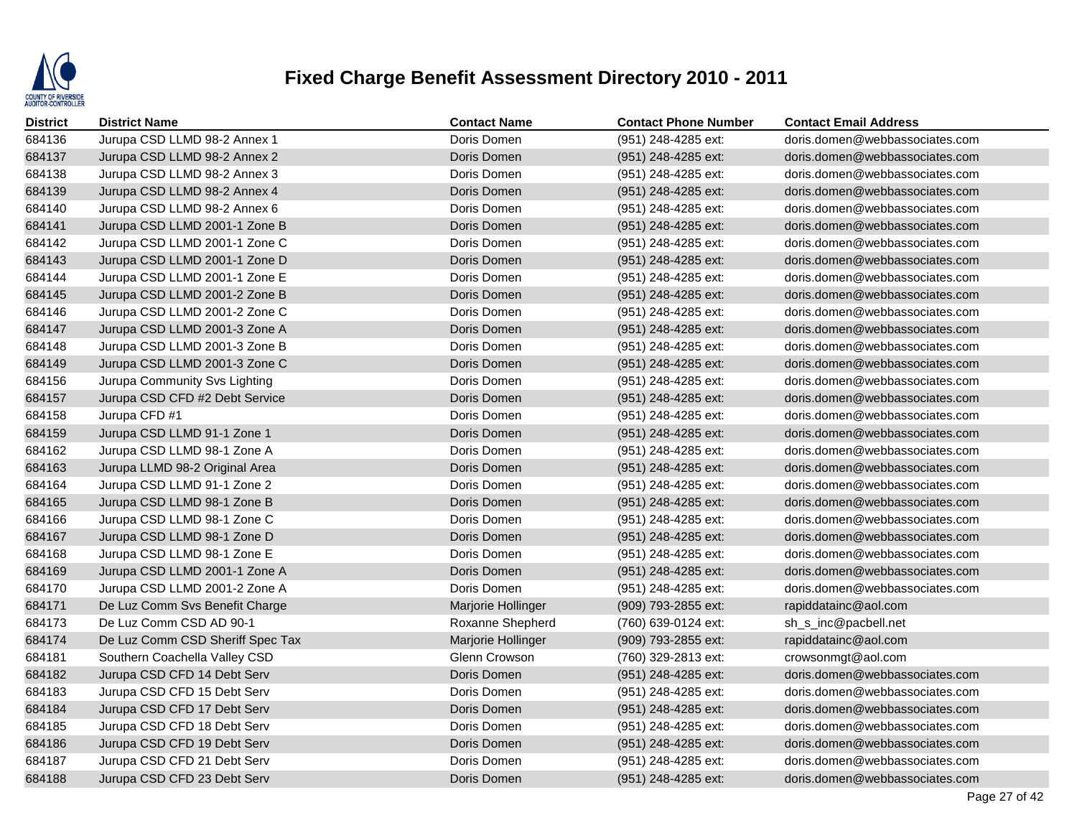

| <b>District</b> | <b>District Name</b>             | <b>Contact Name</b> | <b>Contact Phone Number</b> | <b>Contact Email Address</b>   |
|-----------------|----------------------------------|---------------------|-----------------------------|--------------------------------|
| 684136          | Jurupa CSD LLMD 98-2 Annex 1     | Doris Domen         | (951) 248-4285 ext:         | doris.domen@webbassociates.com |
| 684137          | Jurupa CSD LLMD 98-2 Annex 2     | Doris Domen         | (951) 248-4285 ext:         | doris.domen@webbassociates.com |
| 684138          | Jurupa CSD LLMD 98-2 Annex 3     | Doris Domen         | (951) 248-4285 ext:         | doris.domen@webbassociates.com |
| 684139          | Jurupa CSD LLMD 98-2 Annex 4     | Doris Domen         | (951) 248-4285 ext:         | doris.domen@webbassociates.com |
| 684140          | Jurupa CSD LLMD 98-2 Annex 6     | Doris Domen         | (951) 248-4285 ext:         | doris.domen@webbassociates.com |
| 684141          | Jurupa CSD LLMD 2001-1 Zone B    | Doris Domen         | (951) 248-4285 ext:         | doris.domen@webbassociates.com |
| 684142          | Jurupa CSD LLMD 2001-1 Zone C    | Doris Domen         | (951) 248-4285 ext:         | doris.domen@webbassociates.com |
| 684143          | Jurupa CSD LLMD 2001-1 Zone D    | Doris Domen         | (951) 248-4285 ext:         | doris.domen@webbassociates.com |
| 684144          | Jurupa CSD LLMD 2001-1 Zone E    | Doris Domen         | (951) 248-4285 ext:         | doris.domen@webbassociates.com |
| 684145          | Jurupa CSD LLMD 2001-2 Zone B    | Doris Domen         | (951) 248-4285 ext:         | doris.domen@webbassociates.com |
| 684146          | Jurupa CSD LLMD 2001-2 Zone C    | Doris Domen         | (951) 248-4285 ext:         | doris.domen@webbassociates.com |
| 684147          | Jurupa CSD LLMD 2001-3 Zone A    | Doris Domen         | (951) 248-4285 ext:         | doris.domen@webbassociates.com |
| 684148          | Jurupa CSD LLMD 2001-3 Zone B    | Doris Domen         | (951) 248-4285 ext:         | doris.domen@webbassociates.com |
| 684149          | Jurupa CSD LLMD 2001-3 Zone C    | Doris Domen         | (951) 248-4285 ext:         | doris.domen@webbassociates.com |
| 684156          | Jurupa Community Svs Lighting    | Doris Domen         | (951) 248-4285 ext:         | doris.domen@webbassociates.com |
| 684157          | Jurupa CSD CFD #2 Debt Service   | Doris Domen         | (951) 248-4285 ext:         | doris.domen@webbassociates.com |
| 684158          | Jurupa CFD #1                    | Doris Domen         | (951) 248-4285 ext:         | doris.domen@webbassociates.com |
| 684159          | Jurupa CSD LLMD 91-1 Zone 1      | Doris Domen         | (951) 248-4285 ext:         | doris.domen@webbassociates.com |
| 684162          | Jurupa CSD LLMD 98-1 Zone A      | Doris Domen         | (951) 248-4285 ext:         | doris.domen@webbassociates.com |
| 684163          | Jurupa LLMD 98-2 Original Area   | Doris Domen         | (951) 248-4285 ext:         | doris.domen@webbassociates.com |
| 684164          | Jurupa CSD LLMD 91-1 Zone 2      | Doris Domen         | (951) 248-4285 ext:         | doris.domen@webbassociates.com |
| 684165          | Jurupa CSD LLMD 98-1 Zone B      | Doris Domen         | (951) 248-4285 ext:         | doris.domen@webbassociates.com |
| 684166          | Jurupa CSD LLMD 98-1 Zone C      | Doris Domen         | (951) 248-4285 ext:         | doris.domen@webbassociates.com |
| 684167          | Jurupa CSD LLMD 98-1 Zone D      | Doris Domen         | (951) 248-4285 ext:         | doris.domen@webbassociates.com |
| 684168          | Jurupa CSD LLMD 98-1 Zone E      | Doris Domen         | (951) 248-4285 ext:         | doris.domen@webbassociates.com |
| 684169          | Jurupa CSD LLMD 2001-1 Zone A    | Doris Domen         | (951) 248-4285 ext:         | doris.domen@webbassociates.com |
| 684170          | Jurupa CSD LLMD 2001-2 Zone A    | Doris Domen         | (951) 248-4285 ext:         | doris.domen@webbassociates.com |
| 684171          | De Luz Comm Svs Benefit Charge   | Marjorie Hollinger  | (909) 793-2855 ext:         | rapiddatainc@aol.com           |
| 684173          | De Luz Comm CSD AD 90-1          | Roxanne Shepherd    | (760) 639-0124 ext:         | sh_s_inc@pacbell.net           |
| 684174          | De Luz Comm CSD Sheriff Spec Tax | Marjorie Hollinger  | (909) 793-2855 ext:         | rapiddatainc@aol.com           |
| 684181          | Southern Coachella Valley CSD    | Glenn Crowson       | (760) 329-2813 ext:         | crowsonmgt@aol.com             |
| 684182          | Jurupa CSD CFD 14 Debt Serv      | Doris Domen         | (951) 248-4285 ext:         | doris.domen@webbassociates.com |
| 684183          | Jurupa CSD CFD 15 Debt Serv      | Doris Domen         | (951) 248-4285 ext:         | doris.domen@webbassociates.com |
| 684184          | Jurupa CSD CFD 17 Debt Serv      | Doris Domen         | (951) 248-4285 ext:         | doris.domen@webbassociates.com |
| 684185          | Jurupa CSD CFD 18 Debt Serv      | Doris Domen         | (951) 248-4285 ext:         | doris.domen@webbassociates.com |
| 684186          | Jurupa CSD CFD 19 Debt Serv      | Doris Domen         | (951) 248-4285 ext:         | doris.domen@webbassociates.com |
| 684187          | Jurupa CSD CFD 21 Debt Serv      | Doris Domen         | (951) 248-4285 ext:         | doris.domen@webbassociates.com |
| 684188          | Jurupa CSD CFD 23 Debt Serv      | Doris Domen         | (951) 248-4285 ext:         | doris.domen@webbassociates.com |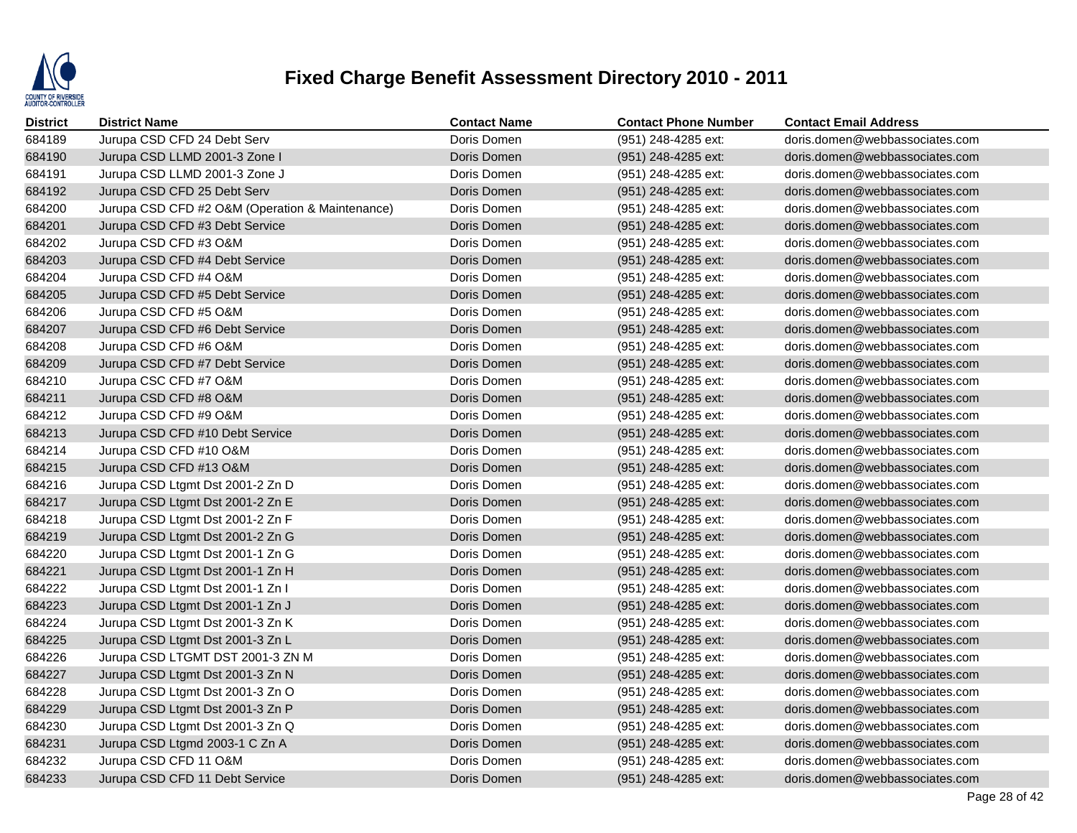

| <b>District</b> | <b>District Name</b>                            | <b>Contact Name</b> | <b>Contact Phone Number</b> | <b>Contact Email Address</b>   |
|-----------------|-------------------------------------------------|---------------------|-----------------------------|--------------------------------|
| 684189          | Jurupa CSD CFD 24 Debt Serv                     | Doris Domen         | (951) 248-4285 ext:         | doris.domen@webbassociates.com |
| 684190          | Jurupa CSD LLMD 2001-3 Zone I                   | Doris Domen         | (951) 248-4285 ext:         | doris.domen@webbassociates.com |
| 684191          | Jurupa CSD LLMD 2001-3 Zone J                   | Doris Domen         | (951) 248-4285 ext:         | doris.domen@webbassociates.com |
| 684192          | Jurupa CSD CFD 25 Debt Serv                     | Doris Domen         | (951) 248-4285 ext:         | doris.domen@webbassociates.com |
| 684200          | Jurupa CSD CFD #2 O&M (Operation & Maintenance) | Doris Domen         | (951) 248-4285 ext:         | doris.domen@webbassociates.com |
| 684201          | Jurupa CSD CFD #3 Debt Service                  | Doris Domen         | (951) 248-4285 ext:         | doris.domen@webbassociates.com |
| 684202          | Jurupa CSD CFD #3 O&M                           | Doris Domen         | (951) 248-4285 ext:         | doris.domen@webbassociates.com |
| 684203          | Jurupa CSD CFD #4 Debt Service                  | Doris Domen         | (951) 248-4285 ext:         | doris.domen@webbassociates.com |
| 684204          | Jurupa CSD CFD #4 O&M                           | Doris Domen         | (951) 248-4285 ext:         | doris.domen@webbassociates.com |
| 684205          | Jurupa CSD CFD #5 Debt Service                  | Doris Domen         | (951) 248-4285 ext:         | doris.domen@webbassociates.com |
| 684206          | Jurupa CSD CFD #5 O&M                           | Doris Domen         | (951) 248-4285 ext:         | doris.domen@webbassociates.com |
| 684207          | Jurupa CSD CFD #6 Debt Service                  | Doris Domen         | (951) 248-4285 ext:         | doris.domen@webbassociates.com |
| 684208          | Jurupa CSD CFD #6 O&M                           | Doris Domen         | (951) 248-4285 ext:         | doris.domen@webbassociates.com |
| 684209          | Jurupa CSD CFD #7 Debt Service                  | Doris Domen         | (951) 248-4285 ext:         | doris.domen@webbassociates.com |
| 684210          | Jurupa CSC CFD #7 O&M                           | Doris Domen         | (951) 248-4285 ext:         | doris.domen@webbassociates.com |
| 684211          | Jurupa CSD CFD #8 O&M                           | Doris Domen         | (951) 248-4285 ext:         | doris.domen@webbassociates.com |
| 684212          | Jurupa CSD CFD #9 O&M                           | Doris Domen         | (951) 248-4285 ext:         | doris.domen@webbassociates.com |
| 684213          | Jurupa CSD CFD #10 Debt Service                 | Doris Domen         | (951) 248-4285 ext:         | doris.domen@webbassociates.com |
| 684214          | Jurupa CSD CFD #10 O&M                          | Doris Domen         | (951) 248-4285 ext:         | doris.domen@webbassociates.com |
| 684215          | Jurupa CSD CFD #13 O&M                          | Doris Domen         | (951) 248-4285 ext:         | doris.domen@webbassociates.com |
| 684216          | Jurupa CSD Ltgmt Dst 2001-2 Zn D                | Doris Domen         | (951) 248-4285 ext:         | doris.domen@webbassociates.com |
| 684217          | Jurupa CSD Ltgmt Dst 2001-2 Zn E                | Doris Domen         | (951) 248-4285 ext:         | doris.domen@webbassociates.com |
| 684218          | Jurupa CSD Ltgmt Dst 2001-2 Zn F                | Doris Domen         | (951) 248-4285 ext:         | doris.domen@webbassociates.com |
| 684219          | Jurupa CSD Ltgmt Dst 2001-2 Zn G                | Doris Domen         | (951) 248-4285 ext:         | doris.domen@webbassociates.com |
| 684220          | Jurupa CSD Ltgmt Dst 2001-1 Zn G                | Doris Domen         | (951) 248-4285 ext:         | doris.domen@webbassociates.com |
| 684221          | Jurupa CSD Ltgmt Dst 2001-1 Zn H                | Doris Domen         | (951) 248-4285 ext:         | doris.domen@webbassociates.com |
| 684222          | Jurupa CSD Ltgmt Dst 2001-1 Zn I                | Doris Domen         | (951) 248-4285 ext:         | doris.domen@webbassociates.com |
| 684223          | Jurupa CSD Ltgmt Dst 2001-1 Zn J                | Doris Domen         | (951) 248-4285 ext:         | doris.domen@webbassociates.com |
| 684224          | Jurupa CSD Ltgmt Dst 2001-3 Zn K                | Doris Domen         | (951) 248-4285 ext:         | doris.domen@webbassociates.com |
| 684225          | Jurupa CSD Ltgmt Dst 2001-3 Zn L                | Doris Domen         | (951) 248-4285 ext:         | doris.domen@webbassociates.com |
| 684226          | Jurupa CSD LTGMT DST 2001-3 ZN M                | Doris Domen         | (951) 248-4285 ext:         | doris.domen@webbassociates.com |
| 684227          | Jurupa CSD Ltgmt Dst 2001-3 Zn N                | Doris Domen         | (951) 248-4285 ext:         | doris.domen@webbassociates.com |
| 684228          | Jurupa CSD Ltgmt Dst 2001-3 Zn O                | Doris Domen         | (951) 248-4285 ext:         | doris.domen@webbassociates.com |
| 684229          | Jurupa CSD Ltgmt Dst 2001-3 Zn P                | Doris Domen         | (951) 248-4285 ext:         | doris.domen@webbassociates.com |
| 684230          | Jurupa CSD Ltgmt Dst 2001-3 Zn Q                | Doris Domen         | (951) 248-4285 ext:         | doris.domen@webbassociates.com |
| 684231          | Jurupa CSD Ltgmd 2003-1 C Zn A                  | Doris Domen         | (951) 248-4285 ext:         | doris.domen@webbassociates.com |
| 684232          | Jurupa CSD CFD 11 O&M                           | Doris Domen         | (951) 248-4285 ext:         | doris.domen@webbassociates.com |
| 684233          | Jurupa CSD CFD 11 Debt Service                  | Doris Domen         | (951) 248-4285 ext:         | doris.domen@webbassociates.com |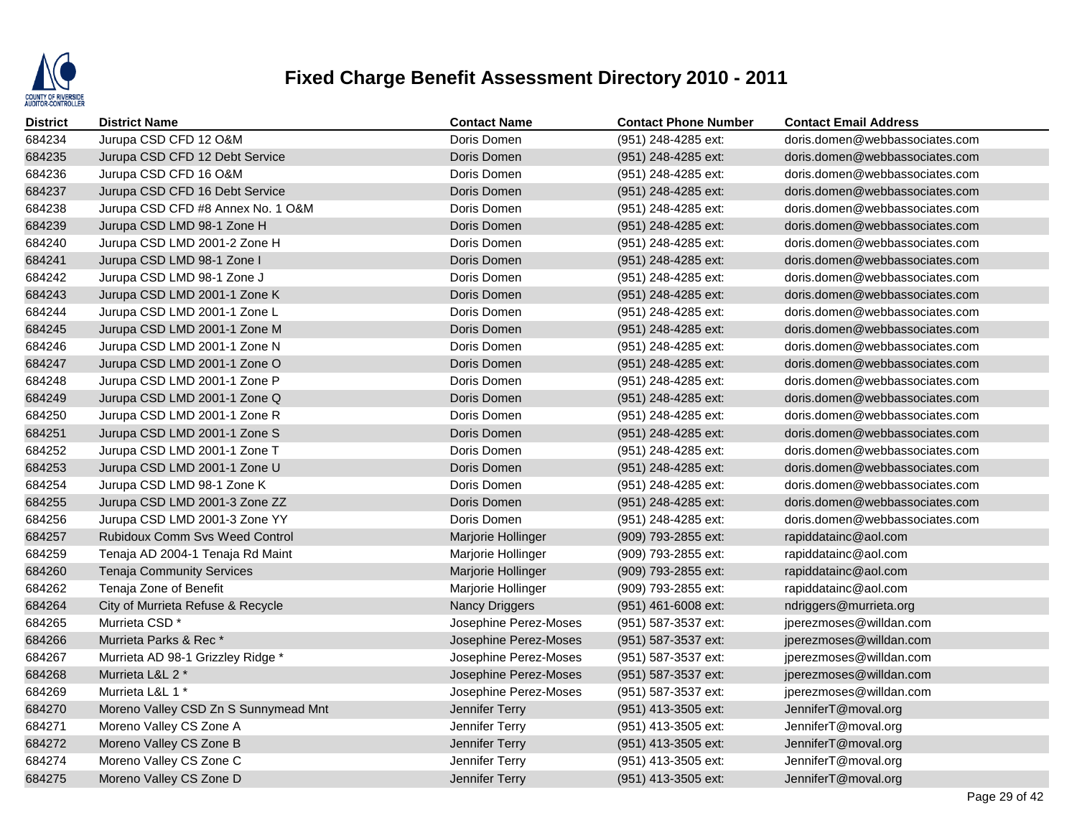

| <b>District</b> | <b>District Name</b>                  | <b>Contact Name</b>   | <b>Contact Phone Number</b> | <b>Contact Email Address</b>   |
|-----------------|---------------------------------------|-----------------------|-----------------------------|--------------------------------|
| 684234          | Jurupa CSD CFD 12 O&M                 | Doris Domen           | (951) 248-4285 ext:         | doris.domen@webbassociates.com |
| 684235          | Jurupa CSD CFD 12 Debt Service        | Doris Domen           | (951) 248-4285 ext:         | doris.domen@webbassociates.com |
| 684236          | Jurupa CSD CFD 16 O&M                 | Doris Domen           | (951) 248-4285 ext:         | doris.domen@webbassociates.com |
| 684237          | Jurupa CSD CFD 16 Debt Service        | Doris Domen           | (951) 248-4285 ext:         | doris.domen@webbassociates.com |
| 684238          | Jurupa CSD CFD #8 Annex No. 1 O&M     | Doris Domen           | (951) 248-4285 ext:         | doris.domen@webbassociates.com |
| 684239          | Jurupa CSD LMD 98-1 Zone H            | Doris Domen           | (951) 248-4285 ext:         | doris.domen@webbassociates.com |
| 684240          | Jurupa CSD LMD 2001-2 Zone H          | Doris Domen           | (951) 248-4285 ext:         | doris.domen@webbassociates.com |
| 684241          | Jurupa CSD LMD 98-1 Zone I            | Doris Domen           | (951) 248-4285 ext:         | doris.domen@webbassociates.com |
| 684242          | Jurupa CSD LMD 98-1 Zone J            | Doris Domen           | (951) 248-4285 ext:         | doris.domen@webbassociates.com |
| 684243          | Jurupa CSD LMD 2001-1 Zone K          | Doris Domen           | (951) 248-4285 ext:         | doris.domen@webbassociates.com |
| 684244          | Jurupa CSD LMD 2001-1 Zone L          | Doris Domen           | (951) 248-4285 ext:         | doris.domen@webbassociates.com |
| 684245          | Jurupa CSD LMD 2001-1 Zone M          | Doris Domen           | (951) 248-4285 ext:         | doris.domen@webbassociates.com |
| 684246          | Jurupa CSD LMD 2001-1 Zone N          | Doris Domen           | (951) 248-4285 ext:         | doris.domen@webbassociates.com |
| 684247          | Jurupa CSD LMD 2001-1 Zone O          | Doris Domen           | (951) 248-4285 ext:         | doris.domen@webbassociates.com |
| 684248          | Jurupa CSD LMD 2001-1 Zone P          | Doris Domen           | (951) 248-4285 ext:         | doris.domen@webbassociates.com |
| 684249          | Jurupa CSD LMD 2001-1 Zone Q          | Doris Domen           | (951) 248-4285 ext:         | doris.domen@webbassociates.com |
| 684250          | Jurupa CSD LMD 2001-1 Zone R          | Doris Domen           | (951) 248-4285 ext:         | doris.domen@webbassociates.com |
| 684251          | Jurupa CSD LMD 2001-1 Zone S          | Doris Domen           | (951) 248-4285 ext:         | doris.domen@webbassociates.com |
| 684252          | Jurupa CSD LMD 2001-1 Zone T          | Doris Domen           | (951) 248-4285 ext:         | doris.domen@webbassociates.com |
| 684253          | Jurupa CSD LMD 2001-1 Zone U          | Doris Domen           | (951) 248-4285 ext:         | doris.domen@webbassociates.com |
| 684254          | Jurupa CSD LMD 98-1 Zone K            | Doris Domen           | (951) 248-4285 ext:         | doris.domen@webbassociates.com |
| 684255          | Jurupa CSD LMD 2001-3 Zone ZZ         | Doris Domen           | (951) 248-4285 ext:         | doris.domen@webbassociates.com |
| 684256          | Jurupa CSD LMD 2001-3 Zone YY         | Doris Domen           | (951) 248-4285 ext:         | doris.domen@webbassociates.com |
| 684257          | <b>Rubidoux Comm Svs Weed Control</b> | Marjorie Hollinger    | (909) 793-2855 ext:         | rapiddatainc@aol.com           |
| 684259          | Tenaja AD 2004-1 Tenaja Rd Maint      | Marjorie Hollinger    | (909) 793-2855 ext:         | rapiddatainc@aol.com           |
| 684260          | <b>Tenaja Community Services</b>      | Marjorie Hollinger    | (909) 793-2855 ext:         | rapiddatainc@aol.com           |
| 684262          | Tenaja Zone of Benefit                | Marjorie Hollinger    | (909) 793-2855 ext:         | rapiddatainc@aol.com           |
| 684264          | City of Murrieta Refuse & Recycle     | Nancy Driggers        | (951) 461-6008 ext:         | ndriggers@murrieta.org         |
| 684265          | Murrieta CSD <sup>*</sup>             | Josephine Perez-Moses | (951) 587-3537 ext:         | jperezmoses@willdan.com        |
| 684266          | Murrieta Parks & Rec*                 | Josephine Perez-Moses | (951) 587-3537 ext:         | jperezmoses@willdan.com        |
| 684267          | Murrieta AD 98-1 Grizzley Ridge *     | Josephine Perez-Moses | (951) 587-3537 ext:         | jperezmoses@willdan.com        |
| 684268          | Murrieta L&L 2 *                      | Josephine Perez-Moses | (951) 587-3537 ext:         | jperezmoses@willdan.com        |
| 684269          | Murrieta L&L 1 *                      | Josephine Perez-Moses | (951) 587-3537 ext:         | jperezmoses@willdan.com        |
| 684270          | Moreno Valley CSD Zn S Sunnymead Mnt  | Jennifer Terry        | (951) 413-3505 ext:         | JenniferT@moval.org            |
| 684271          | Moreno Valley CS Zone A               | Jennifer Terry        | (951) 413-3505 ext:         | JenniferT@moval.org            |
| 684272          | Moreno Valley CS Zone B               | Jennifer Terry        | (951) 413-3505 ext:         | JenniferT@moval.org            |
| 684274          | Moreno Valley CS Zone C               | Jennifer Terry        | (951) 413-3505 ext:         | JenniferT@moval.org            |
| 684275          | Moreno Valley CS Zone D               | Jennifer Terry        | (951) 413-3505 ext:         | JenniferT@moval.org            |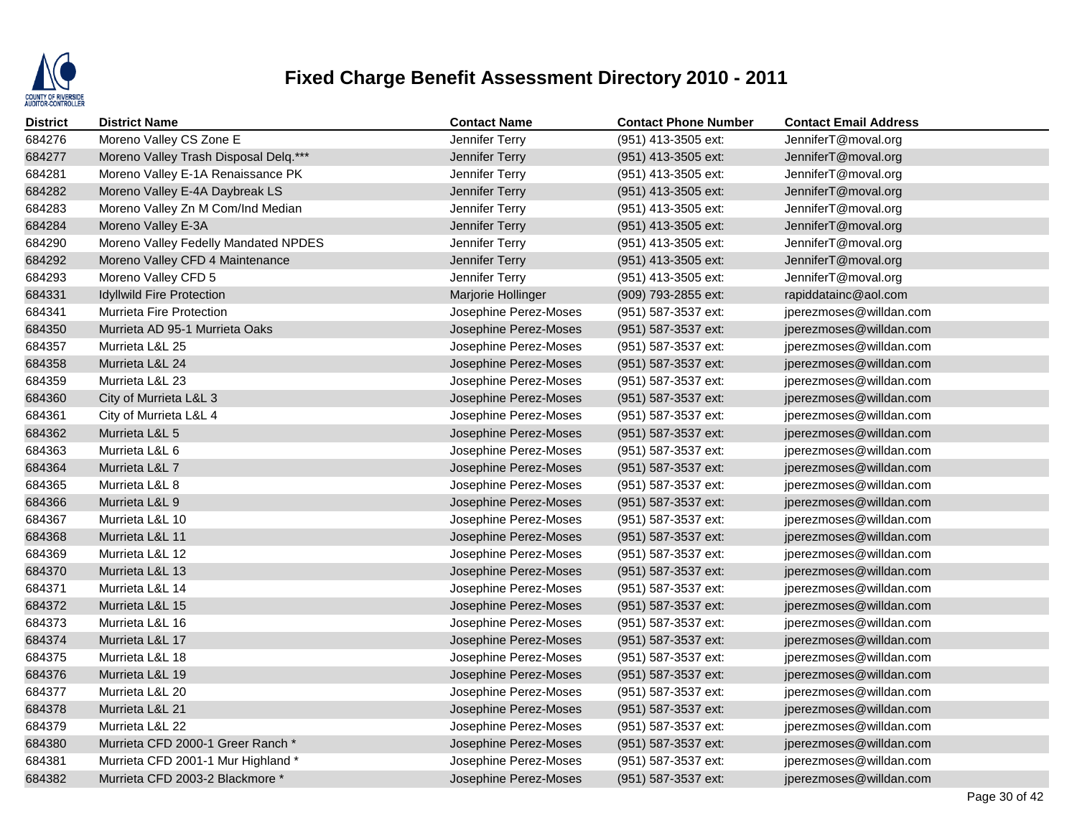

| <b>District</b> | <b>District Name</b>                  | <b>Contact Name</b>   | <b>Contact Phone Number</b> | <b>Contact Email Address</b> |
|-----------------|---------------------------------------|-----------------------|-----------------------------|------------------------------|
| 684276          | Moreno Valley CS Zone E               | Jennifer Terry        | (951) 413-3505 ext:         | JenniferT@moval.org          |
| 684277          | Moreno Valley Trash Disposal Delq.*** | Jennifer Terry        | (951) 413-3505 ext:         | JenniferT@moval.org          |
| 684281          | Moreno Valley E-1A Renaissance PK     | Jennifer Terry        | (951) 413-3505 ext:         | JenniferT@moval.org          |
| 684282          | Moreno Valley E-4A Daybreak LS        | Jennifer Terry        | (951) 413-3505 ext:         | JenniferT@moval.org          |
| 684283          | Moreno Valley Zn M Com/Ind Median     | Jennifer Terry        | (951) 413-3505 ext:         | JenniferT@moval.org          |
| 684284          | Moreno Valley E-3A                    | Jennifer Terry        | (951) 413-3505 ext:         | JenniferT@moval.org          |
| 684290          | Moreno Valley Fedelly Mandated NPDES  | Jennifer Terry        | (951) 413-3505 ext:         | JenniferT@moval.org          |
| 684292          | Moreno Valley CFD 4 Maintenance       | Jennifer Terry        | (951) 413-3505 ext:         | JenniferT@moval.org          |
| 684293          | Moreno Valley CFD 5                   | Jennifer Terry        | (951) 413-3505 ext:         | JenniferT@moval.org          |
| 684331          | <b>Idyllwild Fire Protection</b>      | Marjorie Hollinger    | (909) 793-2855 ext:         | rapiddatainc@aol.com         |
| 684341          | <b>Murrieta Fire Protection</b>       | Josephine Perez-Moses | (951) 587-3537 ext:         | jperezmoses@willdan.com      |
| 684350          | Murrieta AD 95-1 Murrieta Oaks        | Josephine Perez-Moses | (951) 587-3537 ext:         | jperezmoses@willdan.com      |
| 684357          | Murrieta L&L 25                       | Josephine Perez-Moses | (951) 587-3537 ext:         | jperezmoses@willdan.com      |
| 684358          | Murrieta L&L 24                       | Josephine Perez-Moses | (951) 587-3537 ext:         | jperezmoses@willdan.com      |
| 684359          | Murrieta L&L 23                       | Josephine Perez-Moses | (951) 587-3537 ext:         | jperezmoses@willdan.com      |
| 684360          | City of Murrieta L&L 3                | Josephine Perez-Moses | (951) 587-3537 ext:         | jperezmoses@willdan.com      |
| 684361          | City of Murrieta L&L 4                | Josephine Perez-Moses | (951) 587-3537 ext:         | jperezmoses@willdan.com      |
| 684362          | Murrieta L&L 5                        | Josephine Perez-Moses | (951) 587-3537 ext:         | jperezmoses@willdan.com      |
| 684363          | Murrieta L&L 6                        | Josephine Perez-Moses | (951) 587-3537 ext:         | jperezmoses@willdan.com      |
| 684364          | Murrieta L&L 7                        | Josephine Perez-Moses | (951) 587-3537 ext:         | jperezmoses@willdan.com      |
| 684365          | Murrieta L&L 8                        | Josephine Perez-Moses | (951) 587-3537 ext:         | jperezmoses@willdan.com      |
| 684366          | Murrieta L&L 9                        | Josephine Perez-Moses | (951) 587-3537 ext:         | jperezmoses@willdan.com      |
| 684367          | Murrieta L&L 10                       | Josephine Perez-Moses | (951) 587-3537 ext:         | jperezmoses@willdan.com      |
| 684368          | Murrieta L&L 11                       | Josephine Perez-Moses | (951) 587-3537 ext:         | jperezmoses@willdan.com      |
| 684369          | Murrieta L&L 12                       | Josephine Perez-Moses | (951) 587-3537 ext:         | jperezmoses@willdan.com      |
| 684370          | Murrieta L&L 13                       | Josephine Perez-Moses | (951) 587-3537 ext:         | jperezmoses@willdan.com      |
| 684371          | Murrieta L&L 14                       | Josephine Perez-Moses | (951) 587-3537 ext:         | jperezmoses@willdan.com      |
| 684372          | Murrieta L&L 15                       | Josephine Perez-Moses | (951) 587-3537 ext:         | jperezmoses@willdan.com      |
| 684373          | Murrieta L&L 16                       | Josephine Perez-Moses | (951) 587-3537 ext:         | jperezmoses@willdan.com      |
| 684374          | Murrieta L&L 17                       | Josephine Perez-Moses | (951) 587-3537 ext:         | jperezmoses@willdan.com      |
| 684375          | Murrieta L&L 18                       | Josephine Perez-Moses | (951) 587-3537 ext:         | jperezmoses@willdan.com      |
| 684376          | Murrieta L&L 19                       | Josephine Perez-Moses | (951) 587-3537 ext:         | jperezmoses@willdan.com      |
| 684377          | Murrieta L&L 20                       | Josephine Perez-Moses | (951) 587-3537 ext:         | jperezmoses@willdan.com      |
| 684378          | Murrieta L&L 21                       | Josephine Perez-Moses | (951) 587-3537 ext:         | jperezmoses@willdan.com      |
| 684379          | Murrieta L&L 22                       | Josephine Perez-Moses | (951) 587-3537 ext:         | jperezmoses@willdan.com      |
| 684380          | Murrieta CFD 2000-1 Greer Ranch *     | Josephine Perez-Moses | (951) 587-3537 ext:         | jperezmoses@willdan.com      |
| 684381          | Murrieta CFD 2001-1 Mur Highland *    | Josephine Perez-Moses | (951) 587-3537 ext:         | jperezmoses@willdan.com      |
| 684382          | Murrieta CFD 2003-2 Blackmore *       | Josephine Perez-Moses | (951) 587-3537 ext:         | iperezmoses@willdan.com      |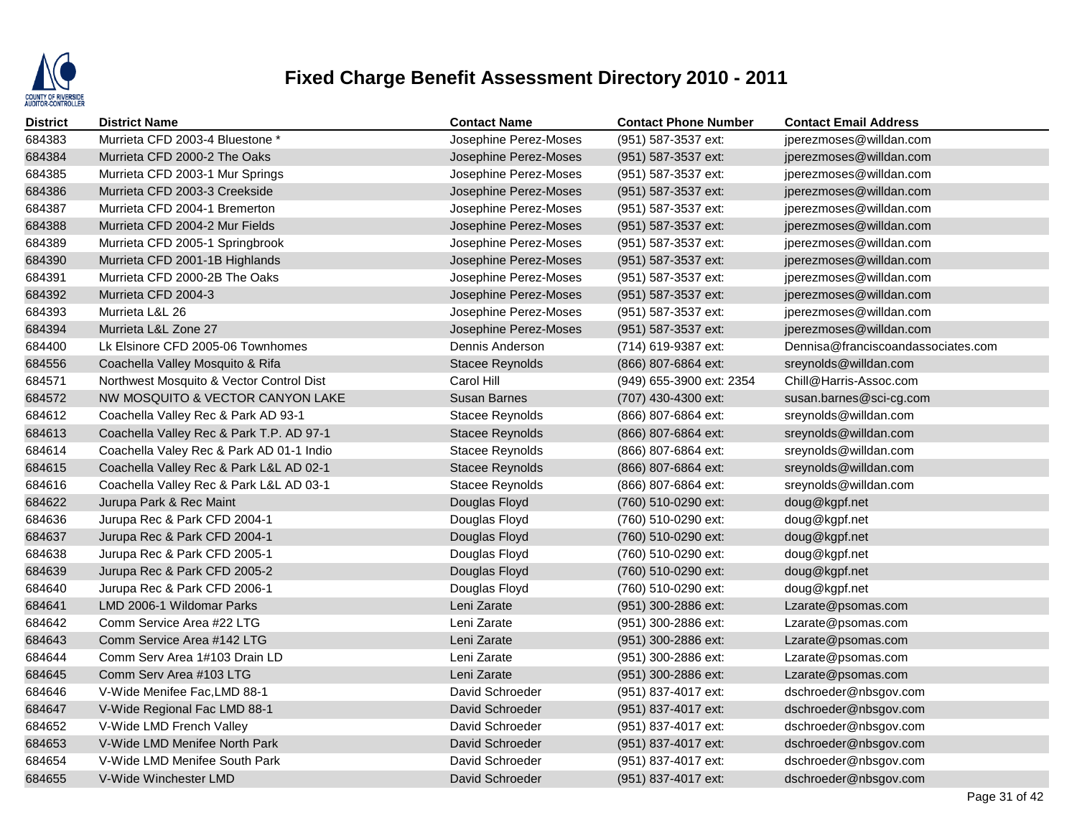

| <b>District</b> | <b>District Name</b>                     | <b>Contact Name</b>    | <b>Contact Phone Number</b> | <b>Contact Email Address</b>       |
|-----------------|------------------------------------------|------------------------|-----------------------------|------------------------------------|
| 684383          | Murrieta CFD 2003-4 Bluestone *          | Josephine Perez-Moses  | (951) 587-3537 ext:         | jperezmoses@willdan.com            |
| 684384          | Murrieta CFD 2000-2 The Oaks             | Josephine Perez-Moses  | (951) 587-3537 ext:         | jperezmoses@willdan.com            |
| 684385          | Murrieta CFD 2003-1 Mur Springs          | Josephine Perez-Moses  | (951) 587-3537 ext:         | jperezmoses@willdan.com            |
| 684386          | Murrieta CFD 2003-3 Creekside            | Josephine Perez-Moses  | (951) 587-3537 ext:         | jperezmoses@willdan.com            |
| 684387          | Murrieta CFD 2004-1 Bremerton            | Josephine Perez-Moses  | (951) 587-3537 ext:         | jperezmoses@willdan.com            |
| 684388          | Murrieta CFD 2004-2 Mur Fields           | Josephine Perez-Moses  | (951) 587-3537 ext:         | jperezmoses@willdan.com            |
| 684389          | Murrieta CFD 2005-1 Springbrook          | Josephine Perez-Moses  | (951) 587-3537 ext:         | jperezmoses@willdan.com            |
| 684390          | Murrieta CFD 2001-1B Highlands           | Josephine Perez-Moses  | (951) 587-3537 ext:         | jperezmoses@willdan.com            |
| 684391          | Murrieta CFD 2000-2B The Oaks            | Josephine Perez-Moses  | (951) 587-3537 ext:         | jperezmoses@willdan.com            |
| 684392          | Murrieta CFD 2004-3                      | Josephine Perez-Moses  | (951) 587-3537 ext:         | jperezmoses@willdan.com            |
| 684393          | Murrieta L&L 26                          | Josephine Perez-Moses  | (951) 587-3537 ext:         | jperezmoses@willdan.com            |
| 684394          | Murrieta L&L Zone 27                     | Josephine Perez-Moses  | (951) 587-3537 ext:         | jperezmoses@willdan.com            |
| 684400          | Lk Elsinore CFD 2005-06 Townhomes        | Dennis Anderson        | (714) 619-9387 ext:         | Dennisa@franciscoandassociates.com |
| 684556          | Coachella Valley Mosquito & Rifa         | <b>Stacee Reynolds</b> | (866) 807-6864 ext:         | sreynolds@willdan.com              |
| 684571          | Northwest Mosquito & Vector Control Dist | Carol Hill             | (949) 655-3900 ext: 2354    | Chill@Harris-Assoc.com             |
| 684572          | NW MOSQUITO & VECTOR CANYON LAKE         | <b>Susan Barnes</b>    | (707) 430-4300 ext:         | susan.barnes@sci-cg.com            |
| 684612          | Coachella Valley Rec & Park AD 93-1      | <b>Stacee Reynolds</b> | (866) 807-6864 ext:         | sreynolds@willdan.com              |
| 684613          | Coachella Valley Rec & Park T.P. AD 97-1 | <b>Stacee Reynolds</b> | (866) 807-6864 ext:         | sreynolds@willdan.com              |
| 684614          | Coachella Valey Rec & Park AD 01-1 Indio | <b>Stacee Reynolds</b> | (866) 807-6864 ext:         | sreynolds@willdan.com              |
| 684615          | Coachella Valley Rec & Park L&L AD 02-1  | <b>Stacee Reynolds</b> | (866) 807-6864 ext:         | sreynolds@willdan.com              |
| 684616          | Coachella Valley Rec & Park L&L AD 03-1  | Stacee Reynolds        | (866) 807-6864 ext:         | sreynolds@willdan.com              |
| 684622          | Jurupa Park & Rec Maint                  | Douglas Floyd          | (760) 510-0290 ext:         | doug@kgpf.net                      |
| 684636          | Jurupa Rec & Park CFD 2004-1             | Douglas Floyd          | (760) 510-0290 ext:         | doug@kgpf.net                      |
| 684637          | Jurupa Rec & Park CFD 2004-1             | Douglas Floyd          | (760) 510-0290 ext:         | doug@kgpf.net                      |
| 684638          | Jurupa Rec & Park CFD 2005-1             | Douglas Floyd          | (760) 510-0290 ext:         | doug@kgpf.net                      |
| 684639          | Jurupa Rec & Park CFD 2005-2             | Douglas Floyd          | (760) 510-0290 ext:         | doug@kgpf.net                      |
| 684640          | Jurupa Rec & Park CFD 2006-1             | Douglas Floyd          | (760) 510-0290 ext:         | doug@kgpf.net                      |
| 684641          | LMD 2006-1 Wildomar Parks                | Leni Zarate            | (951) 300-2886 ext:         | Lzarate@psomas.com                 |
| 684642          | Comm Service Area #22 LTG                | Leni Zarate            | (951) 300-2886 ext:         | Lzarate@psomas.com                 |
| 684643          | Comm Service Area #142 LTG               | Leni Zarate            | (951) 300-2886 ext:         | Lzarate@psomas.com                 |
| 684644          | Comm Serv Area 1#103 Drain LD            | Leni Zarate            | (951) 300-2886 ext:         | Lzarate@psomas.com                 |
| 684645          | Comm Serv Area #103 LTG                  | Leni Zarate            | (951) 300-2886 ext:         | Lzarate@psomas.com                 |
| 684646          | V-Wide Menifee Fac, LMD 88-1             | David Schroeder        | (951) 837-4017 ext:         | dschroeder@nbsgov.com              |
| 684647          | V-Wide Regional Fac LMD 88-1             | David Schroeder        | (951) 837-4017 ext:         | dschroeder@nbsgov.com              |
| 684652          | V-Wide LMD French Valley                 | David Schroeder        | (951) 837-4017 ext:         | dschroeder@nbsgov.com              |
| 684653          | V-Wide LMD Menifee North Park            | David Schroeder        | (951) 837-4017 ext:         | dschroeder@nbsgov.com              |
| 684654          | V-Wide LMD Menifee South Park            | David Schroeder        | (951) 837-4017 ext:         | dschroeder@nbsgov.com              |
| 684655          | V-Wide Winchester LMD                    | David Schroeder        | (951) 837-4017 ext:         | dschroeder@nbsgov.com              |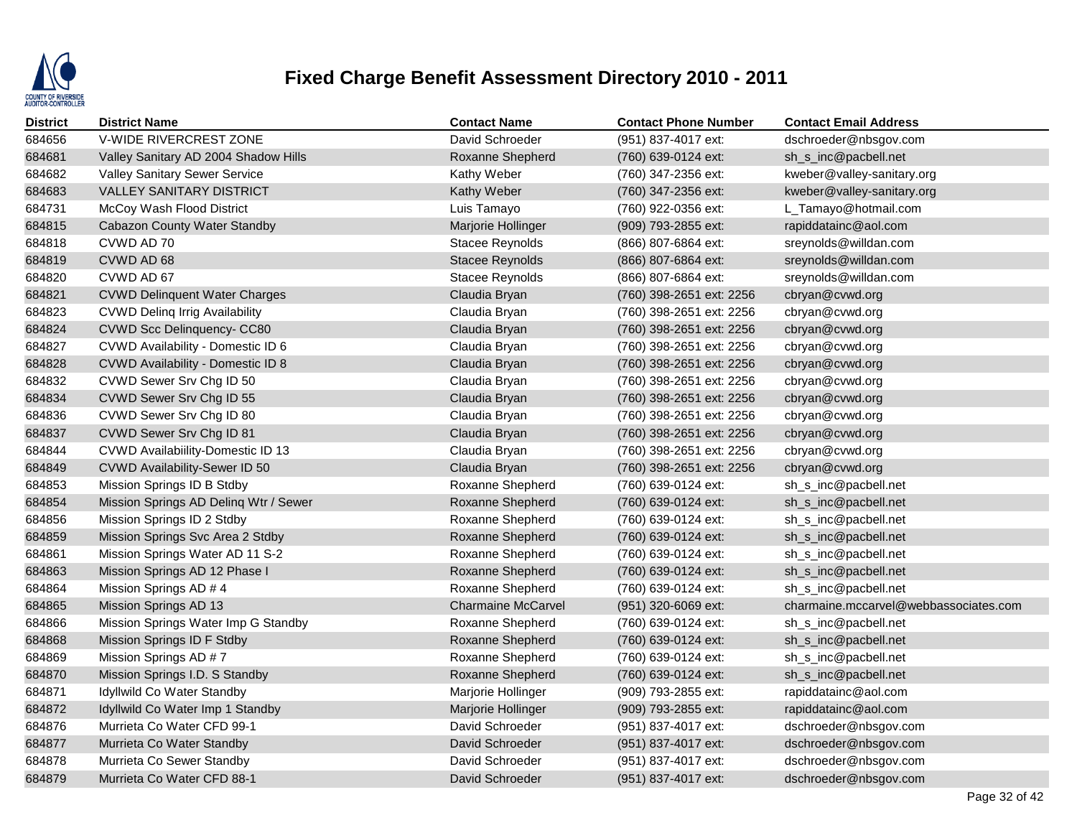

| <b>District</b> | <b>District Name</b>                  | <b>Contact Name</b>       | <b>Contact Phone Number</b> | <b>Contact Email Address</b>          |
|-----------------|---------------------------------------|---------------------------|-----------------------------|---------------------------------------|
| 684656          | V-WIDE RIVERCREST ZONE                | David Schroeder           | (951) 837-4017 ext:         | dschroeder@nbsgov.com                 |
| 684681          | Valley Sanitary AD 2004 Shadow Hills  | Roxanne Shepherd          | (760) 639-0124 ext:         | sh_s_inc@pacbell.net                  |
| 684682          | <b>Valley Sanitary Sewer Service</b>  | Kathy Weber               | (760) 347-2356 ext:         | kweber@valley-sanitary.org            |
| 684683          | <b>VALLEY SANITARY DISTRICT</b>       | Kathy Weber               | (760) 347-2356 ext:         | kweber@valley-sanitary.org            |
| 684731          | McCoy Wash Flood District             | Luis Tamayo               | (760) 922-0356 ext:         | L_Tamayo@hotmail.com                  |
| 684815          | Cabazon County Water Standby          | Marjorie Hollinger        | (909) 793-2855 ext:         | rapiddatainc@aol.com                  |
| 684818          | CVWD AD 70                            | Stacee Reynolds           | (866) 807-6864 ext:         | sreynolds@willdan.com                 |
| 684819          | CVWD AD 68                            | <b>Stacee Reynolds</b>    | (866) 807-6864 ext:         | sreynolds@willdan.com                 |
| 684820          | CVWD AD 67                            | Stacee Reynolds           | (866) 807-6864 ext:         | sreynolds@willdan.com                 |
| 684821          | <b>CVWD Delinquent Water Charges</b>  | Claudia Bryan             | (760) 398-2651 ext: 2256    | cbryan@cvwd.org                       |
| 684823          | <b>CVWD Deling Irrig Availability</b> | Claudia Bryan             | (760) 398-2651 ext: 2256    | cbryan@cvwd.org                       |
| 684824          | CVWD Scc Delinquency- CC80            | Claudia Bryan             | (760) 398-2651 ext: 2256    | cbryan@cvwd.org                       |
| 684827          | CVWD Availability - Domestic ID 6     | Claudia Bryan             | (760) 398-2651 ext: 2256    | cbryan@cvwd.org                       |
| 684828          | CVWD Availability - Domestic ID 8     | Claudia Bryan             | (760) 398-2651 ext: 2256    | cbryan@cvwd.org                       |
| 684832          | CVWD Sewer Srv Chg ID 50              | Claudia Bryan             | (760) 398-2651 ext: 2256    | cbryan@cvwd.org                       |
| 684834          | CVWD Sewer Srv Chg ID 55              | Claudia Bryan             | (760) 398-2651 ext: 2256    | cbryan@cvwd.org                       |
| 684836          | CVWD Sewer Srv Chg ID 80              | Claudia Bryan             | (760) 398-2651 ext: 2256    | cbryan@cvwd.org                       |
| 684837          | CVWD Sewer Srv Chg ID 81              | Claudia Bryan             | (760) 398-2651 ext: 2256    | cbryan@cvwd.org                       |
| 684844          | CVWD Availabiility-Domestic ID 13     | Claudia Bryan             | (760) 398-2651 ext: 2256    | cbryan@cvwd.org                       |
| 684849          | CVWD Availability-Sewer ID 50         | Claudia Bryan             | (760) 398-2651 ext: 2256    | cbryan@cvwd.org                       |
| 684853          | Mission Springs ID B Stdby            | Roxanne Shepherd          | (760) 639-0124 ext:         | sh_s_inc@pacbell.net                  |
| 684854          | Mission Springs AD Deling Wtr / Sewer | Roxanne Shepherd          | (760) 639-0124 ext:         | sh_s_inc@pacbell.net                  |
| 684856          | Mission Springs ID 2 Stdby            | Roxanne Shepherd          | (760) 639-0124 ext:         | sh_s_inc@pacbell.net                  |
| 684859          | Mission Springs Svc Area 2 Stdby      | Roxanne Shepherd          | (760) 639-0124 ext:         | sh_s_inc@pacbell.net                  |
| 684861          | Mission Springs Water AD 11 S-2       | Roxanne Shepherd          | (760) 639-0124 ext:         | sh_s_inc@pacbell.net                  |
| 684863          | Mission Springs AD 12 Phase I         | Roxanne Shepherd          | (760) 639-0124 ext:         | sh_s_inc@pacbell.net                  |
| 684864          | Mission Springs AD # 4                | Roxanne Shepherd          | (760) 639-0124 ext:         | sh_s_inc@pacbell.net                  |
| 684865          | Mission Springs AD 13                 | <b>Charmaine McCarvel</b> | (951) 320-6069 ext:         | charmaine.mccarvel@webbassociates.com |
| 684866          | Mission Springs Water Imp G Standby   | Roxanne Shepherd          | (760) 639-0124 ext:         | sh_s_inc@pacbell.net                  |
| 684868          | Mission Springs ID F Stdby            | Roxanne Shepherd          | (760) 639-0124 ext:         | sh_s_inc@pacbell.net                  |
| 684869          | Mission Springs AD #7                 | Roxanne Shepherd          | (760) 639-0124 ext:         | sh_s_inc@pacbell.net                  |
| 684870          | Mission Springs I.D. S Standby        | Roxanne Shepherd          | (760) 639-0124 ext:         | sh_s_inc@pacbell.net                  |
| 684871          | Idyllwild Co Water Standby            | Marjorie Hollinger        | (909) 793-2855 ext:         | rapiddatainc@aol.com                  |
| 684872          | Idyllwild Co Water Imp 1 Standby      | Marjorie Hollinger        | (909) 793-2855 ext:         | rapiddatainc@aol.com                  |
| 684876          | Murrieta Co Water CFD 99-1            | David Schroeder           | (951) 837-4017 ext:         | dschroeder@nbsgov.com                 |
| 684877          | Murrieta Co Water Standby             | David Schroeder           | (951) 837-4017 ext:         | dschroeder@nbsgov.com                 |
| 684878          | Murrieta Co Sewer Standby             | David Schroeder           | (951) 837-4017 ext:         | dschroeder@nbsgov.com                 |
| 684879          | Murrieta Co Water CFD 88-1            | David Schroeder           | (951) 837-4017 ext:         | dschroeder@nbsgov.com                 |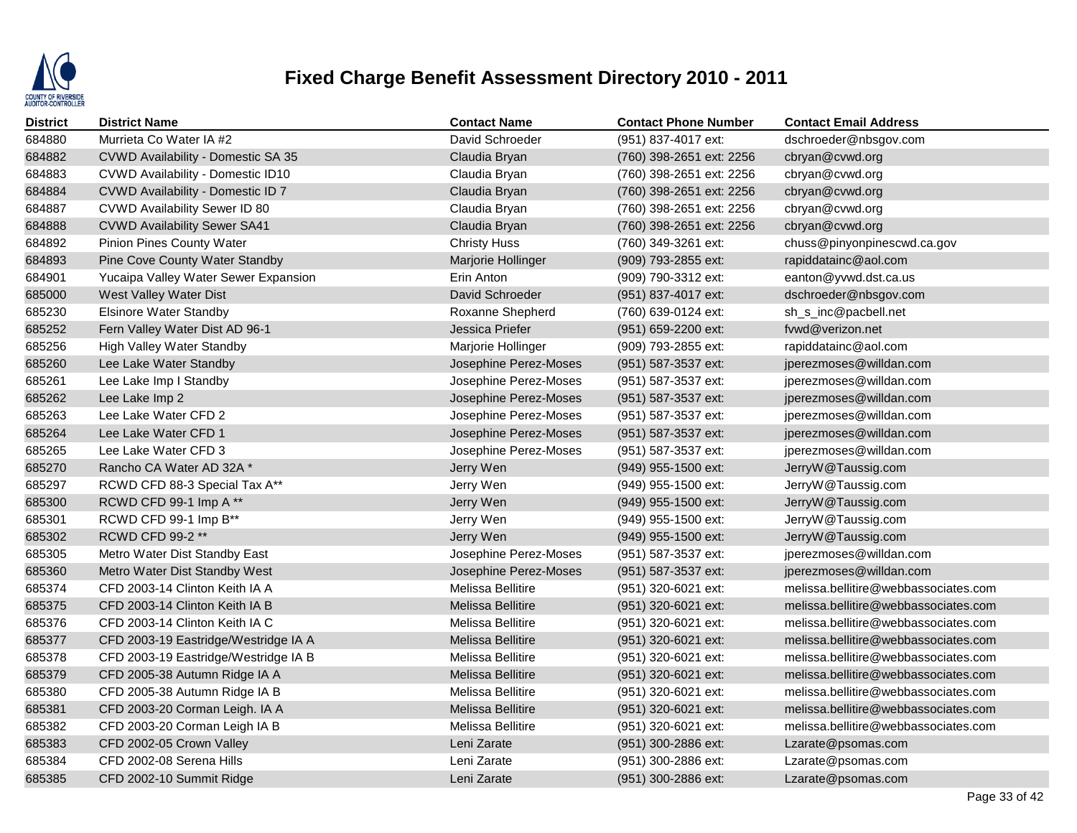

| <b>District</b> | <b>District Name</b>                 | <b>Contact Name</b>      | <b>Contact Phone Number</b> | <b>Contact Email Address</b>         |
|-----------------|--------------------------------------|--------------------------|-----------------------------|--------------------------------------|
| 684880          | Murrieta Co Water IA #2              | David Schroeder          | (951) 837-4017 ext:         | dschroeder@nbsgov.com                |
| 684882          | CVWD Availability - Domestic SA 35   | Claudia Bryan            | (760) 398-2651 ext: 2256    | cbryan@cvwd.org                      |
| 684883          | CVWD Availability - Domestic ID10    | Claudia Bryan            | (760) 398-2651 ext: 2256    | cbryan@cvwd.org                      |
| 684884          | CVWD Availability - Domestic ID 7    | Claudia Bryan            | (760) 398-2651 ext: 2256    | cbryan@cvwd.org                      |
| 684887          | CVWD Availability Sewer ID 80        | Claudia Bryan            | (760) 398-2651 ext: 2256    | cbryan@cvwd.org                      |
| 684888          | <b>CVWD Availability Sewer SA41</b>  | Claudia Bryan            | (760) 398-2651 ext: 2256    | cbryan@cvwd.org                      |
| 684892          | Pinion Pines County Water            | <b>Christy Huss</b>      | (760) 349-3261 ext:         | chuss@pinyonpinescwd.ca.gov          |
| 684893          | Pine Cove County Water Standby       | Marjorie Hollinger       | (909) 793-2855 ext:         | rapiddatainc@aol.com                 |
| 684901          | Yucaipa Valley Water Sewer Expansion | Erin Anton               | (909) 790-3312 ext:         | eanton@yvwd.dst.ca.us                |
| 685000          | West Valley Water Dist               | David Schroeder          | (951) 837-4017 ext:         | dschroeder@nbsgov.com                |
| 685230          | <b>Elsinore Water Standby</b>        | Roxanne Shepherd         | (760) 639-0124 ext:         | sh_s_inc@pacbell.net                 |
| 685252          | Fern Valley Water Dist AD 96-1       | Jessica Priefer          | (951) 659-2200 ext:         | fywd@verizon.net                     |
| 685256          | High Valley Water Standby            | Marjorie Hollinger       | (909) 793-2855 ext:         | rapiddatainc@aol.com                 |
| 685260          | Lee Lake Water Standby               | Josephine Perez-Moses    | (951) 587-3537 ext:         | jperezmoses@willdan.com              |
| 685261          | Lee Lake Imp I Standby               | Josephine Perez-Moses    | (951) 587-3537 ext:         | jperezmoses@willdan.com              |
| 685262          | Lee Lake Imp 2                       | Josephine Perez-Moses    | (951) 587-3537 ext:         | jperezmoses@willdan.com              |
| 685263          | Lee Lake Water CFD 2                 | Josephine Perez-Moses    | (951) 587-3537 ext:         | jperezmoses@willdan.com              |
| 685264          | Lee Lake Water CFD 1                 | Josephine Perez-Moses    | (951) 587-3537 ext:         | jperezmoses@willdan.com              |
| 685265          | Lee Lake Water CFD 3                 | Josephine Perez-Moses    | (951) 587-3537 ext:         | jperezmoses@willdan.com              |
| 685270          | Rancho CA Water AD 32A *             | Jerry Wen                | (949) 955-1500 ext:         | JerryW@Taussig.com                   |
| 685297          | RCWD CFD 88-3 Special Tax A**        | Jerry Wen                | (949) 955-1500 ext:         | JerryW@Taussig.com                   |
| 685300          | RCWD CFD 99-1 Imp A **               | Jerry Wen                | (949) 955-1500 ext:         | JerryW@Taussig.com                   |
| 685301          | RCWD CFD 99-1 Imp B**                | Jerry Wen                | (949) 955-1500 ext:         | JerryW@Taussig.com                   |
| 685302          | RCWD CFD 99-2 **                     | Jerry Wen                | (949) 955-1500 ext:         | JerryW@Taussig.com                   |
| 685305          | Metro Water Dist Standby East        | Josephine Perez-Moses    | (951) 587-3537 ext:         | jperezmoses@willdan.com              |
| 685360          | Metro Water Dist Standby West        | Josephine Perez-Moses    | (951) 587-3537 ext:         | jperezmoses@willdan.com              |
| 685374          | CFD 2003-14 Clinton Keith IA A       | Melissa Bellitire        | (951) 320-6021 ext:         | melissa.bellitire@webbassociates.com |
| 685375          | CFD 2003-14 Clinton Keith IA B       | <b>Melissa Bellitire</b> | (951) 320-6021 ext:         | melissa.bellitire@webbassociates.com |
| 685376          | CFD 2003-14 Clinton Keith IA C       | Melissa Bellitire        | (951) 320-6021 ext:         | melissa.bellitire@webbassociates.com |
| 685377          | CFD 2003-19 Eastridge/Westridge IA A | <b>Melissa Bellitire</b> | (951) 320-6021 ext:         | melissa.bellitire@webbassociates.com |
| 685378          | CFD 2003-19 Eastridge/Westridge IA B | Melissa Bellitire        | (951) 320-6021 ext:         | melissa.bellitire@webbassociates.com |
| 685379          | CFD 2005-38 Autumn Ridge IA A        | Melissa Bellitire        | (951) 320-6021 ext:         | melissa.bellitire@webbassociates.com |
| 685380          | CFD 2005-38 Autumn Ridge IA B        | Melissa Bellitire        | (951) 320-6021 ext:         | melissa.bellitire@webbassociates.com |
| 685381          | CFD 2003-20 Corman Leigh. IA A       | <b>Melissa Bellitire</b> | (951) 320-6021 ext:         | melissa.bellitire@webbassociates.com |
| 685382          | CFD 2003-20 Corman Leigh IA B        | Melissa Bellitire        | (951) 320-6021 ext:         | melissa.bellitire@webbassociates.com |
| 685383          | CFD 2002-05 Crown Valley             | Leni Zarate              | (951) 300-2886 ext:         | Lzarate@psomas.com                   |
| 685384          | CFD 2002-08 Serena Hills             | Leni Zarate              | (951) 300-2886 ext:         | Lzarate@psomas.com                   |
| 685385          | CFD 2002-10 Summit Ridge             | Leni Zarate              | (951) 300-2886 ext:         | Lzarate@psomas.com                   |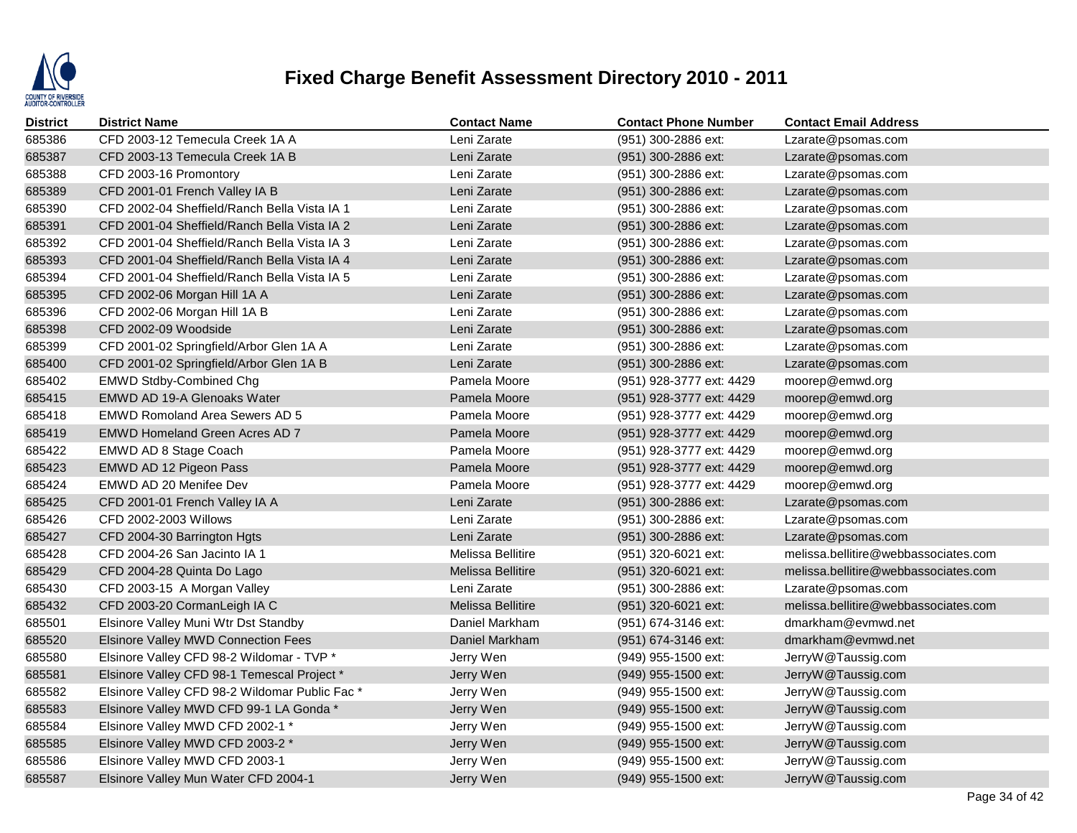

| <b>District</b> | <b>District Name</b>                          | <b>Contact Name</b>      | <b>Contact Phone Number</b> | <b>Contact Email Address</b>         |
|-----------------|-----------------------------------------------|--------------------------|-----------------------------|--------------------------------------|
| 685386          | CFD 2003-12 Temecula Creek 1A A               | Leni Zarate              | (951) 300-2886 ext:         | Lzarate@psomas.com                   |
| 685387          | CFD 2003-13 Temecula Creek 1A B               | Leni Zarate              | (951) 300-2886 ext:         | Lzarate@psomas.com                   |
| 685388          | CFD 2003-16 Promontory                        | Leni Zarate              | (951) 300-2886 ext:         | Lzarate@psomas.com                   |
| 685389          | CFD 2001-01 French Valley IA B                | Leni Zarate              | (951) 300-2886 ext:         | Lzarate@psomas.com                   |
| 685390          | CFD 2002-04 Sheffield/Ranch Bella Vista IA 1  | Leni Zarate              | (951) 300-2886 ext:         | Lzarate@psomas.com                   |
| 685391          | CFD 2001-04 Sheffield/Ranch Bella Vista IA 2  | Leni Zarate              | (951) 300-2886 ext:         | Lzarate@psomas.com                   |
| 685392          | CFD 2001-04 Sheffield/Ranch Bella Vista IA 3  | Leni Zarate              | (951) 300-2886 ext:         | Lzarate@psomas.com                   |
| 685393          | CFD 2001-04 Sheffield/Ranch Bella Vista IA 4  | Leni Zarate              | $(951)$ 300-2886 ext:       | Lzarate@psomas.com                   |
| 685394          | CFD 2001-04 Sheffield/Ranch Bella Vista IA 5  | Leni Zarate              | (951) 300-2886 ext:         | Lzarate@psomas.com                   |
| 685395          | CFD 2002-06 Morgan Hill 1A A                  | Leni Zarate              | (951) 300-2886 ext:         | Lzarate@psomas.com                   |
| 685396          | CFD 2002-06 Morgan Hill 1A B                  | Leni Zarate              | (951) 300-2886 ext:         | Lzarate@psomas.com                   |
| 685398          | CFD 2002-09 Woodside                          | Leni Zarate              | (951) 300-2886 ext:         | Lzarate@psomas.com                   |
| 685399          | CFD 2001-02 Springfield/Arbor Glen 1A A       | Leni Zarate              | (951) 300-2886 ext:         | Lzarate@psomas.com                   |
| 685400          | CFD 2001-02 Springfield/Arbor Glen 1A B       | Leni Zarate              | (951) 300-2886 ext:         | Lzarate@psomas.com                   |
| 685402          | <b>EMWD Stdby-Combined Chg</b>                | Pamela Moore             | (951) 928-3777 ext: 4429    | moorep@emwd.org                      |
| 685415          | EMWD AD 19-A Glenoaks Water                   | Pamela Moore             | (951) 928-3777 ext: 4429    | moorep@emwd.org                      |
| 685418          | <b>EMWD Romoland Area Sewers AD 5</b>         | Pamela Moore             | (951) 928-3777 ext: 4429    | moorep@emwd.org                      |
| 685419          | EMWD Homeland Green Acres AD 7                | Pamela Moore             | (951) 928-3777 ext: 4429    | moorep@emwd.org                      |
| 685422          | EMWD AD 8 Stage Coach                         | Pamela Moore             | (951) 928-3777 ext: 4429    | moorep@emwd.org                      |
| 685423          | EMWD AD 12 Pigeon Pass                        | Pamela Moore             | (951) 928-3777 ext: 4429    | moorep@emwd.org                      |
| 685424          | EMWD AD 20 Menifee Dev                        | Pamela Moore             | (951) 928-3777 ext: 4429    | moorep@emwd.org                      |
| 685425          | CFD 2001-01 French Valley IA A                | Leni Zarate              | (951) 300-2886 ext:         | Lzarate@psomas.com                   |
| 685426          | CFD 2002-2003 Willows                         | Leni Zarate              | (951) 300-2886 ext:         | Lzarate@psomas.com                   |
| 685427          | CFD 2004-30 Barrington Hgts                   | Leni Zarate              | (951) 300-2886 ext:         | Lzarate@psomas.com                   |
| 685428          | CFD 2004-26 San Jacinto IA 1                  | Melissa Bellitire        | (951) 320-6021 ext:         | melissa.bellitire@webbassociates.com |
| 685429          | CFD 2004-28 Quinta Do Lago                    | <b>Melissa Bellitire</b> | (951) 320-6021 ext:         | melissa.bellitire@webbassociates.com |
| 685430          | CFD 2003-15 A Morgan Valley                   | Leni Zarate              | (951) 300-2886 ext:         | Lzarate@psomas.com                   |
| 685432          | CFD 2003-20 CormanLeigh IA C                  | Melissa Bellitire        | (951) 320-6021 ext:         | melissa.bellitire@webbassociates.com |
| 685501          | Elsinore Valley Muni Wtr Dst Standby          | Daniel Markham           | (951) 674-3146 ext:         | dmarkham@evmwd.net                   |
| 685520          | Elsinore Valley MWD Connection Fees           | Daniel Markham           | (951) 674-3146 ext:         | dmarkham@evmwd.net                   |
| 685580          | Elsinore Valley CFD 98-2 Wildomar - TVP *     | Jerry Wen                | (949) 955-1500 ext:         | JerryW@Taussig.com                   |
| 685581          | Elsinore Valley CFD 98-1 Temescal Project *   | Jerry Wen                | (949) 955-1500 ext:         | JerryW@Taussig.com                   |
| 685582          | Elsinore Valley CFD 98-2 Wildomar Public Fac* | Jerry Wen                | $(949)$ 955-1500 ext:       | JerryW@Taussig.com                   |
| 685583          | Elsinore Valley MWD CFD 99-1 LA Gonda *       | Jerry Wen                | (949) 955-1500 ext:         | JerryW@Taussig.com                   |
| 685584          | Elsinore Valley MWD CFD 2002-1 *              | Jerry Wen                | (949) 955-1500 ext:         | JerryW@Taussig.com                   |
| 685585          | Elsinore Valley MWD CFD 2003-2 *              | Jerry Wen                | (949) 955-1500 ext:         | JerryW@Taussig.com                   |
| 685586          | Elsinore Valley MWD CFD 2003-1                | Jerry Wen                | $(949)$ 955-1500 ext:       | JerryW@Taussig.com                   |
| 685587          | Elsinore Valley Mun Water CFD 2004-1          | Jerry Wen                | (949) 955-1500 ext:         | JerryW@Taussig.com                   |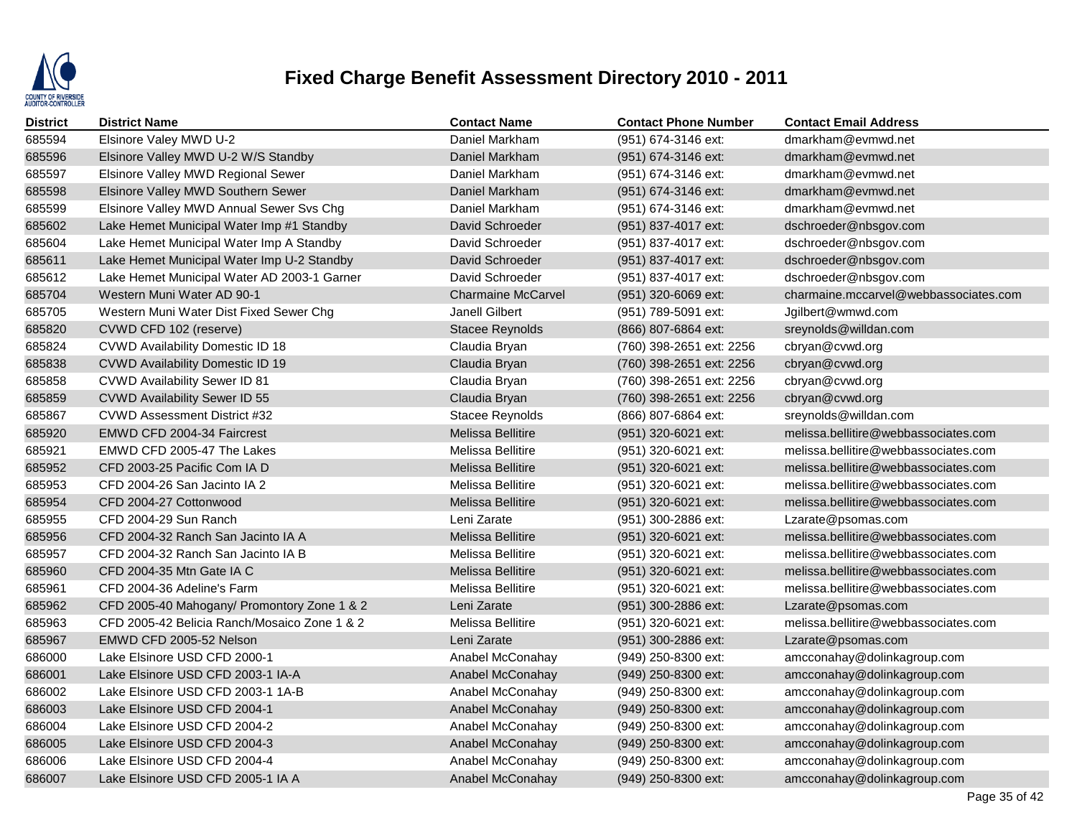

| <b>District</b> | <b>District Name</b>                         | <b>Contact Name</b>       | <b>Contact Phone Number</b> | <b>Contact Email Address</b>          |
|-----------------|----------------------------------------------|---------------------------|-----------------------------|---------------------------------------|
| 685594          | Elsinore Valey MWD U-2                       | Daniel Markham            | (951) 674-3146 ext:         | dmarkham@evmwd.net                    |
| 685596          | Elsinore Valley MWD U-2 W/S Standby          | Daniel Markham            | (951) 674-3146 ext:         | dmarkham@eymwd.net                    |
| 685597          | Elsinore Valley MWD Regional Sewer           | Daniel Markham            | (951) 674-3146 ext:         | dmarkham@evmwd.net                    |
| 685598          | Elsinore Valley MWD Southern Sewer           | Daniel Markham            | (951) 674-3146 ext:         | dmarkham@evmwd.net                    |
| 685599          | Elsinore Valley MWD Annual Sewer Svs Chg     | Daniel Markham            | (951) 674-3146 ext:         | dmarkham@evmwd.net                    |
| 685602          | Lake Hemet Municipal Water Imp #1 Standby    | David Schroeder           | (951) 837-4017 ext:         | dschroeder@nbsgov.com                 |
| 685604          | Lake Hemet Municipal Water Imp A Standby     | David Schroeder           | (951) 837-4017 ext:         | dschroeder@nbsgov.com                 |
| 685611          | Lake Hemet Municipal Water Imp U-2 Standby   | David Schroeder           | (951) 837-4017 ext:         | dschroeder@nbsgov.com                 |
| 685612          | Lake Hemet Municipal Water AD 2003-1 Garner  | David Schroeder           | (951) 837-4017 ext:         | dschroeder@nbsgov.com                 |
| 685704          | Western Muni Water AD 90-1                   | <b>Charmaine McCarvel</b> | (951) 320-6069 ext:         | charmaine.mccarvel@webbassociates.com |
| 685705          | Western Muni Water Dist Fixed Sewer Chg      | Janell Gilbert            | (951) 789-5091 ext:         | Jgilbert@wmwd.com                     |
| 685820          | CVWD CFD 102 (reserve)                       | Stacee Reynolds           | (866) 807-6864 ext:         | sreynolds@willdan.com                 |
| 685824          | <b>CVWD Availability Domestic ID 18</b>      | Claudia Bryan             | (760) 398-2651 ext: 2256    | cbryan@cvwd.org                       |
| 685838          | <b>CVWD Availability Domestic ID 19</b>      | Claudia Bryan             | (760) 398-2651 ext: 2256    | cbryan@cvwd.org                       |
| 685858          | <b>CVWD Availability Sewer ID 81</b>         | Claudia Bryan             | (760) 398-2651 ext: 2256    | cbryan@cvwd.org                       |
| 685859          | CVWD Availability Sewer ID 55                | Claudia Bryan             | (760) 398-2651 ext: 2256    | cbryan@cvwd.org                       |
| 685867          | CVWD Assessment District #32                 | <b>Stacee Reynolds</b>    | (866) 807-6864 ext:         | sreynolds@willdan.com                 |
| 685920          | EMWD CFD 2004-34 Faircrest                   | Melissa Bellitire         | (951) 320-6021 ext:         | melissa.bellitire@webbassociates.com  |
| 685921          | EMWD CFD 2005-47 The Lakes                   | <b>Melissa Bellitire</b>  | (951) 320-6021 ext:         | melissa.bellitire@webbassociates.com  |
| 685952          | CFD 2003-25 Pacific Com IA D                 | Melissa Bellitire         | (951) 320-6021 ext:         | melissa.bellitire@webbassociates.com  |
| 685953          | CFD 2004-26 San Jacinto IA 2                 | Melissa Bellitire         | (951) 320-6021 ext:         | melissa.bellitire@webbassociates.com  |
| 685954          | CFD 2004-27 Cottonwood                       | <b>Melissa Bellitire</b>  | (951) 320-6021 ext:         | melissa.bellitire@webbassociates.com  |
| 685955          | CFD 2004-29 Sun Ranch                        | Leni Zarate               | (951) 300-2886 ext:         | Lzarate@psomas.com                    |
| 685956          | CFD 2004-32 Ranch San Jacinto IA A           | <b>Melissa Bellitire</b>  | $(951)$ 320-6021 ext:       | melissa.bellitire@webbassociates.com  |
| 685957          | CFD 2004-32 Ranch San Jacinto IA B           | Melissa Bellitire         | (951) 320-6021 ext:         | melissa.bellitire@webbassociates.com  |
| 685960          | CFD 2004-35 Mtn Gate IA C                    | <b>Melissa Bellitire</b>  | (951) 320-6021 ext:         | melissa.bellitire@webbassociates.com  |
| 685961          | CFD 2004-36 Adeline's Farm                   | Melissa Bellitire         | (951) 320-6021 ext:         | melissa.bellitire@webbassociates.com  |
| 685962          | CFD 2005-40 Mahogany/ Promontory Zone 1 & 2  | Leni Zarate               | (951) 300-2886 ext:         | Lzarate@psomas.com                    |
| 685963          | CFD 2005-42 Belicia Ranch/Mosaico Zone 1 & 2 | Melissa Bellitire         | (951) 320-6021 ext:         | melissa.bellitire@webbassociates.com  |
| 685967          | EMWD CFD 2005-52 Nelson                      | Leni Zarate               | (951) 300-2886 ext:         | Lzarate@psomas.com                    |
| 686000          | Lake Elsinore USD CFD 2000-1                 | Anabel McConahay          | $(949)$ 250-8300 ext:       | amcconahay@dolinkagroup.com           |
| 686001          | Lake Elsinore USD CFD 2003-1 IA-A            | Anabel McConahay          | (949) 250-8300 ext:         | amcconahay@dolinkagroup.com           |
| 686002          | Lake Elsinore USD CFD 2003-1 1A-B            | Anabel McConahay          | $(949)$ 250-8300 ext:       | amcconahay@dolinkagroup.com           |
| 686003          | Lake Elsinore USD CFD 2004-1                 | Anabel McConahay          | (949) 250-8300 ext:         | amcconahay@dolinkagroup.com           |
| 686004          | Lake Elsinore USD CFD 2004-2                 | Anabel McConahay          | $(949)$ 250-8300 ext:       | amcconahay@dolinkagroup.com           |
| 686005          | Lake Elsinore USD CFD 2004-3                 | Anabel McConahay          | (949) 250-8300 ext:         | amcconahay@dolinkagroup.com           |
| 686006          | Lake Elsinore USD CFD 2004-4                 | Anabel McConahay          | $(949)$ 250-8300 ext:       | amcconahay@dolinkagroup.com           |
| 686007          | Lake Elsinore USD CFD 2005-1 IA A            | Anabel McConahay          | (949) 250-8300 ext:         | amcconahay@dolinkagroup.com           |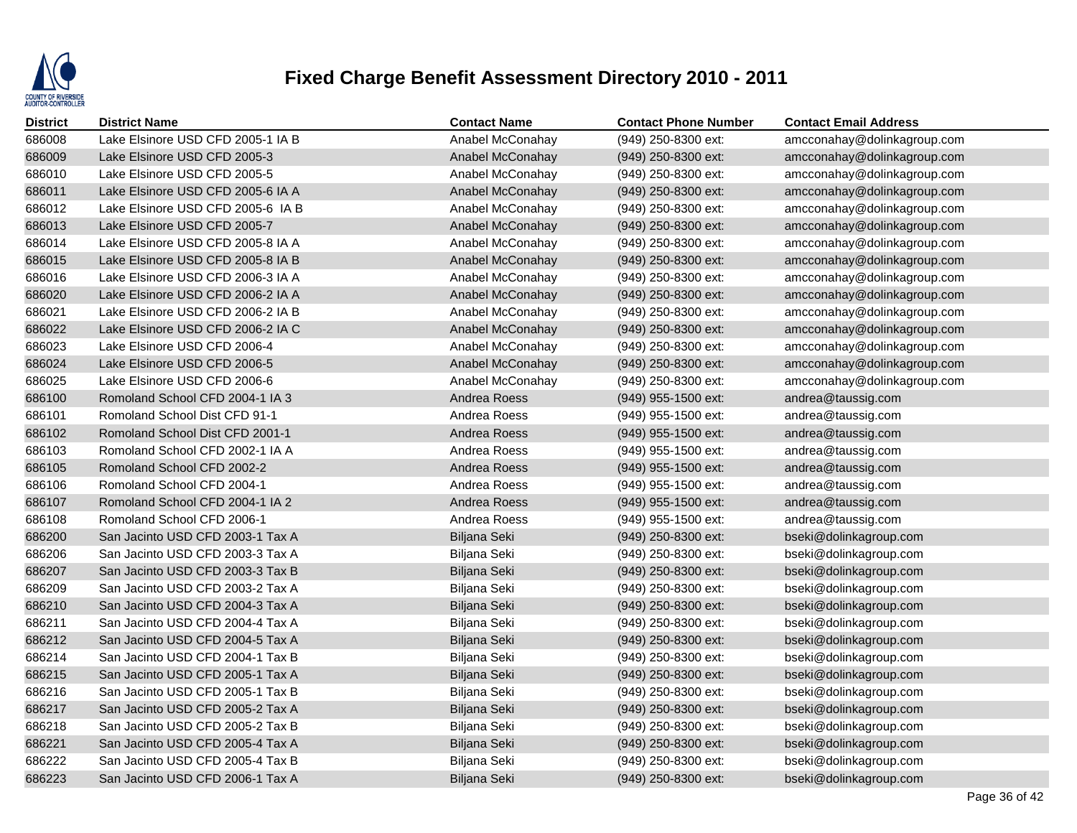

| District | <b>District Name</b>              | <b>Contact Name</b> | <b>Contact Phone Number</b> | <b>Contact Email Address</b> |
|----------|-----------------------------------|---------------------|-----------------------------|------------------------------|
| 686008   | Lake Elsinore USD CFD 2005-1 IA B | Anabel McConahay    | (949) 250-8300 ext:         | amcconahay@dolinkagroup.com  |
| 686009   | Lake Elsinore USD CFD 2005-3      | Anabel McConahay    | (949) 250-8300 ext:         | amcconahay@dolinkagroup.com  |
| 686010   | Lake Elsinore USD CFD 2005-5      | Anabel McConahay    | (949) 250-8300 ext:         | amcconahay@dolinkagroup.com  |
| 686011   | Lake Elsinore USD CFD 2005-6 IA A | Anabel McConahay    | (949) 250-8300 ext:         | amcconahay@dolinkagroup.com  |
| 686012   | Lake Elsinore USD CFD 2005-6 IA B | Anabel McConahay    | (949) 250-8300 ext:         | amcconahay@dolinkagroup.com  |
| 686013   | Lake Elsinore USD CFD 2005-7      | Anabel McConahay    | (949) 250-8300 ext:         | amcconahay@dolinkagroup.com  |
| 686014   | Lake Elsinore USD CFD 2005-8 IA A | Anabel McConahay    | $(949)$ 250-8300 ext:       | amcconahay@dolinkagroup.com  |
| 686015   | Lake Elsinore USD CFD 2005-8 IA B | Anabel McConahay    | $(949)$ 250-8300 ext:       | amcconahay@dolinkagroup.com  |
| 686016   | Lake Elsinore USD CFD 2006-3 IA A | Anabel McConahay    | (949) 250-8300 ext:         | amcconahay@dolinkagroup.com  |
| 686020   | Lake Elsinore USD CFD 2006-2 IA A | Anabel McConahay    | (949) 250-8300 ext:         | amcconahay@dolinkagroup.com  |
| 686021   | Lake Elsinore USD CFD 2006-2 IA B | Anabel McConahay    | $(949)$ 250-8300 ext:       | amcconahay@dolinkagroup.com  |
| 686022   | Lake Elsinore USD CFD 2006-2 IA C | Anabel McConahay    | (949) 250-8300 ext:         | amcconahay@dolinkagroup.com  |
| 686023   | Lake Elsinore USD CFD 2006-4      | Anabel McConahay    | (949) 250-8300 ext:         | amcconahay@dolinkagroup.com  |
| 686024   | Lake Elsinore USD CFD 2006-5      | Anabel McConahay    | (949) 250-8300 ext:         | amcconahay@dolinkagroup.com  |
| 686025   | Lake Elsinore USD CFD 2006-6      | Anabel McConahay    | (949) 250-8300 ext:         | amcconahay@dolinkagroup.com  |
| 686100   | Romoland School CFD 2004-1 IA 3   | Andrea Roess        | $(949)$ 955-1500 ext:       | andrea@taussig.com           |
| 686101   | Romoland School Dist CFD 91-1     | Andrea Roess        | (949) 955-1500 ext:         | andrea@taussig.com           |
| 686102   | Romoland School Dist CFD 2001-1   | Andrea Roess        | (949) 955-1500 ext:         | andrea@taussig.com           |
| 686103   | Romoland School CFD 2002-1 IA A   | Andrea Roess        | (949) 955-1500 ext:         | andrea@taussig.com           |
| 686105   | Romoland School CFD 2002-2        | Andrea Roess        | $(949)$ 955-1500 ext:       | andrea@taussig.com           |
| 686106   | Romoland School CFD 2004-1        | Andrea Roess        | (949) 955-1500 ext:         | andrea@taussig.com           |
| 686107   | Romoland School CFD 2004-1 IA 2   | Andrea Roess        | (949) 955-1500 ext:         | andrea@taussig.com           |
| 686108   | Romoland School CFD 2006-1        | Andrea Roess        | (949) 955-1500 ext:         | andrea@taussig.com           |
| 686200   | San Jacinto USD CFD 2003-1 Tax A  | Biljana Seki        | (949) 250-8300 ext:         | bseki@dolinkagroup.com       |
| 686206   | San Jacinto USD CFD 2003-3 Tax A  | Biljana Seki        | (949) 250-8300 ext:         | bseki@dolinkagroup.com       |
| 686207   | San Jacinto USD CFD 2003-3 Tax B  | Biljana Seki        | (949) 250-8300 ext:         | bseki@dolinkagroup.com       |
| 686209   | San Jacinto USD CFD 2003-2 Tax A  | Biljana Seki        | (949) 250-8300 ext:         | bseki@dolinkagroup.com       |
| 686210   | San Jacinto USD CFD 2004-3 Tax A  | Biljana Seki        | (949) 250-8300 ext:         | bseki@dolinkagroup.com       |
| 686211   | San Jacinto USD CFD 2004-4 Tax A  | Biljana Seki        | (949) 250-8300 ext:         | bseki@dolinkagroup.com       |
| 686212   | San Jacinto USD CFD 2004-5 Tax A  | Biljana Seki        | (949) 250-8300 ext:         | bseki@dolinkagroup.com       |
| 686214   | San Jacinto USD CFD 2004-1 Tax B  | Biljana Seki        | (949) 250-8300 ext:         | bseki@dolinkagroup.com       |
| 686215   | San Jacinto USD CFD 2005-1 Tax A  | Biljana Seki        | $(949)$ 250-8300 ext:       | bseki@dolinkagroup.com       |
| 686216   | San Jacinto USD CFD 2005-1 Tax B  | Biljana Seki        | (949) 250-8300 ext:         | bseki@dolinkagroup.com       |
| 686217   | San Jacinto USD CFD 2005-2 Tax A  | Biljana Seki        | (949) 250-8300 ext:         | bseki@dolinkagroup.com       |
| 686218   | San Jacinto USD CFD 2005-2 Tax B  | Biljana Seki        | (949) 250-8300 ext:         | bseki@dolinkagroup.com       |
| 686221   | San Jacinto USD CFD 2005-4 Tax A  | Biljana Seki        | (949) 250-8300 ext:         | bseki@dolinkagroup.com       |
| 686222   | San Jacinto USD CFD 2005-4 Tax B  | Biljana Seki        | (949) 250-8300 ext:         | bseki@dolinkagroup.com       |
| 686223   | San Jacinto USD CFD 2006-1 Tax A  | Biljana Seki        | (949) 250-8300 ext:         | bseki@dolinkagroup.com       |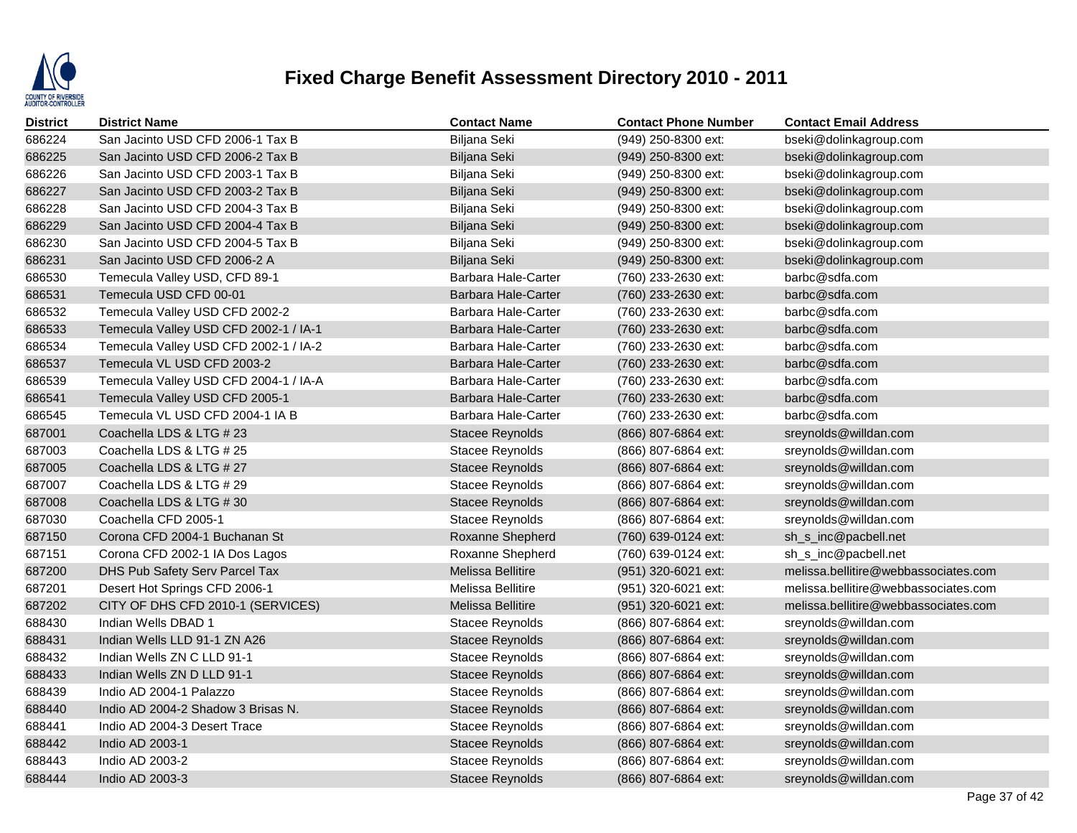

| District | <b>District Name</b>                  | <b>Contact Name</b>    | <b>Contact Phone Number</b> | <b>Contact Email Address</b>         |
|----------|---------------------------------------|------------------------|-----------------------------|--------------------------------------|
| 686224   | San Jacinto USD CFD 2006-1 Tax B      | Biljana Seki           | (949) 250-8300 ext:         | bseki@dolinkagroup.com               |
| 686225   | San Jacinto USD CFD 2006-2 Tax B      | Biljana Seki           | (949) 250-8300 ext:         | bseki@dolinkagroup.com               |
| 686226   | San Jacinto USD CFD 2003-1 Tax B      | Biljana Seki           | (949) 250-8300 ext:         | bseki@dolinkagroup.com               |
| 686227   | San Jacinto USD CFD 2003-2 Tax B      | Biljana Seki           | (949) 250-8300 ext:         | bseki@dolinkagroup.com               |
| 686228   | San Jacinto USD CFD 2004-3 Tax B      | Biljana Seki           | (949) 250-8300 ext:         | bseki@dolinkagroup.com               |
| 686229   | San Jacinto USD CFD 2004-4 Tax B      | Biljana Seki           | (949) 250-8300 ext:         | bseki@dolinkagroup.com               |
| 686230   | San Jacinto USD CFD 2004-5 Tax B      | Biljana Seki           | (949) 250-8300 ext:         | bseki@dolinkagroup.com               |
| 686231   | San Jacinto USD CFD 2006-2 A          | Biljana Seki           | $(949)$ 250-8300 ext:       | bseki@dolinkagroup.com               |
| 686530   | Temecula Valley USD, CFD 89-1         | Barbara Hale-Carter    | (760) 233-2630 ext:         | barbc@sdfa.com                       |
| 686531   | Temecula USD CFD 00-01                | Barbara Hale-Carter    | (760) 233-2630 ext:         | barbc@sdfa.com                       |
| 686532   | Temecula Valley USD CFD 2002-2        | Barbara Hale-Carter    | (760) 233-2630 ext:         | barbc@sdfa.com                       |
| 686533   | Temecula Valley USD CFD 2002-1 / IA-1 | Barbara Hale-Carter    | (760) 233-2630 ext:         | barbc@sdfa.com                       |
| 686534   | Temecula Valley USD CFD 2002-1 / IA-2 | Barbara Hale-Carter    | (760) 233-2630 ext:         | barbc@sdfa.com                       |
| 686537   | Temecula VL USD CFD 2003-2            | Barbara Hale-Carter    | (760) 233-2630 ext:         | barbc@sdfa.com                       |
| 686539   | Temecula Valley USD CFD 2004-1 / IA-A | Barbara Hale-Carter    | (760) 233-2630 ext:         | barbc@sdfa.com                       |
| 686541   | Temecula Valley USD CFD 2005-1        | Barbara Hale-Carter    | (760) 233-2630 ext:         | barbc@sdfa.com                       |
| 686545   | Temecula VL USD CFD 2004-1 IA B       | Barbara Hale-Carter    | (760) 233-2630 ext:         | barbc@sdfa.com                       |
| 687001   | Coachella LDS & LTG # 23              | <b>Stacee Reynolds</b> | (866) 807-6864 ext:         | sreynolds@willdan.com                |
| 687003   | Coachella LDS & LTG # 25              | Stacee Reynolds        | (866) 807-6864 ext:         | sreynolds@willdan.com                |
| 687005   | Coachella LDS & LTG # 27              | Stacee Reynolds        | (866) 807-6864 ext:         | sreynolds@willdan.com                |
| 687007   | Coachella LDS & LTG # 29              | Stacee Reynolds        | (866) 807-6864 ext:         | sreynolds@willdan.com                |
| 687008   | Coachella LDS & LTG # 30              | <b>Stacee Reynolds</b> | (866) 807-6864 ext:         | sreynolds@willdan.com                |
| 687030   | Coachella CFD 2005-1                  | Stacee Reynolds        | (866) 807-6864 ext:         | sreynolds@willdan.com                |
| 687150   | Corona CFD 2004-1 Buchanan St         | Roxanne Shepherd       | (760) 639-0124 ext:         | sh_s_inc@pacbell.net                 |
| 687151   | Corona CFD 2002-1 IA Dos Lagos        | Roxanne Shepherd       | (760) 639-0124 ext:         | sh_s_inc@pacbell.net                 |
| 687200   | DHS Pub Safety Serv Parcel Tax        | Melissa Bellitire      | (951) 320-6021 ext:         | melissa.bellitire@webbassociates.com |
| 687201   | Desert Hot Springs CFD 2006-1         | Melissa Bellitire      | (951) 320-6021 ext:         | melissa.bellitire@webbassociates.com |
| 687202   | CITY OF DHS CFD 2010-1 (SERVICES)     | Melissa Bellitire      | (951) 320-6021 ext:         | melissa.bellitire@webbassociates.com |
| 688430   | Indian Wells DBAD 1                   | Stacee Reynolds        | (866) 807-6864 ext:         | sreynolds@willdan.com                |
| 688431   | Indian Wells LLD 91-1 ZN A26          | <b>Stacee Reynolds</b> | (866) 807-6864 ext:         | sreynolds@willdan.com                |
| 688432   | Indian Wells ZN C LLD 91-1            | Stacee Reynolds        | (866) 807-6864 ext:         | sreynolds@willdan.com                |
| 688433   | Indian Wells ZN D LLD 91-1            | <b>Stacee Reynolds</b> | $(866)$ 807-6864 ext:       | sreynolds@willdan.com                |
| 688439   | Indio AD 2004-1 Palazzo               | Stacee Reynolds        | (866) 807-6864 ext:         | sreynolds@willdan.com                |
| 688440   | Indio AD 2004-2 Shadow 3 Brisas N.    | <b>Stacee Reynolds</b> | (866) 807-6864 ext:         | sreynolds@willdan.com                |
| 688441   | Indio AD 2004-3 Desert Trace          | <b>Stacee Reynolds</b> | (866) 807-6864 ext:         | sreynolds@willdan.com                |
| 688442   | Indio AD 2003-1                       | <b>Stacee Reynolds</b> | (866) 807-6864 ext:         | sreynolds@willdan.com                |
| 688443   | Indio AD 2003-2                       | Stacee Reynolds        | (866) 807-6864 ext:         | sreynolds@willdan.com                |
| 688444   | Indio AD 2003-3                       | <b>Stacee Reynolds</b> | (866) 807-6864 ext:         | sreynolds@willdan.com                |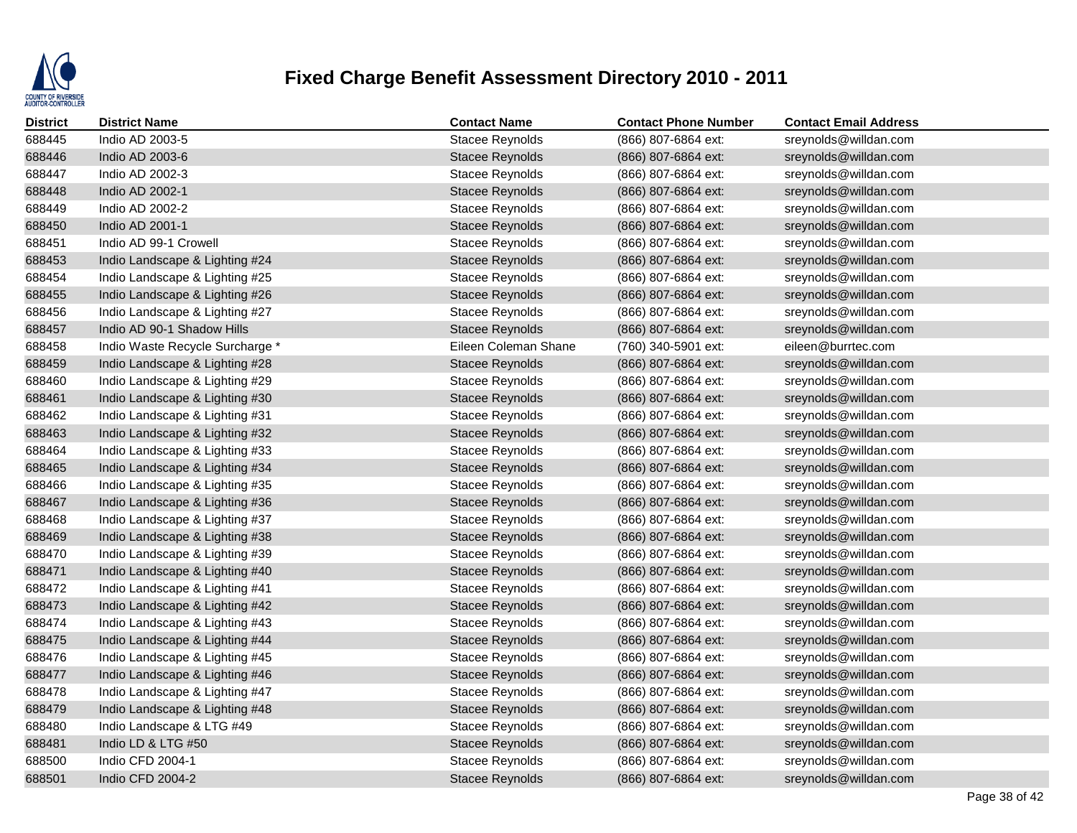

| <b>District</b> | <b>District Name</b>            | <b>Contact Name</b>    | <b>Contact Phone Number</b> | <b>Contact Email Address</b> |
|-----------------|---------------------------------|------------------------|-----------------------------|------------------------------|
| 688445          | Indio AD 2003-5                 | <b>Stacee Reynolds</b> | (866) 807-6864 ext:         | sreynolds@willdan.com        |
| 688446          | Indio AD 2003-6                 | <b>Stacee Reynolds</b> | (866) 807-6864 ext:         | sreynolds@willdan.com        |
| 688447          | Indio AD 2002-3                 | <b>Stacee Reynolds</b> | (866) 807-6864 ext:         | sreynolds@willdan.com        |
| 688448          | Indio AD 2002-1                 | <b>Stacee Reynolds</b> | (866) 807-6864 ext:         | sreynolds@willdan.com        |
| 688449          | Indio AD 2002-2                 | Stacee Reynolds        | (866) 807-6864 ext:         | sreynolds@willdan.com        |
| 688450          | Indio AD 2001-1                 | <b>Stacee Reynolds</b> | (866) 807-6864 ext:         | sreynolds@willdan.com        |
| 688451          | Indio AD 99-1 Crowell           | <b>Stacee Reynolds</b> | (866) 807-6864 ext:         | sreynolds@willdan.com        |
| 688453          | Indio Landscape & Lighting #24  | <b>Stacee Reynolds</b> | (866) 807-6864 ext:         | sreynolds@willdan.com        |
| 688454          | Indio Landscape & Lighting #25  | Stacee Reynolds        | (866) 807-6864 ext:         | sreynolds@willdan.com        |
| 688455          | Indio Landscape & Lighting #26  | <b>Stacee Reynolds</b> | (866) 807-6864 ext:         | sreynolds@willdan.com        |
| 688456          | Indio Landscape & Lighting #27  | <b>Stacee Reynolds</b> | (866) 807-6864 ext:         | sreynolds@willdan.com        |
| 688457          | Indio AD 90-1 Shadow Hills      | Stacee Reynolds        | (866) 807-6864 ext:         | sreynolds@willdan.com        |
| 688458          | Indio Waste Recycle Surcharge * | Eileen Coleman Shane   | (760) 340-5901 ext:         | eileen@burrtec.com           |
| 688459          | Indio Landscape & Lighting #28  | <b>Stacee Reynolds</b> | (866) 807-6864 ext:         | sreynolds@willdan.com        |
| 688460          | Indio Landscape & Lighting #29  | Stacee Reynolds        | (866) 807-6864 ext:         | sreynolds@willdan.com        |
| 688461          | Indio Landscape & Lighting #30  | Stacee Reynolds        | (866) 807-6864 ext:         | sreynolds@willdan.com        |
| 688462          | Indio Landscape & Lighting #31  | Stacee Reynolds        | (866) 807-6864 ext:         | sreynolds@willdan.com        |
| 688463          | Indio Landscape & Lighting #32  | Stacee Reynolds        | (866) 807-6864 ext:         | sreynolds@willdan.com        |
| 688464          | Indio Landscape & Lighting #33  | <b>Stacee Reynolds</b> | (866) 807-6864 ext:         | sreynolds@willdan.com        |
| 688465          | Indio Landscape & Lighting #34  | <b>Stacee Reynolds</b> | (866) 807-6864 ext:         | sreynolds@willdan.com        |
| 688466          | Indio Landscape & Lighting #35  | Stacee Reynolds        | (866) 807-6864 ext:         | sreynolds@willdan.com        |
| 688467          | Indio Landscape & Lighting #36  | <b>Stacee Reynolds</b> | (866) 807-6864 ext:         | sreynolds@willdan.com        |
| 688468          | Indio Landscape & Lighting #37  | <b>Stacee Reynolds</b> | (866) 807-6864 ext:         | sreynolds@willdan.com        |
| 688469          | Indio Landscape & Lighting #38  | <b>Stacee Reynolds</b> | (866) 807-6864 ext:         | sreynolds@willdan.com        |
| 688470          | Indio Landscape & Lighting #39  | Stacee Reynolds        | (866) 807-6864 ext:         | sreynolds@willdan.com        |
| 688471          | Indio Landscape & Lighting #40  | <b>Stacee Reynolds</b> | (866) 807-6864 ext:         | sreynolds@willdan.com        |
| 688472          | Indio Landscape & Lighting #41  | <b>Stacee Reynolds</b> | (866) 807-6864 ext:         | sreynolds@willdan.com        |
| 688473          | Indio Landscape & Lighting #42  | <b>Stacee Reynolds</b> | (866) 807-6864 ext:         | sreynolds@willdan.com        |
| 688474          | Indio Landscape & Lighting #43  | Stacee Reynolds        | (866) 807-6864 ext:         | sreynolds@willdan.com        |
| 688475          | Indio Landscape & Lighting #44  | <b>Stacee Reynolds</b> | (866) 807-6864 ext:         | sreynolds@willdan.com        |
| 688476          | Indio Landscape & Lighting #45  | <b>Stacee Reynolds</b> | (866) 807-6864 ext:         | sreynolds@willdan.com        |
| 688477          | Indio Landscape & Lighting #46  | <b>Stacee Reynolds</b> | $(866)$ 807-6864 ext:       | sreynolds@willdan.com        |
| 688478          | Indio Landscape & Lighting #47  | Stacee Reynolds        | (866) 807-6864 ext:         | sreynolds@willdan.com        |
| 688479          | Indio Landscape & Lighting #48  | <b>Stacee Reynolds</b> | (866) 807-6864 ext:         | sreynolds@willdan.com        |
| 688480          | Indio Landscape & LTG #49       | <b>Stacee Reynolds</b> | (866) 807-6864 ext:         | sreynolds@willdan.com        |
| 688481          | Indio LD & LTG #50              | <b>Stacee Reynolds</b> | (866) 807-6864 ext:         | sreynolds@willdan.com        |
| 688500          | Indio CFD 2004-1                | Stacee Reynolds        | (866) 807-6864 ext:         | sreynolds@willdan.com        |
| 688501          | Indio CFD 2004-2                | <b>Stacee Reynolds</b> | (866) 807-6864 ext:         | sreynolds@willdan.com        |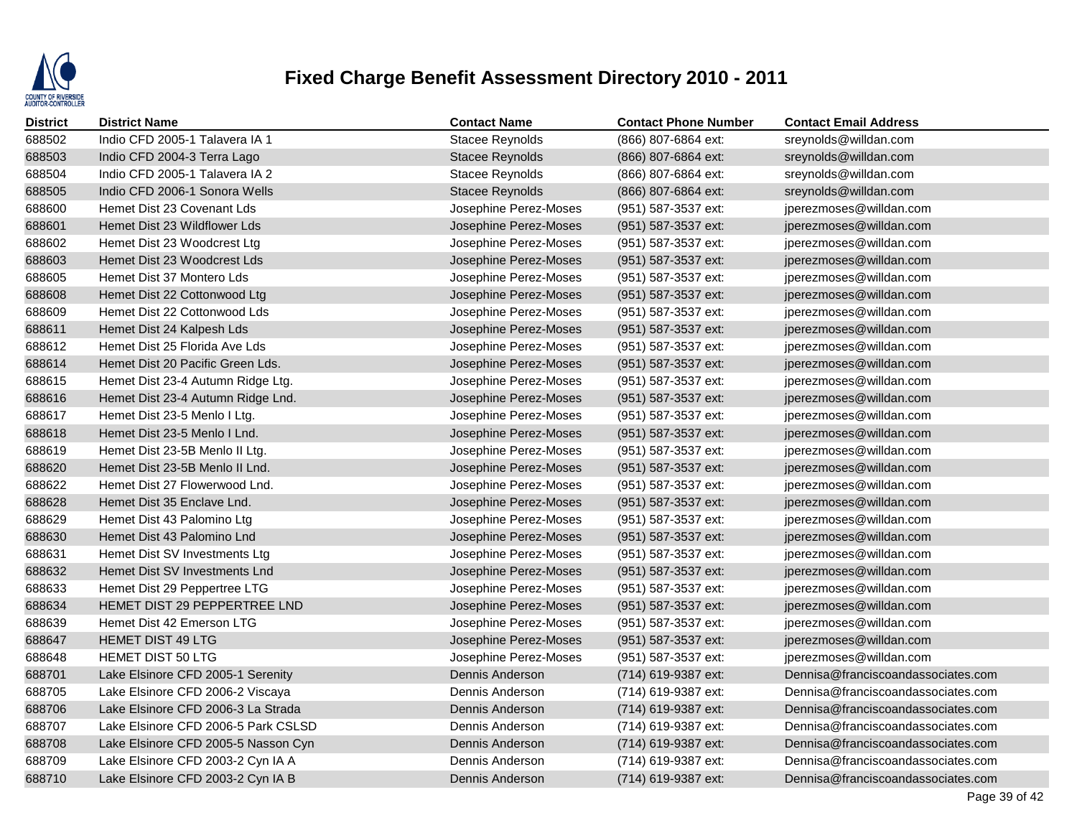

| <b>District</b> | <b>District Name</b>                | <b>Contact Name</b>    | <b>Contact Phone Number</b> | <b>Contact Email Address</b>       |
|-----------------|-------------------------------------|------------------------|-----------------------------|------------------------------------|
| 688502          | Indio CFD 2005-1 Talavera IA 1      | Stacee Reynolds        | (866) 807-6864 ext:         | sreynolds@willdan.com              |
| 688503          | Indio CFD 2004-3 Terra Lago         | <b>Stacee Reynolds</b> | (866) 807-6864 ext:         | sreynolds@willdan.com              |
| 688504          | Indio CFD 2005-1 Talavera IA 2      | <b>Stacee Reynolds</b> | (866) 807-6864 ext:         | sreynolds@willdan.com              |
| 688505          | Indio CFD 2006-1 Sonora Wells       | <b>Stacee Reynolds</b> | (866) 807-6864 ext:         | sreynolds@willdan.com              |
| 688600          | Hemet Dist 23 Covenant Lds          | Josephine Perez-Moses  | (951) 587-3537 ext:         | jperezmoses@willdan.com            |
| 688601          | Hemet Dist 23 Wildflower Lds        | Josephine Perez-Moses  | (951) 587-3537 ext:         | jperezmoses@willdan.com            |
| 688602          | Hemet Dist 23 Woodcrest Ltg         | Josephine Perez-Moses  | (951) 587-3537 ext:         | jperezmoses@willdan.com            |
| 688603          | Hemet Dist 23 Woodcrest Lds         | Josephine Perez-Moses  | (951) 587-3537 ext:         | jperezmoses@willdan.com            |
| 688605          | Hemet Dist 37 Montero Lds           | Josephine Perez-Moses  | (951) 587-3537 ext:         | jperezmoses@willdan.com            |
| 688608          | Hemet Dist 22 Cottonwood Ltg        | Josephine Perez-Moses  | (951) 587-3537 ext:         | jperezmoses@willdan.com            |
| 688609          | Hemet Dist 22 Cottonwood Lds        | Josephine Perez-Moses  | (951) 587-3537 ext:         | jperezmoses@willdan.com            |
| 688611          | Hemet Dist 24 Kalpesh Lds           | Josephine Perez-Moses  | (951) 587-3537 ext:         | jperezmoses@willdan.com            |
| 688612          | Hemet Dist 25 Florida Ave Lds       | Josephine Perez-Moses  | (951) 587-3537 ext:         | jperezmoses@willdan.com            |
| 688614          | Hemet Dist 20 Pacific Green Lds.    | Josephine Perez-Moses  | (951) 587-3537 ext:         | jperezmoses@willdan.com            |
| 688615          | Hemet Dist 23-4 Autumn Ridge Ltg.   | Josephine Perez-Moses  | (951) 587-3537 ext:         | jperezmoses@willdan.com            |
| 688616          | Hemet Dist 23-4 Autumn Ridge Lnd.   | Josephine Perez-Moses  | (951) 587-3537 ext:         | jperezmoses@willdan.com            |
| 688617          | Hemet Dist 23-5 Menlo I Ltg.        | Josephine Perez-Moses  | (951) 587-3537 ext:         | jperezmoses@willdan.com            |
| 688618          | Hemet Dist 23-5 Menlo I Lnd.        | Josephine Perez-Moses  | (951) 587-3537 ext:         | jperezmoses@willdan.com            |
| 688619          | Hemet Dist 23-5B Menlo II Ltg.      | Josephine Perez-Moses  | (951) 587-3537 ext:         | jperezmoses@willdan.com            |
| 688620          | Hemet Dist 23-5B Menlo II Lnd.      | Josephine Perez-Moses  | (951) 587-3537 ext:         | jperezmoses@willdan.com            |
| 688622          | Hemet Dist 27 Flowerwood Lnd.       | Josephine Perez-Moses  | (951) 587-3537 ext:         | jperezmoses@willdan.com            |
| 688628          | Hemet Dist 35 Enclave Lnd.          | Josephine Perez-Moses  | (951) 587-3537 ext:         | jperezmoses@willdan.com            |
| 688629          | Hemet Dist 43 Palomino Ltg          | Josephine Perez-Moses  | (951) 587-3537 ext:         | jperezmoses@willdan.com            |
| 688630          | Hemet Dist 43 Palomino Lnd          | Josephine Perez-Moses  | (951) 587-3537 ext:         | jperezmoses@willdan.com            |
| 688631          | Hemet Dist SV Investments Ltg       | Josephine Perez-Moses  | (951) 587-3537 ext:         | jperezmoses@willdan.com            |
| 688632          | Hemet Dist SV Investments Lnd       | Josephine Perez-Moses  | (951) 587-3537 ext:         | jperezmoses@willdan.com            |
| 688633          | Hemet Dist 29 Peppertree LTG        | Josephine Perez-Moses  | (951) 587-3537 ext:         | jperezmoses@willdan.com            |
| 688634          | HEMET DIST 29 PEPPERTREE LND        | Josephine Perez-Moses  | (951) 587-3537 ext:         | jperezmoses@willdan.com            |
| 688639          | Hemet Dist 42 Emerson LTG           | Josephine Perez-Moses  | (951) 587-3537 ext:         | jperezmoses@willdan.com            |
| 688647          | <b>HEMET DIST 49 LTG</b>            | Josephine Perez-Moses  | (951) 587-3537 ext:         | jperezmoses@willdan.com            |
| 688648          | <b>HEMET DIST 50 LTG</b>            | Josephine Perez-Moses  | (951) 587-3537 ext:         | jperezmoses@willdan.com            |
| 688701          | Lake Elsinore CFD 2005-1 Serenity   | Dennis Anderson        | (714) 619-9387 ext:         | Dennisa@franciscoandassociates.com |
| 688705          | Lake Elsinore CFD 2006-2 Viscaya    | Dennis Anderson        | (714) 619-9387 ext:         | Dennisa@franciscoandassociates.com |
| 688706          | Lake Elsinore CFD 2006-3 La Strada  | Dennis Anderson        | (714) 619-9387 ext:         | Dennisa@franciscoandassociates.com |
| 688707          | Lake Elsinore CFD 2006-5 Park CSLSD | Dennis Anderson        | (714) 619-9387 ext:         | Dennisa@franciscoandassociates.com |
| 688708          | Lake Elsinore CFD 2005-5 Nasson Cyn | Dennis Anderson        | (714) 619-9387 ext:         | Dennisa@franciscoandassociates.com |
| 688709          | Lake Elsinore CFD 2003-2 Cyn IA A   | Dennis Anderson        | (714) 619-9387 ext:         | Dennisa@franciscoandassociates.com |
| 688710          | Lake Elsinore CFD 2003-2 Cyn IA B   | Dennis Anderson        | (714) 619-9387 ext:         | Dennisa@franciscoandassociates.com |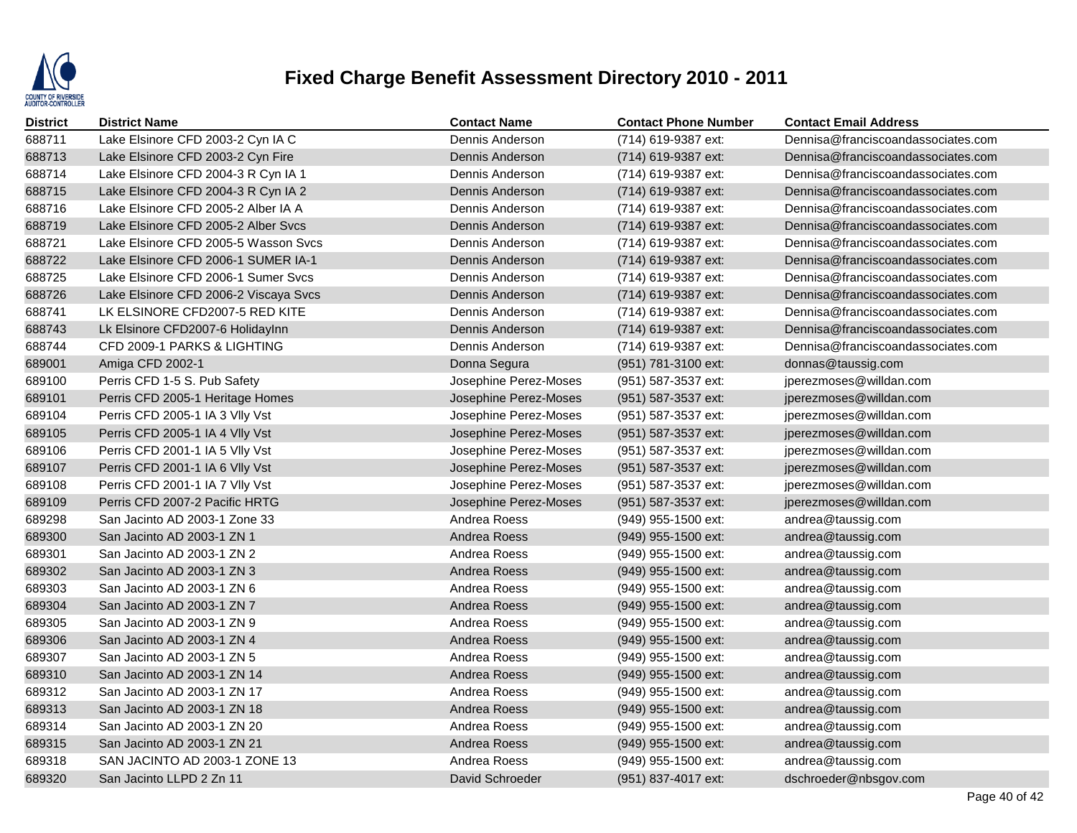

| District | <b>District Name</b>                  | <b>Contact Name</b>   | <b>Contact Phone Number</b> | <b>Contact Email Address</b>       |
|----------|---------------------------------------|-----------------------|-----------------------------|------------------------------------|
| 688711   | Lake Elsinore CFD 2003-2 Cyn IA C     | Dennis Anderson       | (714) 619-9387 ext:         | Dennisa@franciscoandassociates.com |
| 688713   | Lake Elsinore CFD 2003-2 Cyn Fire     | Dennis Anderson       | (714) 619-9387 ext:         | Dennisa@franciscoandassociates.com |
| 688714   | Lake Elsinore CFD 2004-3 R Cyn IA 1   | Dennis Anderson       | (714) 619-9387 ext:         | Dennisa@franciscoandassociates.com |
| 688715   | Lake Elsinore CFD 2004-3 R Cyn IA 2   | Dennis Anderson       | (714) 619-9387 ext:         | Dennisa@franciscoandassociates.com |
| 688716   | Lake Elsinore CFD 2005-2 Alber IA A   | Dennis Anderson       | (714) 619-9387 ext:         | Dennisa@franciscoandassociates.com |
| 688719   | Lake Elsinore CFD 2005-2 Alber Sycs   | Dennis Anderson       | (714) 619-9387 ext:         | Dennisa@franciscoandassociates.com |
| 688721   | Lake Elsinore CFD 2005-5 Wasson Sycs  | Dennis Anderson       | (714) 619-9387 ext:         | Dennisa@franciscoandassociates.com |
| 688722   | Lake Elsinore CFD 2006-1 SUMER IA-1   | Dennis Anderson       | (714) 619-9387 ext:         | Dennisa@franciscoandassociates.com |
| 688725   | Lake Elsinore CFD 2006-1 Sumer Svcs   | Dennis Anderson       | (714) 619-9387 ext:         | Dennisa@franciscoandassociates.com |
| 688726   | Lake Elsinore CFD 2006-2 Viscaya Svcs | Dennis Anderson       | (714) 619-9387 ext:         | Dennisa@franciscoandassociates.com |
| 688741   | LK ELSINORE CFD2007-5 RED KITE        | Dennis Anderson       | (714) 619-9387 ext:         | Dennisa@franciscoandassociates.com |
| 688743   | Lk Elsinore CFD2007-6 HolidayInn      | Dennis Anderson       | (714) 619-9387 ext:         | Dennisa@franciscoandassociates.com |
| 688744   | CFD 2009-1 PARKS & LIGHTING           | Dennis Anderson       | (714) 619-9387 ext:         | Dennisa@franciscoandassociates.com |
| 689001   | Amiga CFD 2002-1                      | Donna Segura          | (951) 781-3100 ext:         | donnas@taussig.com                 |
| 689100   | Perris CFD 1-5 S. Pub Safety          | Josephine Perez-Moses | (951) 587-3537 ext:         | jperezmoses@willdan.com            |
| 689101   | Perris CFD 2005-1 Heritage Homes      | Josephine Perez-Moses | (951) 587-3537 ext:         | jperezmoses@willdan.com            |
| 689104   | Perris CFD 2005-1 IA 3 VIIy Vst       | Josephine Perez-Moses | (951) 587-3537 ext:         | jperezmoses@willdan.com            |
| 689105   | Perris CFD 2005-1 IA 4 VIIy Vst       | Josephine Perez-Moses | (951) 587-3537 ext:         | jperezmoses@willdan.com            |
| 689106   | Perris CFD 2001-1 IA 5 VIIy Vst       | Josephine Perez-Moses | (951) 587-3537 ext:         | jperezmoses@willdan.com            |
| 689107   | Perris CFD 2001-1 IA 6 VIIy Vst       | Josephine Perez-Moses | (951) 587-3537 ext:         | jperezmoses@willdan.com            |
| 689108   | Perris CFD 2001-1 IA 7 VIIy Vst       | Josephine Perez-Moses | (951) 587-3537 ext:         | jperezmoses@willdan.com            |
| 689109   | Perris CFD 2007-2 Pacific HRTG        | Josephine Perez-Moses | (951) 587-3537 ext:         | jperezmoses@willdan.com            |
| 689298   | San Jacinto AD 2003-1 Zone 33         | Andrea Roess          | (949) 955-1500 ext:         | andrea@taussig.com                 |
| 689300   | San Jacinto AD 2003-1 ZN 1            | Andrea Roess          | (949) 955-1500 ext:         | andrea@taussig.com                 |
| 689301   | San Jacinto AD 2003-1 ZN 2            | Andrea Roess          | (949) 955-1500 ext:         | andrea@taussig.com                 |
| 689302   | San Jacinto AD 2003-1 ZN 3            | Andrea Roess          | (949) 955-1500 ext:         | andrea@taussig.com                 |
| 689303   | San Jacinto AD 2003-1 ZN 6            | Andrea Roess          | (949) 955-1500 ext:         | andrea@taussig.com                 |
| 689304   | San Jacinto AD 2003-1 ZN 7            | Andrea Roess          | (949) 955-1500 ext:         | andrea@taussig.com                 |
| 689305   | San Jacinto AD 2003-1 ZN 9            | Andrea Roess          | (949) 955-1500 ext:         | andrea@taussig.com                 |
| 689306   | San Jacinto AD 2003-1 ZN 4            | Andrea Roess          | (949) 955-1500 ext:         | andrea@taussig.com                 |
| 689307   | San Jacinto AD 2003-1 ZN 5            | Andrea Roess          | (949) 955-1500 ext:         | andrea@taussig.com                 |
| 689310   | San Jacinto AD 2003-1 ZN 14           | Andrea Roess          | (949) 955-1500 ext:         | andrea@taussig.com                 |
| 689312   | San Jacinto AD 2003-1 ZN 17           | Andrea Roess          | (949) 955-1500 ext:         | andrea@taussig.com                 |
| 689313   | San Jacinto AD 2003-1 ZN 18           | Andrea Roess          | (949) 955-1500 ext:         | andrea@taussig.com                 |
| 689314   | San Jacinto AD 2003-1 ZN 20           | Andrea Roess          | (949) 955-1500 ext:         | andrea@taussig.com                 |
| 689315   | San Jacinto AD 2003-1 ZN 21           | Andrea Roess          | (949) 955-1500 ext:         | andrea@taussig.com                 |
| 689318   | SAN JACINTO AD 2003-1 ZONE 13         | Andrea Roess          | (949) 955-1500 ext:         | andrea@taussig.com                 |
| 689320   | San Jacinto LLPD 2 Zn 11              | David Schroeder       | (951) 837-4017 ext:         | dschroeder@nbsgov.com              |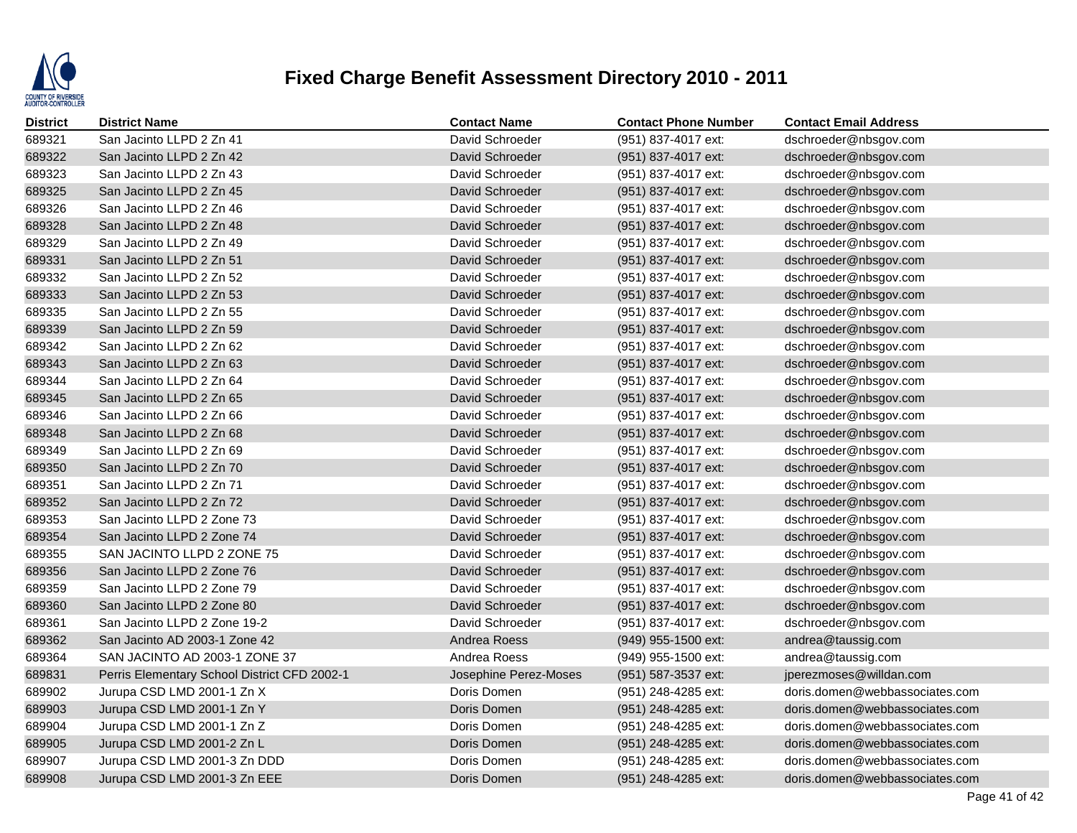

| <b>District</b> | <b>District Name</b>                         | <b>Contact Name</b>   | <b>Contact Phone Number</b> | <b>Contact Email Address</b>   |
|-----------------|----------------------------------------------|-----------------------|-----------------------------|--------------------------------|
| 689321          | San Jacinto LLPD 2 Zn 41                     | David Schroeder       | (951) 837-4017 ext:         | dschroeder@nbsgov.com          |
| 689322          | San Jacinto LLPD 2 Zn 42                     | David Schroeder       | (951) 837-4017 ext:         | dschroeder@nbsgov.com          |
| 689323          | San Jacinto LLPD 2 Zn 43                     | David Schroeder       | (951) 837-4017 ext:         | dschroeder@nbsgov.com          |
| 689325          | San Jacinto LLPD 2 Zn 45                     | David Schroeder       | (951) 837-4017 ext:         | dschroeder@nbsgov.com          |
| 689326          | San Jacinto LLPD 2 Zn 46                     | David Schroeder       | (951) 837-4017 ext:         | dschroeder@nbsgov.com          |
| 689328          | San Jacinto LLPD 2 Zn 48                     | David Schroeder       | (951) 837-4017 ext:         | dschroeder@nbsgov.com          |
| 689329          | San Jacinto LLPD 2 Zn 49                     | David Schroeder       | (951) 837-4017 ext:         | dschroeder@nbsgov.com          |
| 689331          | San Jacinto LLPD 2 Zn 51                     | David Schroeder       | (951) 837-4017 ext:         | dschroeder@nbsgov.com          |
| 689332          | San Jacinto LLPD 2 Zn 52                     | David Schroeder       | (951) 837-4017 ext:         | dschroeder@nbsgov.com          |
| 689333          | San Jacinto LLPD 2 Zn 53                     | David Schroeder       | (951) 837-4017 ext:         | dschroeder@nbsgov.com          |
| 689335          | San Jacinto LLPD 2 Zn 55                     | David Schroeder       | (951) 837-4017 ext:         | dschroeder@nbsgov.com          |
| 689339          | San Jacinto LLPD 2 Zn 59                     | David Schroeder       | (951) 837-4017 ext:         | dschroeder@nbsgov.com          |
| 689342          | San Jacinto LLPD 2 Zn 62                     | David Schroeder       | (951) 837-4017 ext:         | dschroeder@nbsgov.com          |
| 689343          | San Jacinto LLPD 2 Zn 63                     | David Schroeder       | (951) 837-4017 ext:         | dschroeder@nbsgov.com          |
| 689344          | San Jacinto LLPD 2 Zn 64                     | David Schroeder       | (951) 837-4017 ext:         | dschroeder@nbsgov.com          |
| 689345          | San Jacinto LLPD 2 Zn 65                     | David Schroeder       | (951) 837-4017 ext:         | dschroeder@nbsgov.com          |
| 689346          | San Jacinto LLPD 2 Zn 66                     | David Schroeder       | (951) 837-4017 ext:         | dschroeder@nbsgov.com          |
| 689348          | San Jacinto LLPD 2 Zn 68                     | David Schroeder       | (951) 837-4017 ext:         | dschroeder@nbsgov.com          |
| 689349          | San Jacinto LLPD 2 Zn 69                     | David Schroeder       | (951) 837-4017 ext:         | dschroeder@nbsgov.com          |
| 689350          | San Jacinto LLPD 2 Zn 70                     | David Schroeder       | (951) 837-4017 ext:         | dschroeder@nbsgov.com          |
| 689351          | San Jacinto LLPD 2 Zn 71                     | David Schroeder       | (951) 837-4017 ext:         | dschroeder@nbsgov.com          |
| 689352          | San Jacinto LLPD 2 Zn 72                     | David Schroeder       | (951) 837-4017 ext:         | dschroeder@nbsgov.com          |
| 689353          | San Jacinto LLPD 2 Zone 73                   | David Schroeder       | (951) 837-4017 ext:         | dschroeder@nbsgov.com          |
| 689354          | San Jacinto LLPD 2 Zone 74                   | David Schroeder       | (951) 837-4017 ext:         | dschroeder@nbsgov.com          |
| 689355          | SAN JACINTO LLPD 2 ZONE 75                   | David Schroeder       | (951) 837-4017 ext:         | dschroeder@nbsgov.com          |
| 689356          | San Jacinto LLPD 2 Zone 76                   | David Schroeder       | (951) 837-4017 ext:         | dschroeder@nbsgov.com          |
| 689359          | San Jacinto LLPD 2 Zone 79                   | David Schroeder       | (951) 837-4017 ext:         | dschroeder@nbsgov.com          |
| 689360          | San Jacinto LLPD 2 Zone 80                   | David Schroeder       | (951) 837-4017 ext:         | dschroeder@nbsgov.com          |
| 689361          | San Jacinto LLPD 2 Zone 19-2                 | David Schroeder       | (951) 837-4017 ext:         | dschroeder@nbsgov.com          |
| 689362          | San Jacinto AD 2003-1 Zone 42                | Andrea Roess          | (949) 955-1500 ext:         | andrea@taussig.com             |
| 689364          | SAN JACINTO AD 2003-1 ZONE 37                | Andrea Roess          | (949) 955-1500 ext:         | andrea@taussig.com             |
| 689831          | Perris Elementary School District CFD 2002-1 | Josephine Perez-Moses | (951) 587-3537 ext:         | jperezmoses@willdan.com        |
| 689902          | Jurupa CSD LMD 2001-1 Zn X                   | Doris Domen           | (951) 248-4285 ext:         | doris.domen@webbassociates.com |
| 689903          | Jurupa CSD LMD 2001-1 Zn Y                   | Doris Domen           | (951) 248-4285 ext:         | doris.domen@webbassociates.com |
| 689904          | Jurupa CSD LMD 2001-1 Zn Z                   | Doris Domen           | (951) 248-4285 ext:         | doris.domen@webbassociates.com |
| 689905          | Jurupa CSD LMD 2001-2 Zn L                   | Doris Domen           | (951) 248-4285 ext:         | doris.domen@webbassociates.com |
| 689907          | Jurupa CSD LMD 2001-3 Zn DDD                 | Doris Domen           | (951) 248-4285 ext:         | doris.domen@webbassociates.com |
| 689908          | Jurupa CSD LMD 2001-3 Zn EEE                 | Doris Domen           | (951) 248-4285 ext:         | doris.domen@webbassociates.com |